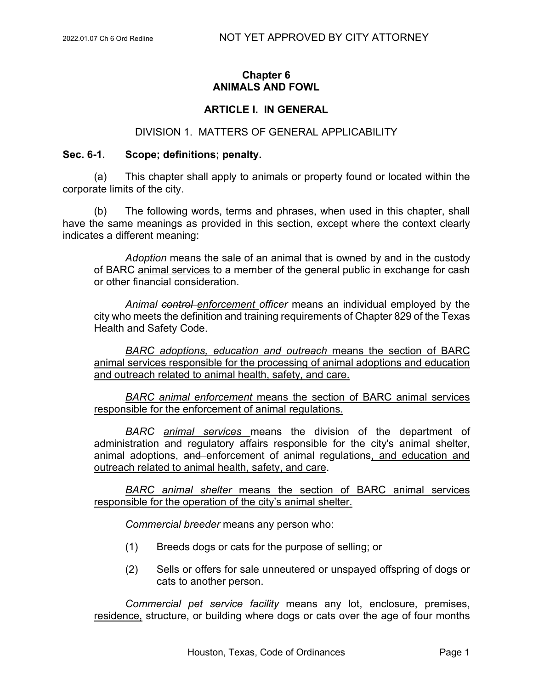# **Chapter 6 ANIMALS AND FOWL**

# **ARTICLE I. IN GENERAL**

## DIVISION 1. MATTERS OF GENERAL APPLICABILITY

## **Sec. 6-1. Scope; definitions; penalty.**

(a) This chapter shall apply to animals or property found or located within the corporate limits of the city.

(b) The following words, terms and phrases, when used in this chapter, shall have the same meanings as provided in this section, except where the context clearly indicates a different meaning:

*Adoption* means the sale of an animal that is owned by and in the custody of BARC animal services to a member of the general public in exchange for cash or other financial consideration.

*Animal control enforcement officer* means an individual employed by the city who meets the definition and training requirements of Chapter 829 of the Texas Health and Safety Code.

*BARC adoptions, education and outreach* means the section of BARC animal services responsible for the processing of animal adoptions and education and outreach related to animal health, safety, and care.

*BARC animal enforcement* means the section of BARC animal services responsible for the enforcement of animal regulations.

*BARC animal services* means the division of the department of administration and regulatory affairs responsible for the city's animal shelter, animal adoptions, and enforcement of animal regulations, and education and outreach related to animal health, safety, and care.

*BARC animal shelter* means the section of BARC animal services responsible for the operation of the city's animal shelter.

*Commercial breeder* means any person who:

- (1) Breeds dogs or cats for the purpose of selling; or
- (2) Sells or offers for sale unneutered or unspayed offspring of dogs or cats to another person.

*Commercial pet service facility* means any lot, enclosure, premises, residence, structure, or building where dogs or cats over the age of four months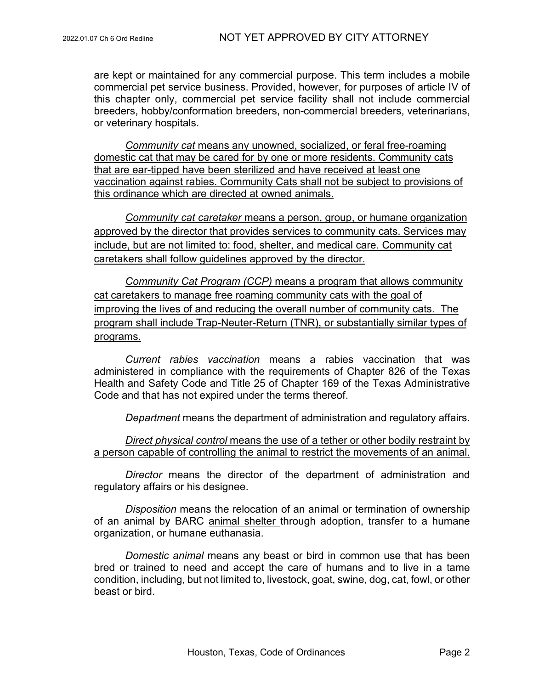are kept or maintained for any commercial purpose. This term includes a mobile commercial pet service business. Provided, however, for purposes of article IV of this chapter only, commercial pet service facility shall not include commercial breeders, hobby/conformation breeders, non-commercial breeders, veterinarians, or veterinary hospitals.

*Community cat* means any unowned, socialized, or feral free-roaming domestic cat that may be cared for by one or more residents. Community cats that are ear-tipped have been sterilized and have received at least one vaccination against rabies. Community Cats shall not be subject to provisions of this ordinance which are directed at owned animals.

*Community cat caretaker* means a person, group, or humane organization approved by the director that provides services to community cats. Services may include, but are not limited to: food, shelter, and medical care. Community cat caretakers shall follow guidelines approved by the director.

*Community Cat Program (CCP)* means a program that allows community cat caretakers to manage free roaming community cats with the goal of improving the lives of and reducing the overall number of community cats. The program shall include Trap-Neuter-Return (TNR), or substantially similar types of programs.

*Current rabies vaccination* means a rabies vaccination that was administered in compliance with the requirements of Chapter 826 of the Texas Health and Safety Code and Title 25 of Chapter 169 of the Texas Administrative Code and that has not expired under the terms thereof.

*Department* means the department of administration and regulatory affairs.

*Direct physical control* means the use of a tether or other bodily restraint by a person capable of controlling the animal to restrict the movements of an animal.

*Director* means the director of the department of administration and regulatory affairs or his designee.

*Disposition* means the relocation of an animal or termination of ownership of an animal by BARC animal shelter through adoption, transfer to a humane organization, or humane euthanasia.

*Domestic animal* means any beast or bird in common use that has been bred or trained to need and accept the care of humans and to live in a tame condition, including, but not limited to, livestock, goat, swine, dog, cat, fowl, or other beast or bird.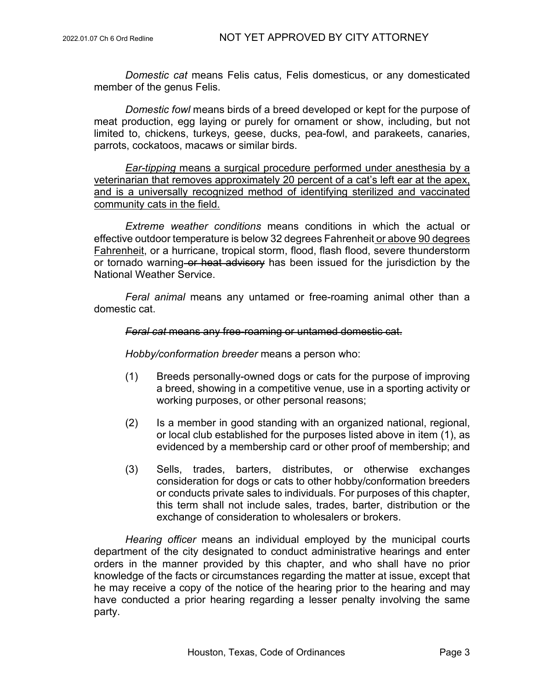*Domestic cat* means Felis catus, Felis domesticus, or any domesticated member of the genus Felis.

*Domestic fowl* means birds of a breed developed or kept for the purpose of meat production, egg laying or purely for ornament or show, including, but not limited to, chickens, turkeys, geese, ducks, pea-fowl, and parakeets, canaries, parrots, cockatoos, macaws or similar birds.

*Ear-tipping* means a surgical procedure performed under anesthesia by a veterinarian that removes approximately 20 percent of a cat's left ear at the apex, and is a universally recognized method of identifying sterilized and vaccinated community cats in the field.

*Extreme weather conditions* means conditions in which the actual or effective outdoor temperature is below 32 degrees Fahrenheit or above 90 degrees Fahrenheit, or a hurricane, tropical storm, flood, flash flood, severe thunderstorm or tornado warning or heat advisory has been issued for the jurisdiction by the National Weather Service.

*Feral animal* means any untamed or free-roaming animal other than a domestic cat.

#### *Feral cat* means any free-roaming or untamed domestic cat.

*Hobby/conformation breeder* means a person who:

- (1) Breeds personally-owned dogs or cats for the purpose of improving a breed, showing in a competitive venue, use in a sporting activity or working purposes, or other personal reasons;
- (2) Is a member in good standing with an organized national, regional, or local club established for the purposes listed above in item (1), as evidenced by a membership card or other proof of membership; and
- (3) Sells, trades, barters, distributes, or otherwise exchanges consideration for dogs or cats to other hobby/conformation breeders or conducts private sales to individuals. For purposes of this chapter, this term shall not include sales, trades, barter, distribution or the exchange of consideration to wholesalers or brokers.

*Hearing officer* means an individual employed by the municipal courts department of the city designated to conduct administrative hearings and enter orders in the manner provided by this chapter, and who shall have no prior knowledge of the facts or circumstances regarding the matter at issue, except that he may receive a copy of the notice of the hearing prior to the hearing and may have conducted a prior hearing regarding a lesser penalty involving the same party.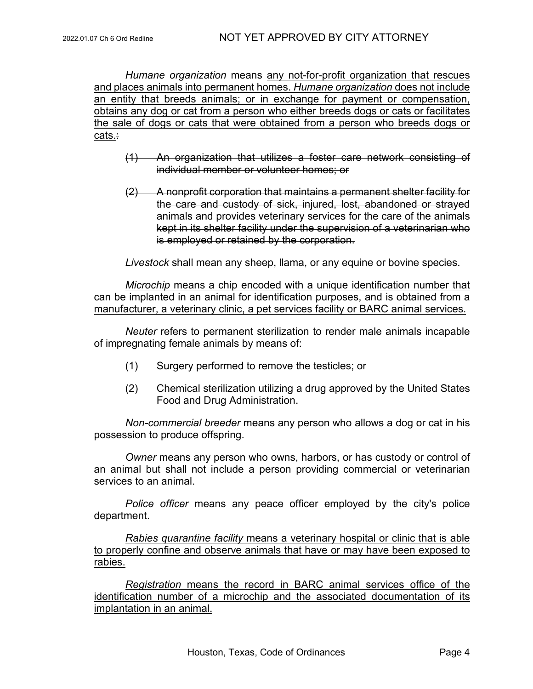*Humane organization* means any not-for-profit organization that rescues and places animals into permanent homes. *Humane organization* does not include an entity that breeds animals; or in exchange for payment or compensation, obtains any dog or cat from a person who either breeds dogs or cats or facilitates the sale of dogs or cats that were obtained from a person who breeds dogs or cats.:

- (1) An organization that utilizes a foster care network consisting of individual member or volunteer homes; or
- (2) A nonprofit corporation that maintains a permanent shelter facility for the care and custody of sick, injured, lost, abandoned or strayed animals and provides veterinary services for the care of the animals kept in its shelter facility under the supervision of a veterinarian who is employed or retained by the corporation.

*Livestock* shall mean any sheep, llama, or any equine or bovine species.

*Microchip* means a chip encoded with a unique identification number that can be implanted in an animal for identification purposes, and is obtained from a manufacturer, a veterinary clinic, a pet services facility or BARC animal services.

*Neuter* refers to permanent sterilization to render male animals incapable of impregnating female animals by means of:

- (1) Surgery performed to remove the testicles; or
- (2) Chemical sterilization utilizing a drug approved by the United States Food and Drug Administration.

*Non-commercial breeder* means any person who allows a dog or cat in his possession to produce offspring.

*Owner* means any person who owns, harbors, or has custody or control of an animal but shall not include a person providing commercial or veterinarian services to an animal.

*Police officer* means any peace officer employed by the city's police department.

*Rabies quarantine facility* means a veterinary hospital or clinic that is able to properly confine and observe animals that have or may have been exposed to rabies.

*Registration* means the record in BARC animal services office of the identification number of a microchip and the associated documentation of its implantation in an animal.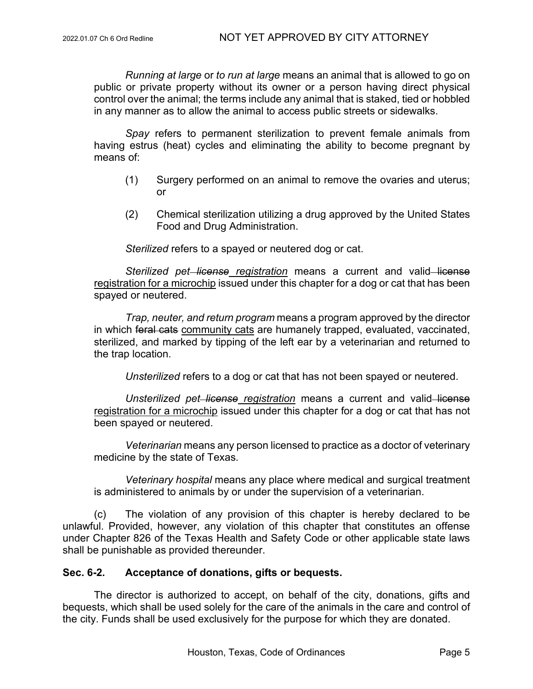*Running at large* or *to run at large* means an animal that is allowed to go on public or private property without its owner or a person having direct physical control over the animal; the terms include any animal that is staked, tied or hobbled in any manner as to allow the animal to access public streets or sidewalks.

*Spay* refers to permanent sterilization to prevent female animals from having estrus (heat) cycles and eliminating the ability to become pregnant by means of:

- (1) Surgery performed on an animal to remove the ovaries and uterus; or
- (2) Chemical sterilization utilizing a drug approved by the United States Food and Drug Administration.

*Sterilized* refers to a spayed or neutered dog or cat.

**Sterilized pet–license registration means a current and valid–license** registration for a microchip issued under this chapter for a dog or cat that has been spayed or neutered.

*Trap, neuter, and return program* means a program approved by the director in which feral cats community cats are humanely trapped, evaluated, vaccinated, sterilized, and marked by tipping of the left ear by a veterinarian and returned to the trap location.

*Unsterilized* refers to a dog or cat that has not been spayed or neutered.

*Unsterilized pet license registration* means a current and valid license registration for a microchip issued under this chapter for a dog or cat that has not been spayed or neutered.

*Veterinarian* means any person licensed to practice as a doctor of veterinary medicine by the state of Texas.

*Veterinary hospital* means any place where medical and surgical treatment is administered to animals by or under the supervision of a veterinarian.

(c) The violation of any provision of this chapter is hereby declared to be unlawful. Provided, however, any violation of this chapter that constitutes an offense under Chapter 826 of the Texas Health and Safety Code or other applicable state laws shall be punishable as provided thereunder.

# **Sec. 6-2. Acceptance of donations, gifts or bequests.**

The director is authorized to accept, on behalf of the city, donations, gifts and bequests, which shall be used solely for the care of the animals in the care and control of the city. Funds shall be used exclusively for the purpose for which they are donated.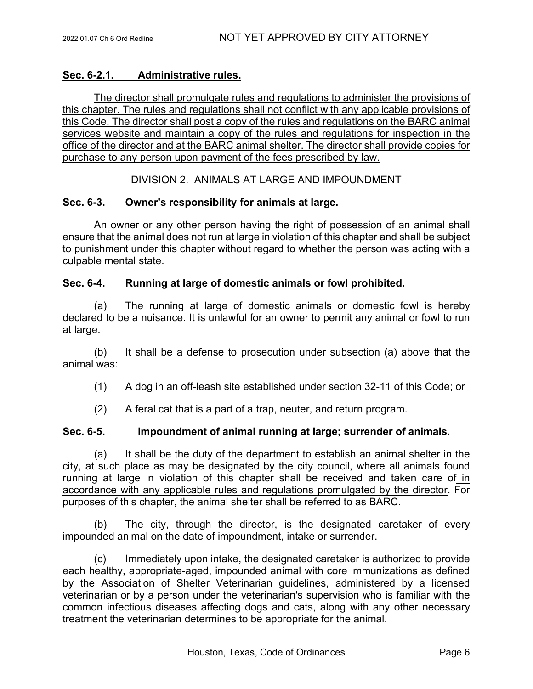# **Sec. 6-2.1. Administrative rules.**

The director shall promulgate rules and regulations to administer the provisions of this chapter. The rules and regulations shall not conflict with any applicable provisions of this Code. The director shall post a copy of the rules and regulations on the BARC animal services website and maintain a copy of the rules and regulations for inspection in the office of the director and at the BARC animal shelter. The director shall provide copies for purchase to any person upon payment of the fees prescribed by law.

DIVISION 2. ANIMALS AT LARGE AND IMPOUNDMENT

# **Sec. 6-3. Owner's responsibility for animals at large.**

An owner or any other person having the right of possession of an animal shall ensure that the animal does not run at large in violation of this chapter and shall be subject to punishment under this chapter without regard to whether the person was acting with a culpable mental state.

## **Sec. 6-4. Running at large of domestic animals or fowl prohibited.**

(a) The running at large of domestic animals or domestic fowl is hereby declared to be a nuisance. It is unlawful for an owner to permit any animal or fowl to run at large.

(b) It shall be a defense to prosecution under subsection (a) above that the animal was:

(1) A dog in an off-leash site established under section 32-11 of this Code; or

(2) A feral cat that is a part of a trap, neuter, and return program.

## **Sec. 6-5. Impoundment of animal running at large; surrender of animals.**

(a) It shall be the duty of the department to establish an animal shelter in the city, at such place as may be designated by the city council, where all animals found running at large in violation of this chapter shall be received and taken care of in accordance with any applicable rules and regulations promulgated by the director. purposes of this chapter, the animal shelter shall be referred to as BARC.

(b) The city, through the director, is the designated caretaker of every impounded animal on the date of impoundment, intake or surrender.

(c) Immediately upon intake, the designated caretaker is authorized to provide each healthy, appropriate-aged, impounded animal with core immunizations as defined by the Association of Shelter Veterinarian guidelines, administered by a licensed veterinarian or by a person under the veterinarian's supervision who is familiar with the common infectious diseases affecting dogs and cats, along with any other necessary treatment the veterinarian determines to be appropriate for the animal.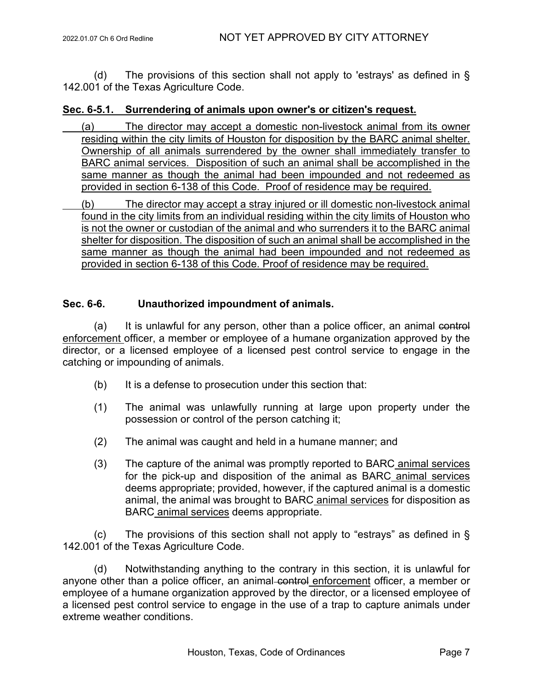(d) The provisions of this section shall not apply to 'estrays' as defined in § 142.001 of the Texas Agriculture Code.

## **Sec. 6-5.1. Surrendering of animals upon owner's or citizen's request.**

- (a) The director may accept a domestic non-livestock animal from its owner residing within the city limits of Houston for disposition by the BARC animal shelter. Ownership of all animals surrendered by the owner shall immediately transfer to BARC animal services. Disposition of such an animal shall be accomplished in the same manner as though the animal had been impounded and not redeemed as provided in section 6-138 of this Code. Proof of residence may be required.
- (b) The director may accept a stray injured or ill domestic non-livestock animal found in the city limits from an individual residing within the city limits of Houston who is not the owner or custodian of the animal and who surrenders it to the BARC animal shelter for disposition. The disposition of such an animal shall be accomplished in the same manner as though the animal had been impounded and not redeemed as provided in section 6-138 of this Code. Proof of residence may be required.

## **Sec. 6-6. Unauthorized impoundment of animals.**

 $(a)$  It is unlawful for any person, other than a police officer, an animal control enforcement officer, a member or employee of a humane organization approved by the director, or a licensed employee of a licensed pest control service to engage in the catching or impounding of animals.

- (b) It is a defense to prosecution under this section that:
- (1) The animal was unlawfully running at large upon property under the possession or control of the person catching it;
- (2) The animal was caught and held in a humane manner; and
- (3) The capture of the animal was promptly reported to BARC animal services for the pick-up and disposition of the animal as BARC animal services deems appropriate; provided, however, if the captured animal is a domestic animal, the animal was brought to BARC animal services for disposition as BARC animal services deems appropriate.

(c) The provisions of this section shall not apply to "estrays" as defined in § 142.001 of the Texas Agriculture Code.

(d) Notwithstanding anything to the contrary in this section, it is unlawful for anyone other than a police officer, an animal control enforcement officer, a member or employee of a humane organization approved by the director, or a licensed employee of a licensed pest control service to engage in the use of a trap to capture animals under extreme weather conditions.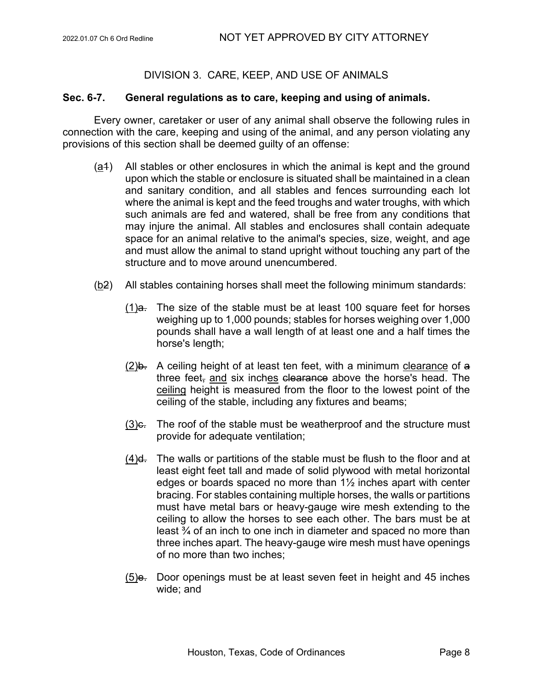# DIVISION 3. CARE, KEEP, AND USE OF ANIMALS

#### **Sec. 6-7. General regulations as to care, keeping and using of animals.**

Every owner, caretaker or user of any animal shall observe the following rules in connection with the care, keeping and using of the animal, and any person violating any provisions of this section shall be deemed guilty of an offense:

- (a1) All stables or other enclosures in which the animal is kept and the ground upon which the stable or enclosure is situated shall be maintained in a clean and sanitary condition, and all stables and fences surrounding each lot where the animal is kept and the feed troughs and water troughs, with which such animals are fed and watered, shall be free from any conditions that may injure the animal. All stables and enclosures shall contain adequate space for an animal relative to the animal's species, size, weight, and age and must allow the animal to stand upright without touching any part of the structure and to move around unencumbered.
- (b2) All stables containing horses shall meet the following minimum standards:
	- $(1)$ a. The size of the stable must be at least 100 square feet for horses weighing up to 1,000 pounds; stables for horses weighing over 1,000 pounds shall have a wall length of at least one and a half times the horse's length;
	- $(2)$ b. A ceiling height of at least ten feet, with a minimum clearance of a three feet, and six inches clearance above the horse's head. The ceiling height is measured from the floor to the lowest point of the ceiling of the stable, including any fixtures and beams;
	- $(3)$ e. The roof of the stable must be weatherproof and the structure must provide for adequate ventilation;
	- (4)d. The walls or partitions of the stable must be flush to the floor and at least eight feet tall and made of solid plywood with metal horizontal edges or boards spaced no more than 1½ inches apart with center bracing. For stables containing multiple horses, the walls or partitions must have metal bars or heavy-gauge wire mesh extending to the ceiling to allow the horses to see each other. The bars must be at least ¾ of an inch to one inch in diameter and spaced no more than three inches apart. The heavy-gauge wire mesh must have openings of no more than two inches;
	- $(5)$ e. Door openings must be at least seven feet in height and 45 inches wide; and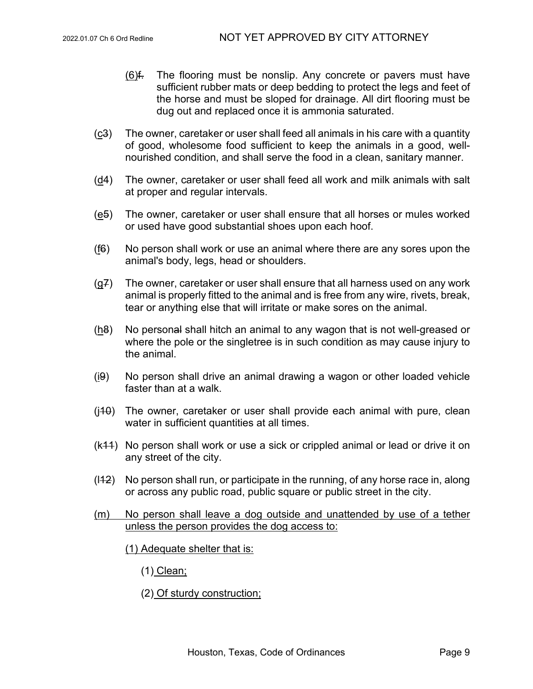- $(6)$ f. The flooring must be nonslip. Any concrete or pavers must have sufficient rubber mats or deep bedding to protect the legs and feet of the horse and must be sloped for drainage. All dirt flooring must be dug out and replaced once it is ammonia saturated.
- (c3) The owner, caretaker or user shall feed all animals in his care with a quantity of good, wholesome food sufficient to keep the animals in a good, wellnourished condition, and shall serve the food in a clean, sanitary manner.
- (d4) The owner, caretaker or user shall feed all work and milk animals with salt at proper and regular intervals.
- (e5) The owner, caretaker or user shall ensure that all horses or mules worked or used have good substantial shoes upon each hoof.
- (f6) No person shall work or use an animal where there are any sores upon the animal's body, legs, head or shoulders.
- $(g<sup>2</sup>)$  The owner, caretaker or user shall ensure that all harness used on any work animal is properly fitted to the animal and is free from any wire, rivets, break, tear or anything else that will irritate or make sores on the animal.
- (h<sub>8</sub>) No personal shall hitch an animal to any wagon that is not well-greased or where the pole or the singletree is in such condition as may cause injury to the animal.
- (i9) No person shall drive an animal drawing a wagon or other loaded vehicle faster than at a walk.
- $(i40)$  The owner, caretaker or user shall provide each animal with pure, clean water in sufficient quantities at all times.
- (k11) No person shall work or use a sick or crippled animal or lead or drive it on any street of the city.
- $(142)$  No person shall run, or participate in the running, of any horse race in, along or across any public road, public square or public street in the city.
- (m) No person shall leave a dog outside and unattended by use of a tether unless the person provides the dog access to:
	- (1) Adequate shelter that is:
		- (1) Clean;
		- (2) Of sturdy construction;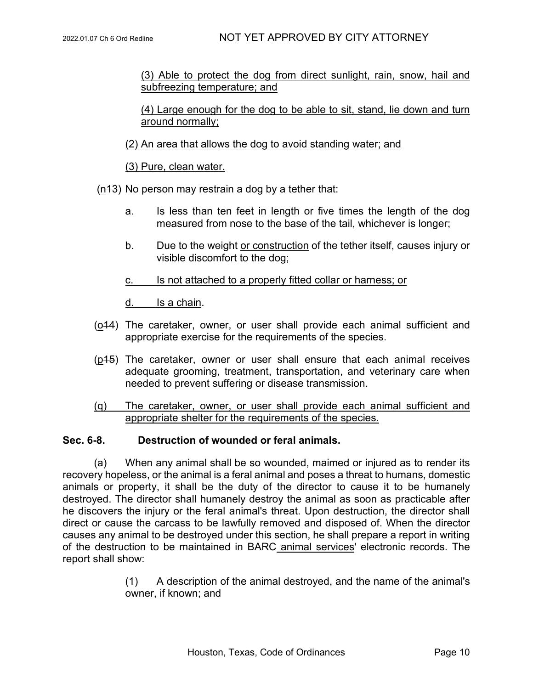(3) Able to protect the dog from direct sunlight, rain, snow, hail and subfreezing temperature; and

(4) Large enough for the dog to be able to sit, stand, lie down and turn around normally;

(2) An area that allows the dog to avoid standing water; and

(3) Pure, clean water.

(n13) No person may restrain a dog by a tether that:

- a. Is less than ten feet in length or five times the length of the dog measured from nose to the base of the tail, whichever is longer;
- b. Due to the weight or construction of the tether itself, causes injury or visible discomfort to the dog;
- c. Is not attached to a properly fitted collar or harness; or

d. Is a chain.

- (o14) The caretaker, owner, or user shall provide each animal sufficient and appropriate exercise for the requirements of the species.
- (p15) The caretaker, owner or user shall ensure that each animal receives adequate grooming, treatment, transportation, and veterinary care when needed to prevent suffering or disease transmission.
- (q) The caretaker, owner, or user shall provide each animal sufficient and appropriate shelter for the requirements of the species.

## **Sec. 6-8. Destruction of wounded or feral animals.**

(a) When any animal shall be so wounded, maimed or injured as to render its recovery hopeless, or the animal is a feral animal and poses a threat to humans, domestic animals or property, it shall be the duty of the director to cause it to be humanely destroyed. The director shall humanely destroy the animal as soon as practicable after he discovers the injury or the feral animal's threat. Upon destruction, the director shall direct or cause the carcass to be lawfully removed and disposed of. When the director causes any animal to be destroyed under this section, he shall prepare a report in writing of the destruction to be maintained in BARC animal services' electronic records. The report shall show:

> (1) A description of the animal destroyed, and the name of the animal's owner, if known; and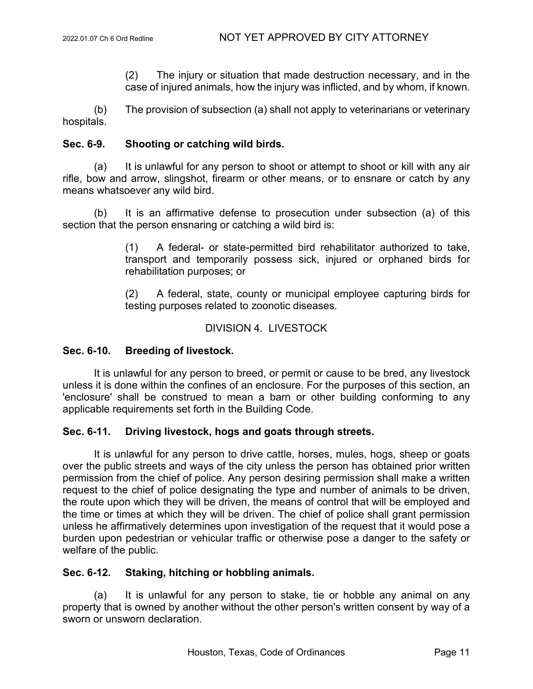(2) The injury or situation that made destruction necessary, and in the case of injured animals, how the injury was inflicted, and by whom, if known.

(b) The provision of subsection (a) shall not apply to veterinarians or veterinary hospitals.

## **Sec. 6-9. Shooting or catching wild birds.**

(a) It is unlawful for any person to shoot or attempt to shoot or kill with any air rifle, bow and arrow, slingshot, firearm or other means, or to ensnare or catch by any means whatsoever any wild bird.

(b) It is an affirmative defense to prosecution under subsection (a) of this section that the person ensnaring or catching a wild bird is:

> (1) A federal- or state-permitted bird rehabilitator authorized to take, transport and temporarily possess sick, injured or orphaned birds for rehabilitation purposes; or

> (2) A federal, state, county or municipal employee capturing birds for testing purposes related to zoonotic diseases.

## DIVISION 4. LIVESTOCK

# **Sec. 6-10. Breeding of livestock.**

It is unlawful for any person to breed, or permit or cause to be bred, any livestock unless it is done within the confines of an enclosure. For the purposes of this section, an 'enclosure' shall be construed to mean a barn or other building conforming to any applicable requirements set forth in the Building Code.

## **Sec. 6-11. Driving livestock, hogs and goats through streets.**

It is unlawful for any person to drive cattle, horses, mules, hogs, sheep or goats over the public streets and ways of the city unless the person has obtained prior written permission from the chief of police. Any person desiring permission shall make a written request to the chief of police designating the type and number of animals to be driven, the route upon which they will be driven, the means of control that will be employed and the time or times at which they will be driven. The chief of police shall grant permission unless he affirmatively determines upon investigation of the request that it would pose a burden upon pedestrian or vehicular traffic or otherwise pose a danger to the safety or welfare of the public.

## **Sec. 6-12. Staking, hitching or hobbling animals.**

(a) It is unlawful for any person to stake, tie or hobble any animal on any property that is owned by another without the other person's written consent by way of a sworn or unsworn declaration.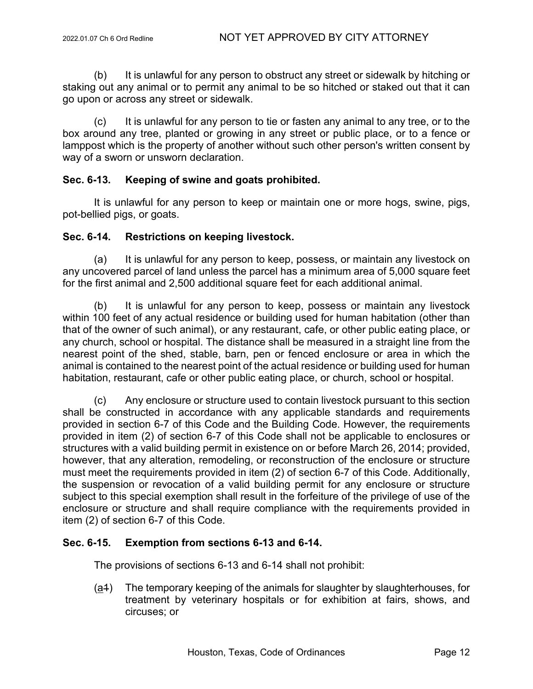(b) It is unlawful for any person to obstruct any street or sidewalk by hitching or staking out any animal or to permit any animal to be so hitched or staked out that it can go upon or across any street or sidewalk.

(c) It is unlawful for any person to tie or fasten any animal to any tree, or to the box around any tree, planted or growing in any street or public place, or to a fence or lamppost which is the property of another without such other person's written consent by way of a sworn or unsworn declaration.

## **Sec. 6-13. Keeping of swine and goats prohibited.**

It is unlawful for any person to keep or maintain one or more hogs, swine, pigs, pot-bellied pigs, or goats.

## **Sec. 6-14. Restrictions on keeping livestock.**

(a) It is unlawful for any person to keep, possess, or maintain any livestock on any uncovered parcel of land unless the parcel has a minimum area of 5,000 square feet for the first animal and 2,500 additional square feet for each additional animal.

(b) It is unlawful for any person to keep, possess or maintain any livestock within 100 feet of any actual residence or building used for human habitation (other than that of the owner of such animal), or any restaurant, cafe, or other public eating place, or any church, school or hospital. The distance shall be measured in a straight line from the nearest point of the shed, stable, barn, pen or fenced enclosure or area in which the animal is contained to the nearest point of the actual residence or building used for human habitation, restaurant, cafe or other public eating place, or church, school or hospital.

(c) Any enclosure or structure used to contain livestock pursuant to this section shall be constructed in accordance with any applicable standards and requirements provided in section 6-7 of this Code and the Building Code. However, the requirements provided in item (2) of section 6-7 of this Code shall not be applicable to enclosures or structures with a valid building permit in existence on or before March 26, 2014; provided, however, that any alteration, remodeling, or reconstruction of the enclosure or structure must meet the requirements provided in item (2) of section 6-7 of this Code. Additionally, the suspension or revocation of a valid building permit for any enclosure or structure subject to this special exemption shall result in the forfeiture of the privilege of use of the enclosure or structure and shall require compliance with the requirements provided in item (2) of section 6-7 of this Code.

# **Sec. 6-15. Exemption from sections 6-13 and 6-14.**

The provisions of sections 6-13 and 6-14 shall not prohibit:

(a1) The temporary keeping of the animals for slaughter by slaughterhouses, for treatment by veterinary hospitals or for exhibition at fairs, shows, and circuses; or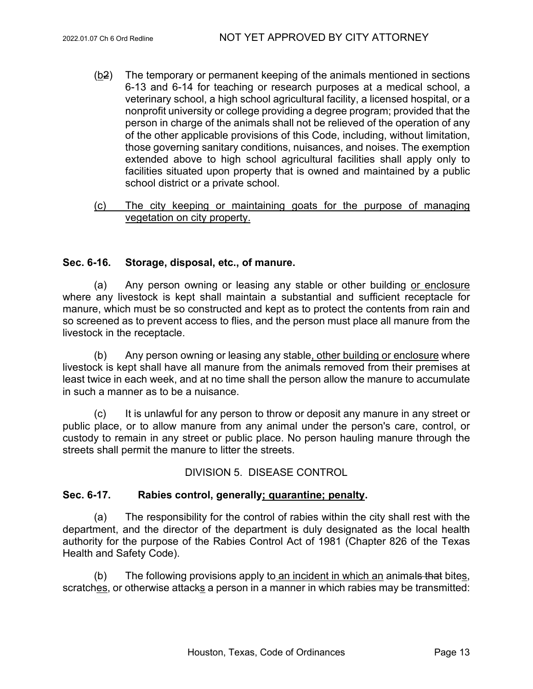- (b2) The temporary or permanent keeping of the animals mentioned in sections 6-13 and 6-14 for teaching or research purposes at a medical school, a veterinary school, a high school agricultural facility, a licensed hospital, or a nonprofit university or college providing a degree program; provided that the person in charge of the animals shall not be relieved of the operation of any of the other applicable provisions of this Code, including, without limitation, those governing sanitary conditions, nuisances, and noises. The exemption extended above to high school agricultural facilities shall apply only to facilities situated upon property that is owned and maintained by a public school district or a private school.
- (c) The city keeping or maintaining goats for the purpose of managing vegetation on city property.

# **Sec. 6-16. Storage, disposal, etc., of manure.**

(a) Any person owning or leasing any stable or other building or enclosure where any livestock is kept shall maintain a substantial and sufficient receptacle for manure, which must be so constructed and kept as to protect the contents from rain and so screened as to prevent access to flies, and the person must place all manure from the livestock in the receptacle.

(b) Any person owning or leasing any stable, other building or enclosure where livestock is kept shall have all manure from the animals removed from their premises at least twice in each week, and at no time shall the person allow the manure to accumulate in such a manner as to be a nuisance.

(c) It is unlawful for any person to throw or deposit any manure in any street or public place, or to allow manure from any animal under the person's care, control, or custody to remain in any street or public place. No person hauling manure through the streets shall permit the manure to litter the streets.

# DIVISION 5. DISEASE CONTROL

# **Sec. 6-17. Rabies control, generally; quarantine; penalty.**

(a) The responsibility for the control of rabies within the city shall rest with the department, and the director of the department is duly designated as the local health authority for the purpose of the Rabies Control Act of 1981 (Chapter 826 of the Texas Health and Safety Code).

 $(b)$  The following provisions apply to an incident in which an animals that bites, scratches, or otherwise attacks a person in a manner in which rabies may be transmitted: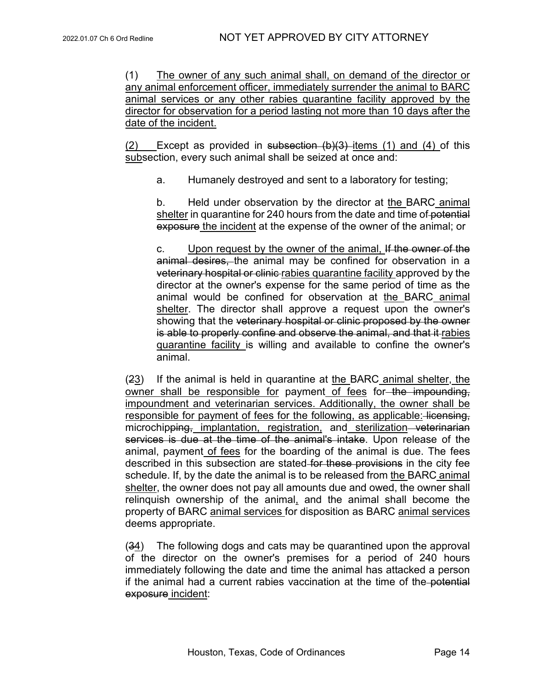(1) The owner of any such animal shall, on demand of the director or any animal enforcement officer, immediately surrender the animal to BARC animal services or any other rabies quarantine facility approved by the director for observation for a period lasting not more than 10 days after the date of the incident.

(2) Except as provided in subsection  $(b)(3)$  items (1) and (4) of this subsection, every such animal shall be seized at once and:

a. Humanely destroyed and sent to a laboratory for testing;

b. Held under observation by the director at the BARC animal shelter in quarantine for 240 hours from the date and time of potential exposure the incident at the expense of the owner of the animal; or

c. Upon request by the owner of the animal, If the owner of the animal desires, the animal may be confined for observation in a veterinary hospital or clinic rabies quarantine facility approved by the director at the owner's expense for the same period of time as the animal would be confined for observation at the BARC animal shelter. The director shall approve a request upon the owner's showing that the veterinary hospital or clinic proposed by the owner is able to properly confine and observe the animal, and that it rabies quarantine facility is willing and available to confine the owner's animal.

(23) If the animal is held in quarantine at the BARC animal shelter, the owner shall be responsible for payment of fees for the impounding, impoundment and veterinarian services. Additionally, the owner shall be responsible for payment of fees for the following, as applicable: licensing, microchipping, implantation, registration, and sterilization veterinarian services is due at the time of the animal's intake. Upon release of the animal, payment of fees for the boarding of the animal is due. The fees described in this subsection are stated for these provisions in the city fee schedule. If, by the date the animal is to be released from the BARC animal shelter, the owner does not pay all amounts due and owed, the owner shall relinquish ownership of the animal, and the animal shall become the property of BARC animal services for disposition as BARC animal services deems appropriate.

(34) The following dogs and cats may be quarantined upon the approval of the director on the owner's premises for a period of 240 hours immediately following the date and time the animal has attacked a person if the animal had a current rabies vaccination at the time of the potential exposure incident: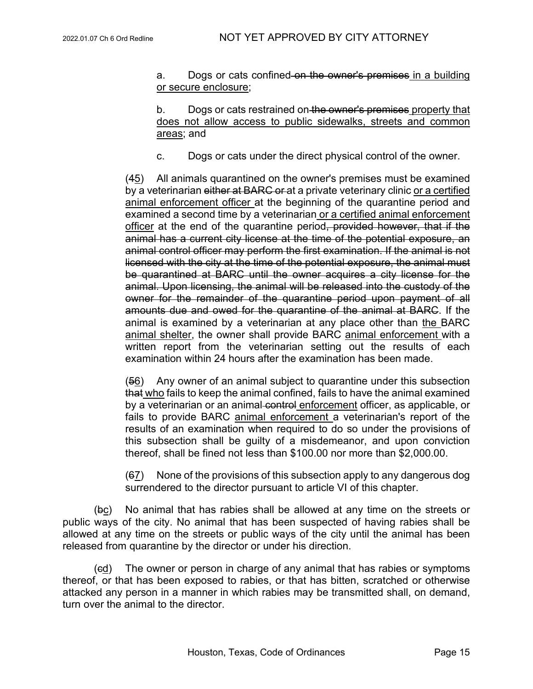a. Dogs or cats confined on the owner's premises in a building or secure enclosure;

b. Dogs or cats restrained on the owner's premises property that does not allow access to public sidewalks, streets and common areas; and

c. Dogs or cats under the direct physical control of the owner.

(45) All animals quarantined on the owner's premises must be examined by a veterinarian either at BARC or at a private veterinary clinic or a certified animal enforcement officer at the beginning of the quarantine period and examined a second time by a veterinarian or a certified animal enforcement officer at the end of the quarantine period, provided however, that if the animal has a current city license at the time of the potential exposure, an animal control officer may perform the first examination. If the animal is not licensed with the city at the time of the potential exposure, the animal must be quarantined at BARC until the owner acquires a city license for the animal. Upon licensing, the animal will be released into the custody of the owner for the remainder of the quarantine period upon payment of all amounts due and owed for the quarantine of the animal at BARC. If the animal is examined by a veterinarian at any place other than the BARC animal shelter, the owner shall provide BARC animal enforcement with a written report from the veterinarian setting out the results of each examination within 24 hours after the examination has been made.

(56) Any owner of an animal subject to quarantine under this subsection that who fails to keep the animal confined, fails to have the animal examined by a veterinarian or an animal-control enforcement officer, as applicable, or fails to provide BARC animal enforcement a veterinarian's report of the results of an examination when required to do so under the provisions of this subsection shall be guilty of a misdemeanor, and upon conviction thereof, shall be fined not less than \$100.00 nor more than \$2,000.00.

(67) None of the provisions of this subsection apply to any dangerous dog surrendered to the director pursuant to article VI of this chapter.

(bc) No animal that has rabies shall be allowed at any time on the streets or public ways of the city. No animal that has been suspected of having rabies shall be allowed at any time on the streets or public ways of the city until the animal has been released from quarantine by the director or under his direction.

(cd) The owner or person in charge of any animal that has rabies or symptoms thereof, or that has been exposed to rabies, or that has bitten, scratched or otherwise attacked any person in a manner in which rabies may be transmitted shall, on demand, turn over the animal to the director.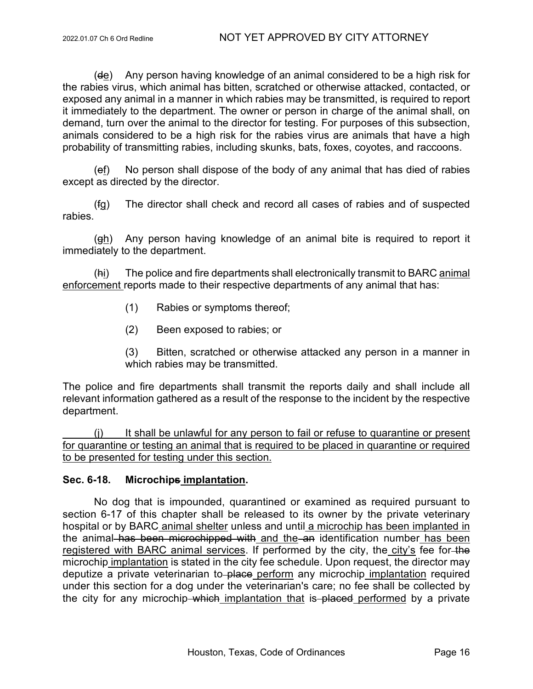(de) Any person having knowledge of an animal considered to be a high risk for the rabies virus, which animal has bitten, scratched or otherwise attacked, contacted, or exposed any animal in a manner in which rabies may be transmitted, is required to report it immediately to the department. The owner or person in charge of the animal shall, on demand, turn over the animal to the director for testing. For purposes of this subsection, animals considered to be a high risk for the rabies virus are animals that have a high probability of transmitting rabies, including skunks, bats, foxes, coyotes, and raccoons.

(ef) No person shall dispose of the body of any animal that has died of rabies except as directed by the director.

(fg) The director shall check and record all cases of rabies and of suspected rabies.

(gh) Any person having knowledge of an animal bite is required to report it immediately to the department.

(hi) The police and fire departments shall electronically transmit to BARC animal enforcement reports made to their respective departments of any animal that has:

- (1) Rabies or symptoms thereof;
- (2) Been exposed to rabies; or

(3) Bitten, scratched or otherwise attacked any person in a manner in which rabies may be transmitted.

The police and fire departments shall transmit the reports daily and shall include all relevant information gathered as a result of the response to the incident by the respective department.

(j) It shall be unlawful for any person to fail or refuse to quarantine or present for quarantine or testing an animal that is required to be placed in quarantine or required to be presented for testing under this section.

# **Sec. 6-18. Microchips implantation.**

No dog that is impounded, quarantined or examined as required pursuant to section 6-17 of this chapter shall be released to its owner by the private veterinary hospital or by BARC animal shelter unless and until a microchip has been implanted in the animal has been microchipped with and the an identification number has been registered with BARC animal services. If performed by the city, the city's fee for-the microchip implantation is stated in the city fee schedule. Upon request, the director may deputize a private veterinarian to place perform any microchip implantation required under this section for a dog under the veterinarian's care; no fee shall be collected by the city for any microchip which implantation that is placed performed by a private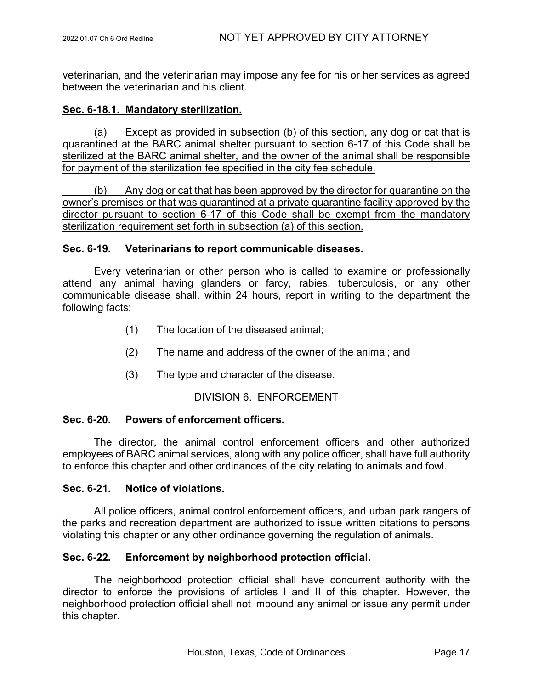veterinarian, and the veterinarian may impose any fee for his or her services as agreed between the veterinarian and his client.

## **Sec. 6-18.1. Mandatory sterilization.**

(a) Except as provided in subsection (b) of this section, any dog or cat that is quarantined at the BARC animal shelter pursuant to section 6-17 of this Code shall be sterilized at the BARC animal shelter, and the owner of the animal shall be responsible for payment of the sterilization fee specified in the city fee schedule.

(b) Any dog or cat that has been approved by the director for quarantine on the owner's premises or that was quarantined at a private quarantine facility approved by the director pursuant to section 6-17 of this Code shall be exempt from the mandatory sterilization requirement set forth in subsection (a) of this section.

## **Sec. 6-19. Veterinarians to report communicable diseases.**

Every veterinarian or other person who is called to examine or professionally attend any animal having glanders or farcy, rabies, tuberculosis, or any other communicable disease shall, within 24 hours, report in writing to the department the following facts:

- (1) The location of the diseased animal;
- (2) The name and address of the owner of the animal; and
- (3) The type and character of the disease.

## DIVISION 6. ENFORCEMENT

## **Sec. 6-20. Powers of enforcement officers.**

The director, the animal control enforcement officers and other authorized employees of BARC animal services, along with any police officer, shall have full authority to enforce this chapter and other ordinances of the city relating to animals and fowl.

## **Sec. 6-21. Notice of violations.**

All police officers, animal-control enforcement officers, and urban park rangers of the parks and recreation department are authorized to issue written citations to persons violating this chapter or any other ordinance governing the regulation of animals.

## **Sec. 6-22. Enforcement by neighborhood protection official.**

The neighborhood protection official shall have concurrent authority with the director to enforce the provisions of articles I and II of this chapter. However, the neighborhood protection official shall not impound any animal or issue any permit under this chapter.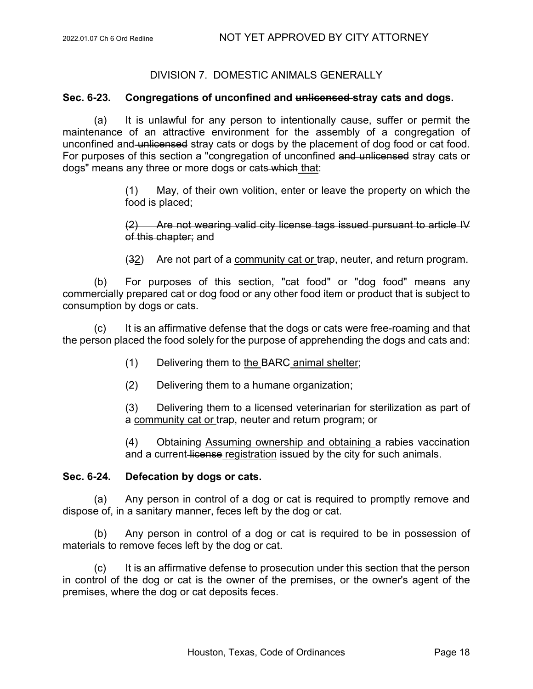# DIVISION 7. DOMESTIC ANIMALS GENERALLY

## **Sec. 6-23. Congregations of unconfined and unlicensed stray cats and dogs.**

(a) It is unlawful for any person to intentionally cause, suffer or permit the maintenance of an attractive environment for the assembly of a congregation of unconfined and unlicensed stray cats or dogs by the placement of dog food or cat food. For purposes of this section a "congregation of unconfined and unlicensed stray cats or dogs" means any three or more dogs or cats which that:

> (1) May, of their own volition, enter or leave the property on which the food is placed;

> (2) Are not wearing valid city license tags issued pursuant to article IV of this chapter; and

> (32) Are not part of a community cat or trap, neuter, and return program.

(b) For purposes of this section, "cat food" or "dog food" means any commercially prepared cat or dog food or any other food item or product that is subject to consumption by dogs or cats.

(c) It is an affirmative defense that the dogs or cats were free-roaming and that the person placed the food solely for the purpose of apprehending the dogs and cats and:

- (1) Delivering them to the BARC animal shelter;
- (2) Delivering them to a humane organization;

(3) Delivering them to a licensed veterinarian for sterilization as part of a community cat or trap, neuter and return program; or

(4) Obtaining Assuming ownership and obtaining a rabies vaccination and a current license registration issued by the city for such animals.

## **Sec. 6-24. Defecation by dogs or cats.**

(a) Any person in control of a dog or cat is required to promptly remove and dispose of, in a sanitary manner, feces left by the dog or cat.

(b) Any person in control of a dog or cat is required to be in possession of materials to remove feces left by the dog or cat.

(c) It is an affirmative defense to prosecution under this section that the person in control of the dog or cat is the owner of the premises, or the owner's agent of the premises, where the dog or cat deposits feces.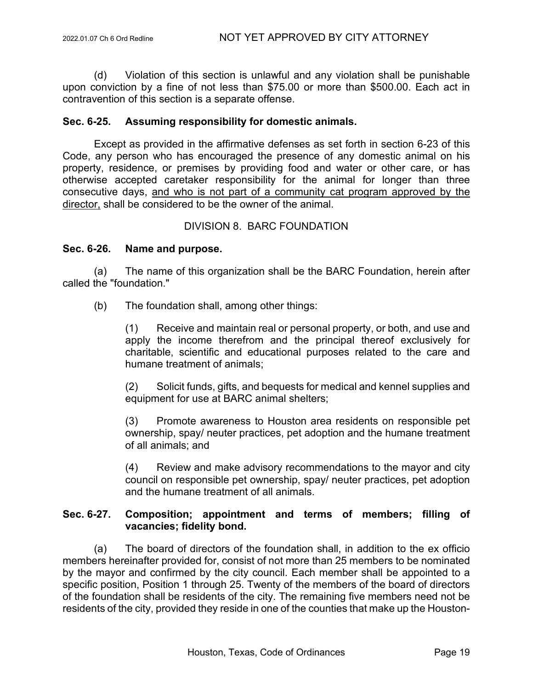(d) Violation of this section is unlawful and any violation shall be punishable upon conviction by a fine of not less than \$75.00 or more than \$500.00. Each act in contravention of this section is a separate offense.

## **Sec. 6-25. Assuming responsibility for domestic animals.**

Except as provided in the affirmative defenses as set forth in section 6-23 of this Code, any person who has encouraged the presence of any domestic animal on his property, residence, or premises by providing food and water or other care, or has otherwise accepted caretaker responsibility for the animal for longer than three consecutive days, and who is not part of a community cat program approved by the director, shall be considered to be the owner of the animal.

## DIVISION 8. BARC FOUNDATION

## **Sec. 6-26. Name and purpose.**

(a) The name of this organization shall be the BARC Foundation, herein after called the "foundation."

(b) The foundation shall, among other things:

(1) Receive and maintain real or personal property, or both, and use and apply the income therefrom and the principal thereof exclusively for charitable, scientific and educational purposes related to the care and humane treatment of animals;

(2) Solicit funds, gifts, and bequests for medical and kennel supplies and equipment for use at BARC animal shelters;

(3) Promote awareness to Houston area residents on responsible pet ownership, spay/ neuter practices, pet adoption and the humane treatment of all animals; and

(4) Review and make advisory recommendations to the mayor and city council on responsible pet ownership, spay/ neuter practices, pet adoption and the humane treatment of all animals.

# **Sec. 6-27. Composition; appointment and terms of members; filling of vacancies; fidelity bond.**

(a) The board of directors of the foundation shall, in addition to the ex officio members hereinafter provided for, consist of not more than 25 members to be nominated by the mayor and confirmed by the city council. Each member shall be appointed to a specific position, Position 1 through 25. Twenty of the members of the board of directors of the foundation shall be residents of the city. The remaining five members need not be residents of the city, provided they reside in one of the counties that make up the Houston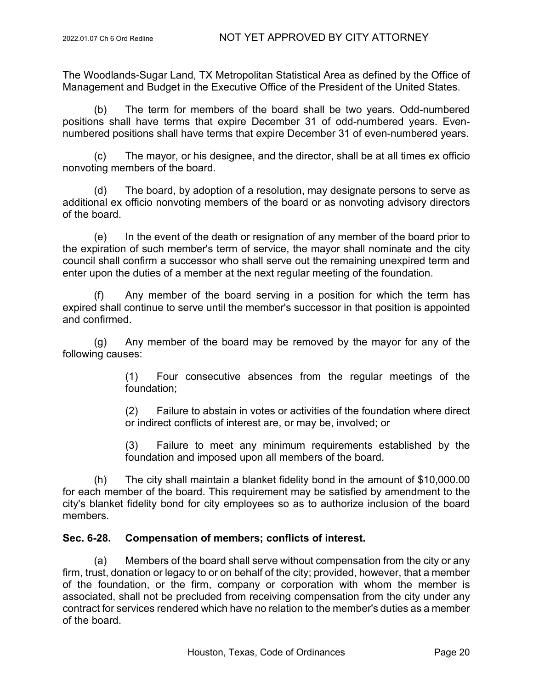The Woodlands-Sugar Land, TX Metropolitan Statistical Area as defined by the Office of Management and Budget in the Executive Office of the President of the United States.

(b) The term for members of the board shall be two years. Odd-numbered positions shall have terms that expire December 31 of odd-numbered years. Evennumbered positions shall have terms that expire December 31 of even-numbered years.

(c) The mayor, or his designee, and the director, shall be at all times ex officio nonvoting members of the board.

(d) The board, by adoption of a resolution, may designate persons to serve as additional ex officio nonvoting members of the board or as nonvoting advisory directors of the board.

(e) In the event of the death or resignation of any member of the board prior to the expiration of such member's term of service, the mayor shall nominate and the city council shall confirm a successor who shall serve out the remaining unexpired term and enter upon the duties of a member at the next regular meeting of the foundation.

(f) Any member of the board serving in a position for which the term has expired shall continue to serve until the member's successor in that position is appointed and confirmed.

(g) Any member of the board may be removed by the mayor for any of the following causes:

> (1) Four consecutive absences from the regular meetings of the foundation;

> (2) Failure to abstain in votes or activities of the foundation where direct or indirect conflicts of interest are, or may be, involved; or

> (3) Failure to meet any minimum requirements established by the foundation and imposed upon all members of the board.

(h) The city shall maintain a blanket fidelity bond in the amount of \$10,000.00 for each member of the board. This requirement may be satisfied by amendment to the city's blanket fidelity bond for city employees so as to authorize inclusion of the board members.

# **Sec. 6-28. Compensation of members; conflicts of interest.**

(a) Members of the board shall serve without compensation from the city or any firm, trust, donation or legacy to or on behalf of the city; provided, however, that a member of the foundation, or the firm, company or corporation with whom the member is associated, shall not be precluded from receiving compensation from the city under any contract for services rendered which have no relation to the member's duties as a member of the board.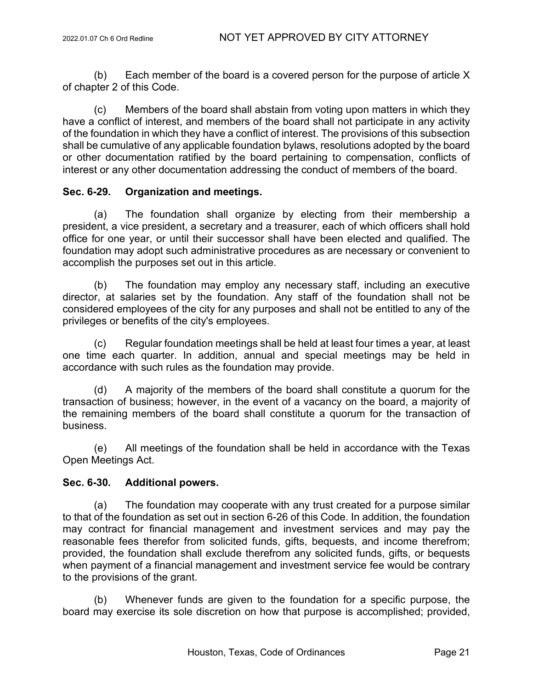(b) Each member of the board is a covered person for the purpose of article X of chapter 2 of this Code.

(c) Members of the board shall abstain from voting upon matters in which they have a conflict of interest, and members of the board shall not participate in any activity of the foundation in which they have a conflict of interest. The provisions of this subsection shall be cumulative of any applicable foundation bylaws, resolutions adopted by the board or other documentation ratified by the board pertaining to compensation, conflicts of interest or any other documentation addressing the conduct of members of the board.

## **Sec. 6-29. Organization and meetings.**

(a) The foundation shall organize by electing from their membership a president, a vice president, a secretary and a treasurer, each of which officers shall hold office for one year, or until their successor shall have been elected and qualified. The foundation may adopt such administrative procedures as are necessary or convenient to accomplish the purposes set out in this article.

(b) The foundation may employ any necessary staff, including an executive director, at salaries set by the foundation. Any staff of the foundation shall not be considered employees of the city for any purposes and shall not be entitled to any of the privileges or benefits of the city's employees.

(c) Regular foundation meetings shall be held at least four times a year, at least one time each quarter. In addition, annual and special meetings may be held in accordance with such rules as the foundation may provide.

(d) A majority of the members of the board shall constitute a quorum for the transaction of business; however, in the event of a vacancy on the board, a majority of the remaining members of the board shall constitute a quorum for the transaction of business.

(e) All meetings of the foundation shall be held in accordance with the Texas Open Meetings Act.

## **Sec. 6-30. Additional powers.**

(a) The foundation may cooperate with any trust created for a purpose similar to that of the foundation as set out in section 6-26 of this Code. In addition, the foundation may contract for financial management and investment services and may pay the reasonable fees therefor from solicited funds, gifts, bequests, and income therefrom; provided, the foundation shall exclude therefrom any solicited funds, gifts, or bequests when payment of a financial management and investment service fee would be contrary to the provisions of the grant.

(b) Whenever funds are given to the foundation for a specific purpose, the board may exercise its sole discretion on how that purpose is accomplished; provided,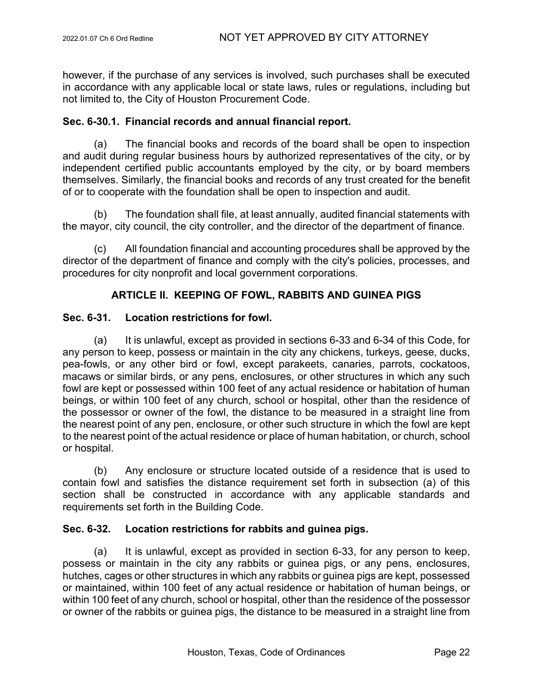however, if the purchase of any services is involved, such purchases shall be executed in accordance with any applicable local or state laws, rules or regulations, including but not limited to, the City of Houston Procurement Code.

## **Sec. 6-30.1. Financial records and annual financial report.**

(a) The financial books and records of the board shall be open to inspection and audit during regular business hours by authorized representatives of the city, or by independent certified public accountants employed by the city, or by board members themselves. Similarly, the financial books and records of any trust created for the benefit of or to cooperate with the foundation shall be open to inspection and audit.

(b) The foundation shall file, at least annually, audited financial statements with the mayor, city council, the city controller, and the director of the department of finance.

(c) All foundation financial and accounting procedures shall be approved by the director of the department of finance and comply with the city's policies, processes, and procedures for city nonprofit and local government corporations.

# **ARTICLE II. KEEPING OF FOWL, RABBITS AND GUINEA PIGS**

## **Sec. 6-31. Location restrictions for fowl.**

(a) It is unlawful, except as provided in sections 6-33 and 6-34 of this Code, for any person to keep, possess or maintain in the city any chickens, turkeys, geese, ducks, pea-fowls, or any other bird or fowl, except parakeets, canaries, parrots, cockatoos, macaws or similar birds, or any pens, enclosures, or other structures in which any such fowl are kept or possessed within 100 feet of any actual residence or habitation of human beings, or within 100 feet of any church, school or hospital, other than the residence of the possessor or owner of the fowl, the distance to be measured in a straight line from the nearest point of any pen, enclosure, or other such structure in which the fowl are kept to the nearest point of the actual residence or place of human habitation, or church, school or hospital.

(b) Any enclosure or structure located outside of a residence that is used to contain fowl and satisfies the distance requirement set forth in subsection (a) of this section shall be constructed in accordance with any applicable standards and requirements set forth in the Building Code.

## **Sec. 6-32. Location restrictions for rabbits and guinea pigs.**

(a) It is unlawful, except as provided in section 6-33, for any person to keep, possess or maintain in the city any rabbits or guinea pigs, or any pens, enclosures, hutches, cages or other structures in which any rabbits or guinea pigs are kept, possessed or maintained, within 100 feet of any actual residence or habitation of human beings, or within 100 feet of any church, school or hospital, other than the residence of the possessor or owner of the rabbits or guinea pigs, the distance to be measured in a straight line from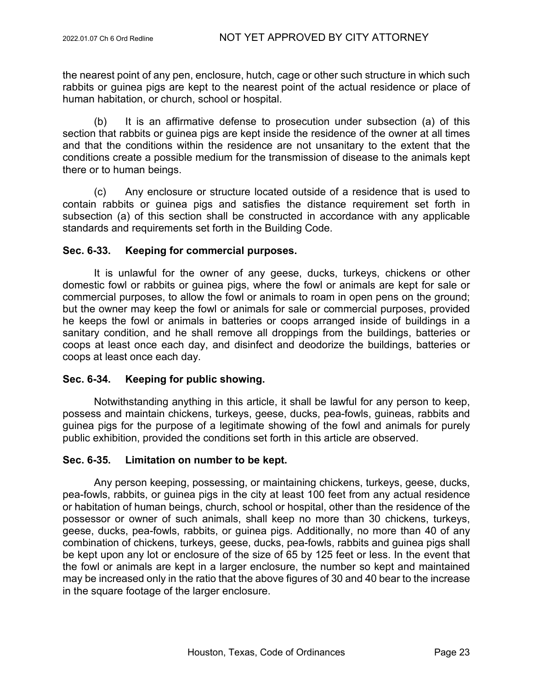the nearest point of any pen, enclosure, hutch, cage or other such structure in which such rabbits or guinea pigs are kept to the nearest point of the actual residence or place of human habitation, or church, school or hospital.

(b) It is an affirmative defense to prosecution under subsection (a) of this section that rabbits or guinea pigs are kept inside the residence of the owner at all times and that the conditions within the residence are not unsanitary to the extent that the conditions create a possible medium for the transmission of disease to the animals kept there or to human beings.

(c) Any enclosure or structure located outside of a residence that is used to contain rabbits or guinea pigs and satisfies the distance requirement set forth in subsection (a) of this section shall be constructed in accordance with any applicable standards and requirements set forth in the Building Code.

## **Sec. 6-33. Keeping for commercial purposes.**

It is unlawful for the owner of any geese, ducks, turkeys, chickens or other domestic fowl or rabbits or guinea pigs, where the fowl or animals are kept for sale or commercial purposes, to allow the fowl or animals to roam in open pens on the ground; but the owner may keep the fowl or animals for sale or commercial purposes, provided he keeps the fowl or animals in batteries or coops arranged inside of buildings in a sanitary condition, and he shall remove all droppings from the buildings, batteries or coops at least once each day, and disinfect and deodorize the buildings, batteries or coops at least once each day.

# **Sec. 6-34. Keeping for public showing.**

Notwithstanding anything in this article, it shall be lawful for any person to keep, possess and maintain chickens, turkeys, geese, ducks, pea-fowls, guineas, rabbits and guinea pigs for the purpose of a legitimate showing of the fowl and animals for purely public exhibition, provided the conditions set forth in this article are observed.

## **Sec. 6-35. Limitation on number to be kept.**

Any person keeping, possessing, or maintaining chickens, turkeys, geese, ducks, pea-fowls, rabbits, or guinea pigs in the city at least 100 feet from any actual residence or habitation of human beings, church, school or hospital, other than the residence of the possessor or owner of such animals, shall keep no more than 30 chickens, turkeys, geese, ducks, pea-fowls, rabbits, or guinea pigs. Additionally, no more than 40 of any combination of chickens, turkeys, geese, ducks, pea-fowls, rabbits and guinea pigs shall be kept upon any lot or enclosure of the size of 65 by 125 feet or less. In the event that the fowl or animals are kept in a larger enclosure, the number so kept and maintained may be increased only in the ratio that the above figures of 30 and 40 bear to the increase in the square footage of the larger enclosure.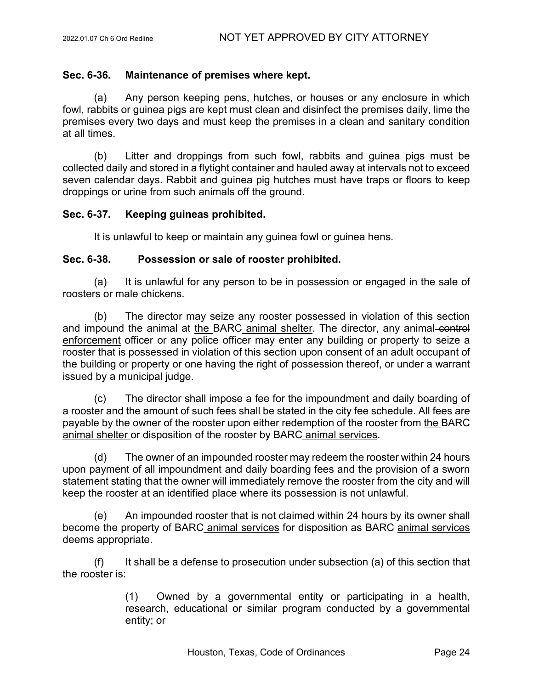## **Sec. 6-36. Maintenance of premises where kept.**

(a) Any person keeping pens, hutches, or houses or any enclosure in which fowl, rabbits or guinea pigs are kept must clean and disinfect the premises daily, lime the premises every two days and must keep the premises in a clean and sanitary condition at all times.

(b) Litter and droppings from such fowl, rabbits and guinea pigs must be collected daily and stored in a flytight container and hauled away at intervals not to exceed seven calendar days. Rabbit and guinea pig hutches must have traps or floors to keep droppings or urine from such animals off the ground.

## **Sec. 6-37. Keeping guineas prohibited.**

It is unlawful to keep or maintain any guinea fowl or guinea hens.

#### **Sec. 6-38. Possession or sale of rooster prohibited.**

(a) It is unlawful for any person to be in possession or engaged in the sale of roosters or male chickens.

(b) The director may seize any rooster possessed in violation of this section and impound the animal at the BARC animal shelter. The director, any animal-control enforcement officer or any police officer may enter any building or property to seize a rooster that is possessed in violation of this section upon consent of an adult occupant of the building or property or one having the right of possession thereof, or under a warrant issued by a municipal judge.

(c) The director shall impose a fee for the impoundment and daily boarding of a rooster and the amount of such fees shall be stated in the city fee schedule. All fees are payable by the owner of the rooster upon either redemption of the rooster from the BARC animal shelter or disposition of the rooster by BARC animal services.

(d) The owner of an impounded rooster may redeem the rooster within 24 hours upon payment of all impoundment and daily boarding fees and the provision of a sworn statement stating that the owner will immediately remove the rooster from the city and will keep the rooster at an identified place where its possession is not unlawful.

(e) An impounded rooster that is not claimed within 24 hours by its owner shall become the property of BARC animal services for disposition as BARC animal services deems appropriate.

 $(f)$  It shall be a defense to prosecution under subsection (a) of this section that the rooster is:

> (1) Owned by a governmental entity or participating in a health, research, educational or similar program conducted by a governmental entity; or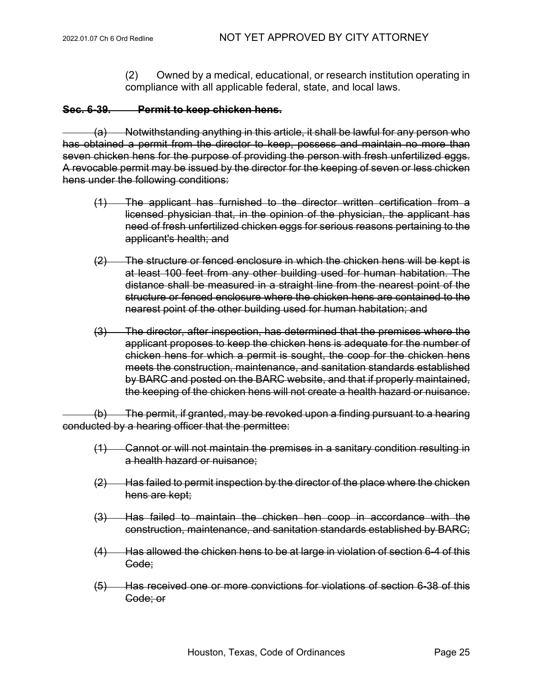(2) Owned by a medical, educational, or research institution operating in compliance with all applicable federal, state, and local laws.

## **Sec. 6-39. Permit to keep chicken hens.**

(a) Notwithstanding anything in this article, it shall be lawful for any person who has obtained a permit from the director to keep, possess and maintain no more than seven chicken hens for the purpose of providing the person with fresh unfertilized eggs. A revocable permit may be issued by the director for the keeping of seven or less chicken hens under the following conditions:

- (1) The applicant has furnished to the director written certification from a licensed physician that, in the opinion of the physician, the applicant has need of fresh unfertilized chicken eggs for serious reasons pertaining to the applicant's health; and
- (2) The structure or fenced enclosure in which the chicken hens will be kept is at least 100 feet from any other building used for human habitation. The distance shall be measured in a straight line from the nearest point of the structure or fenced enclosure where the chicken hens are contained to the nearest point of the other building used for human habitation; and
- (3) The director, after inspection, has determined that the premises where the applicant proposes to keep the chicken hens is adequate for the number of chicken hens for which a permit is sought, the coop for the chicken hens meets the construction, maintenance, and sanitation standards established by BARC and posted on the BARC website, and that if properly maintained, the keeping of the chicken hens will not create a health hazard or nuisance.

(b) The permit, if granted, may be revoked upon a finding pursuant to a hearing conducted by a hearing officer that the permittee:

- (1) Cannot or will not maintain the premises in a sanitary condition resulting in a health hazard or nuisance;
- $(2)$  Has failed to permit inspection by the director of the place where the chicken hens are kept;
- (3) Has failed to maintain the chicken hen coop in accordance with the construction, maintenance, and sanitation standards established by BARC;
- (4) Has allowed the chicken hens to be at large in violation of section 6-4 of this Code;
- (5) Has received one or more convictions for violations of section 6-38 of this Code; or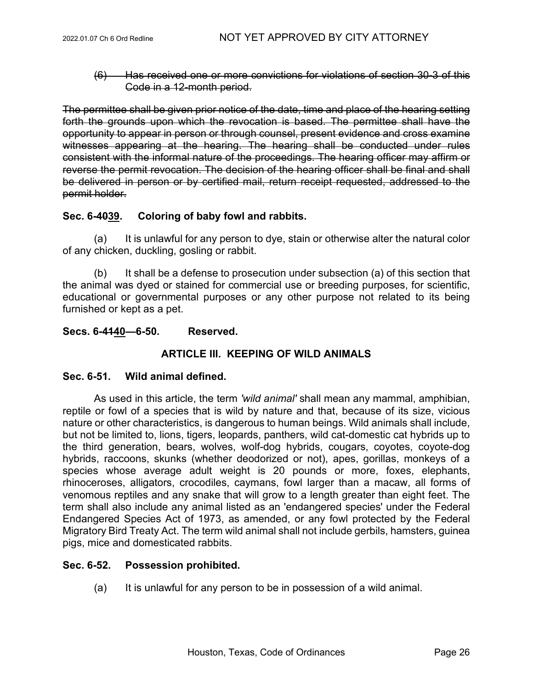(6) Has received one or more convictions for violations of section 30-3 of this Code in a 12-month period.

The permittee shall be given prior notice of the date, time and place of the hearing setting forth the grounds upon which the revocation is based. The permittee shall have the opportunity to appear in person or through counsel, present evidence and cross examine witnesses appearing at the hearing. The hearing shall be conducted under rules consistent with the informal nature of the proceedings. The hearing officer may affirm or reverse the permit revocation. The decision of the hearing officer shall be final and shall be delivered in person or by certified mail, return receipt requested, addressed to the permit holder.

## **Sec. 6-4039. Coloring of baby fowl and rabbits.**

(a) It is unlawful for any person to dye, stain or otherwise alter the natural color of any chicken, duckling, gosling or rabbit.

(b) It shall be a defense to prosecution under subsection (a) of this section that the animal was dyed or stained for commercial use or breeding purposes, for scientific, educational or governmental purposes or any other purpose not related to its being furnished or kept as a pet.

## **Secs. 6-4140—6-50. Reserved.**

# **ARTICLE III. KEEPING OF WILD ANIMALS**

## **Sec. 6-51. Wild animal defined.**

As used in this article, the term *'wild animal'* shall mean any mammal, amphibian, reptile or fowl of a species that is wild by nature and that, because of its size, vicious nature or other characteristics, is dangerous to human beings. Wild animals shall include, but not be limited to, lions, tigers, leopards, panthers, wild cat-domestic cat hybrids up to the third generation, bears, wolves, wolf-dog hybrids, cougars, coyotes, coyote-dog hybrids, raccoons, skunks (whether deodorized or not), apes, gorillas, monkeys of a species whose average adult weight is 20 pounds or more, foxes, elephants, rhinoceroses, alligators, crocodiles, caymans, fowl larger than a macaw, all forms of venomous reptiles and any snake that will grow to a length greater than eight feet. The term shall also include any animal listed as an 'endangered species' under the Federal Endangered Species Act of 1973, as amended, or any fowl protected by the Federal Migratory Bird Treaty Act. The term wild animal shall not include gerbils, hamsters, guinea pigs, mice and domesticated rabbits.

## **Sec. 6-52. Possession prohibited.**

(a) It is unlawful for any person to be in possession of a wild animal.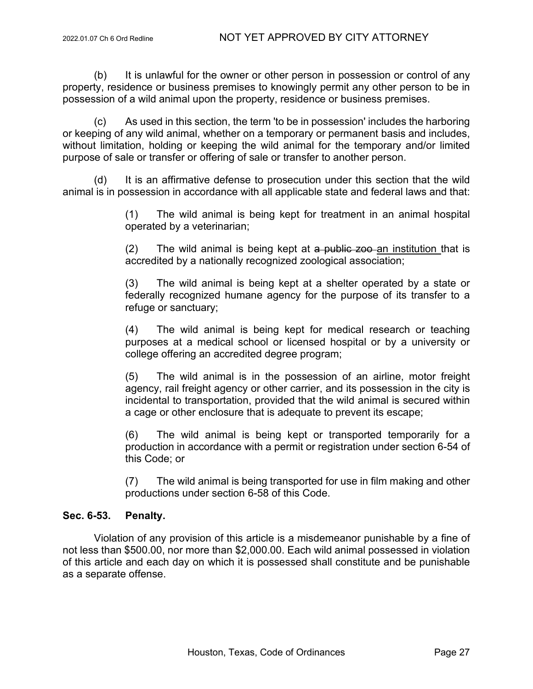(b) It is unlawful for the owner or other person in possession or control of any property, residence or business premises to knowingly permit any other person to be in possession of a wild animal upon the property, residence or business premises.

(c) As used in this section, the term 'to be in possession' includes the harboring or keeping of any wild animal, whether on a temporary or permanent basis and includes, without limitation, holding or keeping the wild animal for the temporary and/or limited purpose of sale or transfer or offering of sale or transfer to another person.

(d) It is an affirmative defense to prosecution under this section that the wild animal is in possession in accordance with all applicable state and federal laws and that:

> (1) The wild animal is being kept for treatment in an animal hospital operated by a veterinarian;

> $(2)$  The wild animal is being kept at a public zoo an institution that is accredited by a nationally recognized zoological association;

> (3) The wild animal is being kept at a shelter operated by a state or federally recognized humane agency for the purpose of its transfer to a refuge or sanctuary;

> (4) The wild animal is being kept for medical research or teaching purposes at a medical school or licensed hospital or by a university or college offering an accredited degree program;

> (5) The wild animal is in the possession of an airline, motor freight agency, rail freight agency or other carrier, and its possession in the city is incidental to transportation, provided that the wild animal is secured within a cage or other enclosure that is adequate to prevent its escape;

> (6) The wild animal is being kept or transported temporarily for a production in accordance with a permit or registration under section 6-54 of this Code; or

> (7) The wild animal is being transported for use in film making and other productions under section 6-58 of this Code.

# **Sec. 6-53. Penalty.**

Violation of any provision of this article is a misdemeanor punishable by a fine of not less than \$500.00, nor more than \$2,000.00. Each wild animal possessed in violation of this article and each day on which it is possessed shall constitute and be punishable as a separate offense.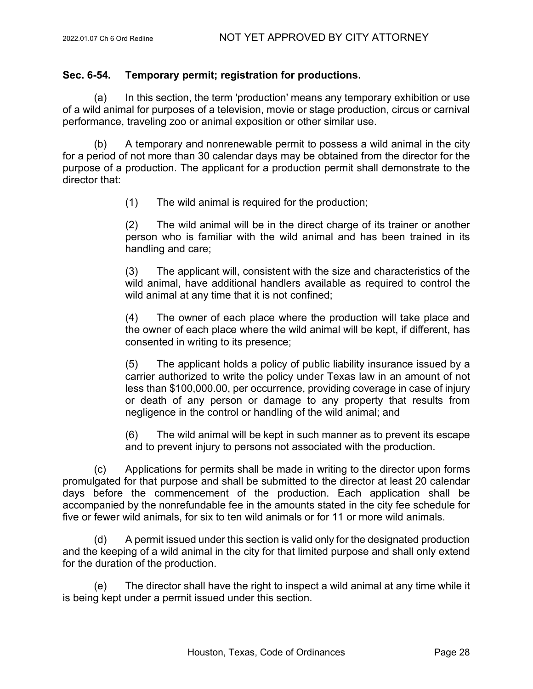## **Sec. 6-54. Temporary permit; registration for productions.**

(a) In this section, the term 'production' means any temporary exhibition or use of a wild animal for purposes of a television, movie or stage production, circus or carnival performance, traveling zoo or animal exposition or other similar use.

(b) A temporary and nonrenewable permit to possess a wild animal in the city for a period of not more than 30 calendar days may be obtained from the director for the purpose of a production. The applicant for a production permit shall demonstrate to the director that:

(1) The wild animal is required for the production;

(2) The wild animal will be in the direct charge of its trainer or another person who is familiar with the wild animal and has been trained in its handling and care;

(3) The applicant will, consistent with the size and characteristics of the wild animal, have additional handlers available as required to control the wild animal at any time that it is not confined;

(4) The owner of each place where the production will take place and the owner of each place where the wild animal will be kept, if different, has consented in writing to its presence;

(5) The applicant holds a policy of public liability insurance issued by a carrier authorized to write the policy under Texas law in an amount of not less than \$100,000.00, per occurrence, providing coverage in case of injury or death of any person or damage to any property that results from negligence in the control or handling of the wild animal; and

(6) The wild animal will be kept in such manner as to prevent its escape and to prevent injury to persons not associated with the production.

(c) Applications for permits shall be made in writing to the director upon forms promulgated for that purpose and shall be submitted to the director at least 20 calendar days before the commencement of the production. Each application shall be accompanied by the nonrefundable fee in the amounts stated in the city fee schedule for five or fewer wild animals, for six to ten wild animals or for 11 or more wild animals.

(d) A permit issued under this section is valid only for the designated production and the keeping of a wild animal in the city for that limited purpose and shall only extend for the duration of the production.

(e) The director shall have the right to inspect a wild animal at any time while it is being kept under a permit issued under this section.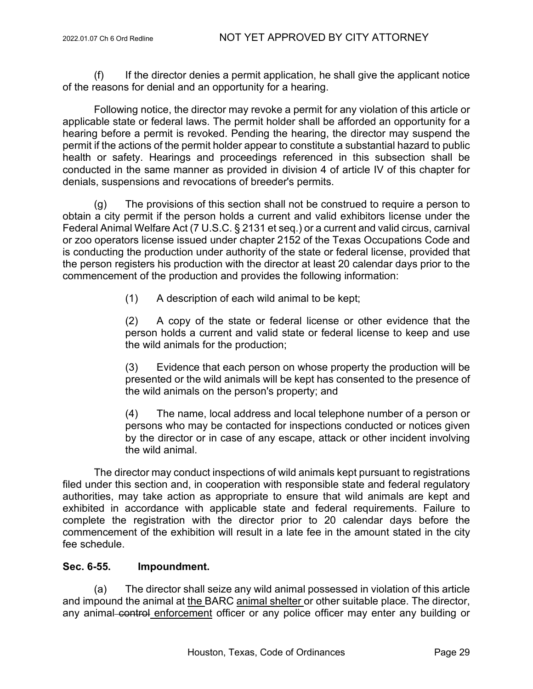(f) If the director denies a permit application, he shall give the applicant notice of the reasons for denial and an opportunity for a hearing.

Following notice, the director may revoke a permit for any violation of this article or applicable state or federal laws. The permit holder shall be afforded an opportunity for a hearing before a permit is revoked. Pending the hearing, the director may suspend the permit if the actions of the permit holder appear to constitute a substantial hazard to public health or safety. Hearings and proceedings referenced in this subsection shall be conducted in the same manner as provided in division 4 of article IV of this chapter for denials, suspensions and revocations of breeder's permits.

(g) The provisions of this section shall not be construed to require a person to obtain a city permit if the person holds a current and valid exhibitors license under the Federal Animal Welfare Act (7 U.S.C. § 2131 et seq.) or a current and valid circus, carnival or zoo operators license issued under chapter 2152 of the Texas Occupations Code and is conducting the production under authority of the state or federal license, provided that the person registers his production with the director at least 20 calendar days prior to the commencement of the production and provides the following information:

(1) A description of each wild animal to be kept;

(2) A copy of the state or federal license or other evidence that the person holds a current and valid state or federal license to keep and use the wild animals for the production;

(3) Evidence that each person on whose property the production will be presented or the wild animals will be kept has consented to the presence of the wild animals on the person's property; and

(4) The name, local address and local telephone number of a person or persons who may be contacted for inspections conducted or notices given by the director or in case of any escape, attack or other incident involving the wild animal.

The director may conduct inspections of wild animals kept pursuant to registrations filed under this section and, in cooperation with responsible state and federal regulatory authorities, may take action as appropriate to ensure that wild animals are kept and exhibited in accordance with applicable state and federal requirements. Failure to complete the registration with the director prior to 20 calendar days before the commencement of the exhibition will result in a late fee in the amount stated in the city fee schedule.

# **Sec. 6-55. Impoundment.**

(a) The director shall seize any wild animal possessed in violation of this article and impound the animal at the BARC animal shelter or other suitable place. The director, any animal control enforcement officer or any police officer may enter any building or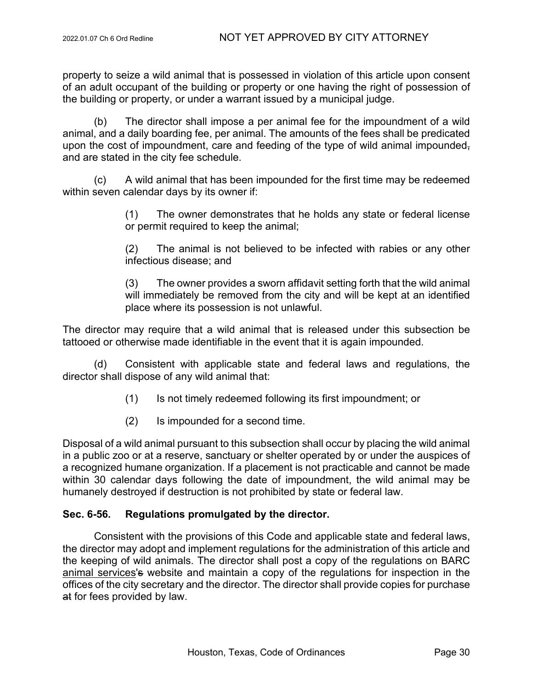property to seize a wild animal that is possessed in violation of this article upon consent of an adult occupant of the building or property or one having the right of possession of the building or property, or under a warrant issued by a municipal judge.

(b) The director shall impose a per animal fee for the impoundment of a wild animal, and a daily boarding fee, per animal. The amounts of the fees shall be predicated upon the cost of impoundment, care and feeding of the type of wild animal impounded, and are stated in the city fee schedule.

(c) A wild animal that has been impounded for the first time may be redeemed within seven calendar days by its owner if:

> (1) The owner demonstrates that he holds any state or federal license or permit required to keep the animal;

> (2) The animal is not believed to be infected with rabies or any other infectious disease; and

> (3) The owner provides a sworn affidavit setting forth that the wild animal will immediately be removed from the city and will be kept at an identified place where its possession is not unlawful.

The director may require that a wild animal that is released under this subsection be tattooed or otherwise made identifiable in the event that it is again impounded.

(d) Consistent with applicable state and federal laws and regulations, the director shall dispose of any wild animal that:

- (1) Is not timely redeemed following its first impoundment; or
- (2) Is impounded for a second time.

Disposal of a wild animal pursuant to this subsection shall occur by placing the wild animal in a public zoo or at a reserve, sanctuary or shelter operated by or under the auspices of a recognized humane organization. If a placement is not practicable and cannot be made within 30 calendar days following the date of impoundment, the wild animal may be humanely destroyed if destruction is not prohibited by state or federal law.

# **Sec. 6-56. Regulations promulgated by the director.**

Consistent with the provisions of this Code and applicable state and federal laws, the director may adopt and implement regulations for the administration of this article and the keeping of wild animals. The director shall post a copy of the regulations on BARC animal services's website and maintain a copy of the regulations for inspection in the offices of the city secretary and the director. The director shall provide copies for purchase at for fees provided by law.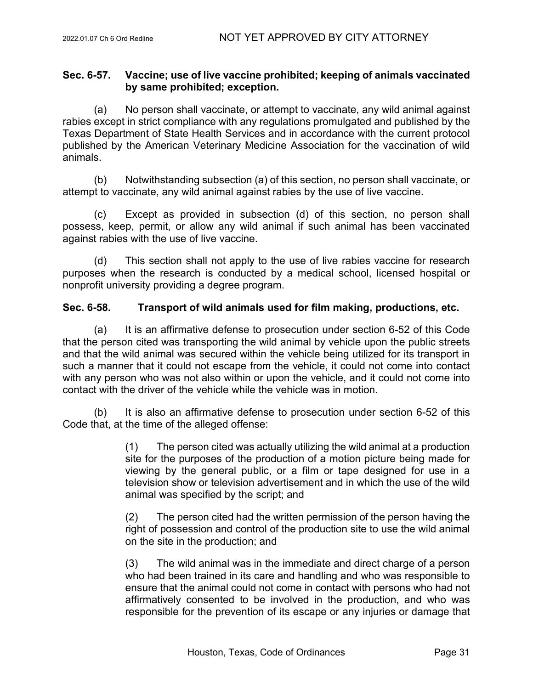## **Sec. 6-57. Vaccine; use of live vaccine prohibited; keeping of animals vaccinated by same prohibited; exception.**

(a) No person shall vaccinate, or attempt to vaccinate, any wild animal against rabies except in strict compliance with any regulations promulgated and published by the Texas Department of State Health Services and in accordance with the current protocol published by the American Veterinary Medicine Association for the vaccination of wild animals.

(b) Notwithstanding subsection (a) of this section, no person shall vaccinate, or attempt to vaccinate, any wild animal against rabies by the use of live vaccine.

(c) Except as provided in subsection (d) of this section, no person shall possess, keep, permit, or allow any wild animal if such animal has been vaccinated against rabies with the use of live vaccine.

(d) This section shall not apply to the use of live rabies vaccine for research purposes when the research is conducted by a medical school, licensed hospital or nonprofit university providing a degree program.

# **Sec. 6-58. Transport of wild animals used for film making, productions, etc.**

(a) It is an affirmative defense to prosecution under section 6-52 of this Code that the person cited was transporting the wild animal by vehicle upon the public streets and that the wild animal was secured within the vehicle being utilized for its transport in such a manner that it could not escape from the vehicle, it could not come into contact with any person who was not also within or upon the vehicle, and it could not come into contact with the driver of the vehicle while the vehicle was in motion.

 $(b)$  It is also an affirmative defense to prosecution under section 6-52 of this Code that, at the time of the alleged offense:

> (1) The person cited was actually utilizing the wild animal at a production site for the purposes of the production of a motion picture being made for viewing by the general public, or a film or tape designed for use in a television show or television advertisement and in which the use of the wild animal was specified by the script; and

> (2) The person cited had the written permission of the person having the right of possession and control of the production site to use the wild animal on the site in the production; and

> (3) The wild animal was in the immediate and direct charge of a person who had been trained in its care and handling and who was responsible to ensure that the animal could not come in contact with persons who had not affirmatively consented to be involved in the production, and who was responsible for the prevention of its escape or any injuries or damage that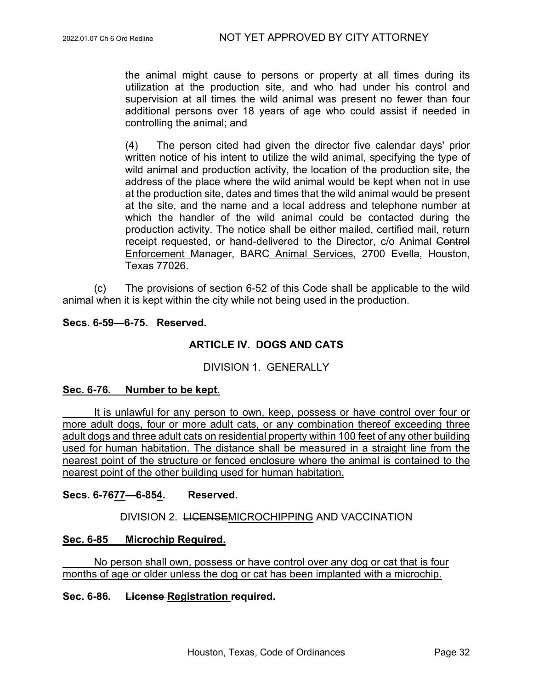the animal might cause to persons or property at all times during its utilization at the production site, and who had under his control and supervision at all times the wild animal was present no fewer than four additional persons over 18 years of age who could assist if needed in controlling the animal; and

(4) The person cited had given the director five calendar days' prior written notice of his intent to utilize the wild animal, specifying the type of wild animal and production activity, the location of the production site, the address of the place where the wild animal would be kept when not in use at the production site, dates and times that the wild animal would be present at the site, and the name and a local address and telephone number at which the handler of the wild animal could be contacted during the production activity. The notice shall be either mailed, certified mail, return receipt requested, or hand-delivered to the Director, c/o Animal Control Enforcement Manager, BARC Animal Services, 2700 Evella, Houston, Texas 77026.

(c) The provisions of section 6-52 of this Code shall be applicable to the wild animal when it is kept within the city while not being used in the production.

## **Secs. 6-59—6-75. Reserved.**

# **ARTICLE IV. DOGS AND CATS**

## DIVISION 1. GENERALLY

## **Sec. 6-76. Number to be kept.**

It is unlawful for any person to own, keep, possess or have control over four or more adult dogs, four or more adult cats, or any combination thereof exceeding three adult dogs and three adult cats on residential property within 100 feet of any other building used for human habitation. The distance shall be measured in a straight line from the nearest point of the structure or fenced enclosure where the animal is contained to the nearest point of the other building used for human habitation.

#### **Secs. 6-7677—6-854. Reserved.**

DIVISION 2. LICENSEMICROCHIPPING AND VACCINATION

#### **Sec. 6-85 Microchip Required.**

No person shall own, possess or have control over any dog or cat that is four months of age or older unless the dog or cat has been implanted with a microchip.

#### **Sec. 6-86. License Registration required.**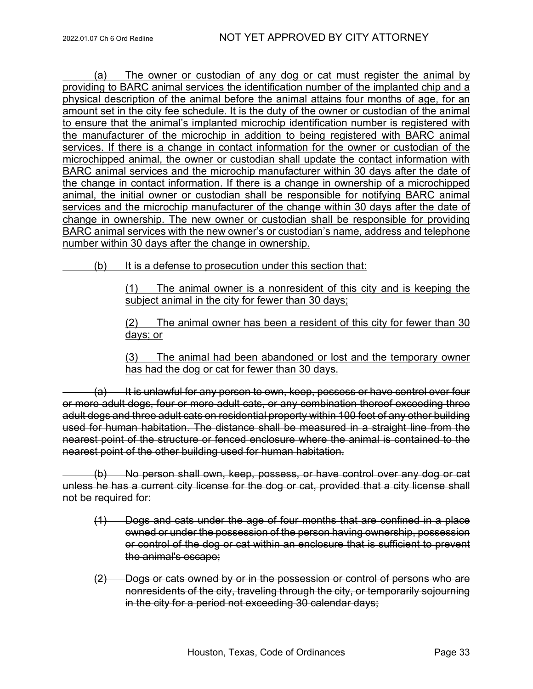(a) The owner or custodian of any dog or cat must register the animal by providing to BARC animal services the identification number of the implanted chip and a physical description of the animal before the animal attains four months of age, for an amount set in the city fee schedule. It is the duty of the owner or custodian of the animal to ensure that the animal's implanted microchip identification number is registered with the manufacturer of the microchip in addition to being registered with BARC animal services. If there is a change in contact information for the owner or custodian of the microchipped animal, the owner or custodian shall update the contact information with BARC animal services and the microchip manufacturer within 30 days after the date of the change in contact information. If there is a change in ownership of a microchipped animal, the initial owner or custodian shall be responsible for notifying BARC animal services and the microchip manufacturer of the change within 30 days after the date of change in ownership. The new owner or custodian shall be responsible for providing BARC animal services with the new owner's or custodian's name, address and telephone number within 30 days after the change in ownership.

(b) It is a defense to prosecution under this section that:

(1) The animal owner is a nonresident of this city and is keeping the subject animal in the city for fewer than 30 days;

(2) The animal owner has been a resident of this city for fewer than 30 days; or

(3) The animal had been abandoned or lost and the temporary owner has had the dog or cat for fewer than 30 days.

(a) It is unlawful for any person to own, keep, possess or have control over four or more adult dogs, four or more adult cats, or any combination thereof exceeding three adult dogs and three adult cats on residential property within 100 feet of any other building used for human habitation. The distance shall be measured in a straight line from the nearest point of the structure or fenced enclosure where the animal is contained to the nearest point of the other building used for human habitation.

(b) No person shall own, keep, possess, or have control over any dog or cat unless he has a current city license for the dog or cat, provided that a city license shall not be required for:

- (1) Dogs and cats under the age of four months that are confined in a place owned or under the possession of the person having ownership, possession or control of the dog or cat within an enclosure that is sufficient to prevent the animal's escape;
- (2) Dogs or cats owned by or in the possession or control of persons who are nonresidents of the city, traveling through the city, or temporarily sojourning in the city for a period not exceeding 30 calendar days;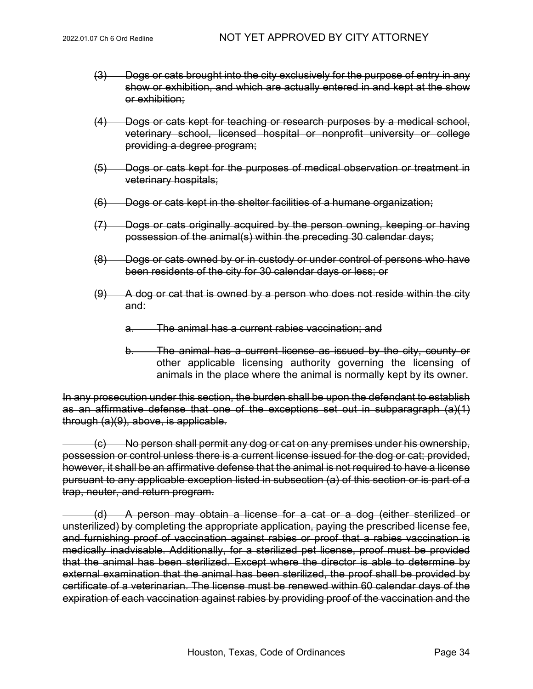- (3) Dogs or cats brought into the city exclusively for the purpose of entry in any show or exhibition, and which are actually entered in and kept at the show or exhibition;
- (4) Dogs or cats kept for teaching or research purposes by a medical school, veterinary school, licensed hospital or nonprofit university or college providing a degree program;
- (5) Dogs or cats kept for the purposes of medical observation or treatment in veterinary hospitals;
- (6) Dogs or cats kept in the shelter facilities of a humane organization;
- (7) Dogs or cats originally acquired by the person owning, keeping or having possession of the animal(s) within the preceding 30 calendar days;
- (8) Dogs or cats owned by or in custody or under control of persons who have been residents of the city for 30 calendar days or less; or
- $(9)$  A dog or cat that is owned by a person who does not reside within the city and:
	- a. The animal has a current rabies vaccination; and
	- b. The animal has a current license as issued by the city, county or other applicable licensing authority governing the licensing of animals in the place where the animal is normally kept by its owner.

In any prosecution under this section, the burden shall be upon the defendant to establish as an affirmative defense that one of the exceptions set out in subparagraph (a)(1) through (a)(9), above, is applicable.

(c) No person shall permit any dog or cat on any premises under his ownership, possession or control unless there is a current license issued for the dog or cat; provided, however, it shall be an affirmative defense that the animal is not required to have a license pursuant to any applicable exception listed in subsection (a) of this section or is part of a trap, neuter, and return program.

(d) A person may obtain a license for a cat or a dog (either sterilized or unsterilized) by completing the appropriate application, paying the prescribed license fee, and furnishing proof of vaccination against rabies or proof that a rabies vaccination is medically inadvisable. Additionally, for a sterilized pet license, proof must be provided that the animal has been sterilized. Except where the director is able to determine by external examination that the animal has been sterilized, the proof shall be provided by certificate of a veterinarian. The license must be renewed within 60 calendar days of the expiration of each vaccination against rabies by providing proof of the vaccination and the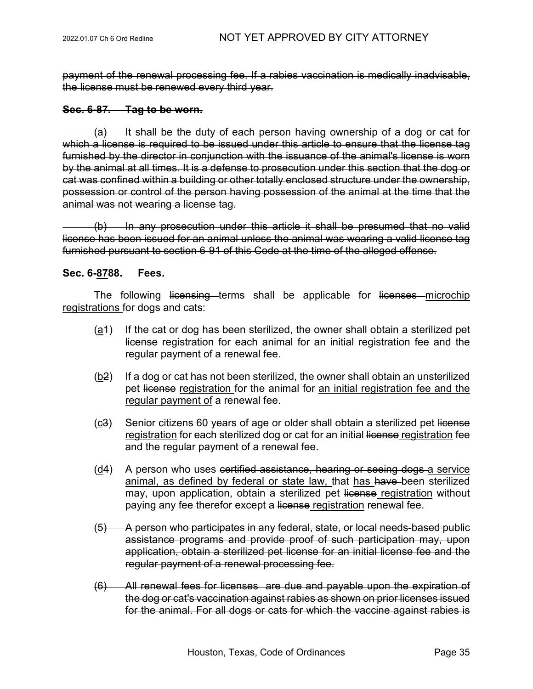payment of the renewal processing fee. If a rabies vaccination is medically inadvisable, the license must be renewed every third year.

#### **Sec. 6-87. Tag to be worn.**

(a) It shall be the duty of each person having ownership of a dog or cat for which a license is required to be issued under this article to ensure that the license tag furnished by the director in conjunction with the issuance of the animal's license is worn by the animal at all times. It is a defense to prosecution under this section that the dog or cat was confined within a building or other totally enclosed structure under the ownership, possession or control of the person having possession of the animal at the time that the animal was not wearing a license tag.

(b) In any prosecution under this article it shall be presumed that no valid license has been issued for an animal unless the animal was wearing a valid license tag furnished pursuant to section 6-91 of this Code at the time of the alleged offense.

#### **Sec. 6-8788. Fees.**

The following licensing terms shall be applicable for licenses microchip registrations for dogs and cats:

- $(a<sup>4</sup>)$  If the cat or dog has been sterilized, the owner shall obtain a sterilized pet license registration for each animal for an initial registration fee and the regular payment of a renewal fee.
- (b2) If a dog or cat has not been sterilized, the owner shall obtain an unsterilized pet license registration for the animal for an initial registration fee and the regular payment of a renewal fee.
- (c3) Senior citizens 60 years of age or older shall obtain a sterilized pet license registration for each sterilized dog or cat for an initial license registration fee and the regular payment of a renewal fee.
- (d4) A person who uses certified assistance, hearing or seeing dogs a service animal, as defined by federal or state law, that has have been sterilized may, upon application, obtain a sterilized pet license registration without paying any fee therefor except a license registration renewal fee.
- (5) A person who participates in any federal, state, or local needs-based public assistance programs and provide proof of such participation may, upon application, obtain a sterilized pet license for an initial license fee and the regular payment of a renewal processing fee.
- (6) All renewal fees for licenses are due and payable upon the expiration of the dog or cat's vaccination against rabies as shown on prior licenses issued for the animal. For all dogs or cats for which the vaccine against rabies is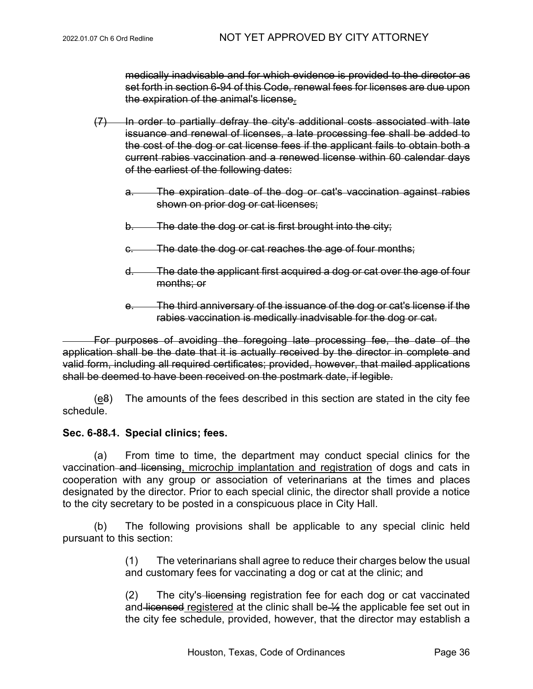medically inadvisable and for which evidence is provided to the director as set forth in section 6-94 of this Code, renewal fees for licenses are due upon the expiration of the animal's license.

- (7) In order to partially defray the city's additional costs associated with late issuance and renewal of licenses, a late processing fee shall be added to the cost of the dog or cat license fees if the applicant fails to obtain both a current rabies vaccination and a renewed license within 60 calendar days of the earliest of the following dates:
	- a. The expiration date of the dog or cat's vaccination against rabies shown on prior dog or cat licenses;
	- b. The date the dog or cat is first brought into the city;
	- c. The date the dog or cat reaches the age of four months;
	- d. The date the applicant first acquired a dog or cat over the age of four months; or
	- e. The third anniversary of the issuance of the dog or cat's license if the rabies vaccination is medically inadvisable for the dog or cat.

For purposes of avoiding the foregoing late processing fee, the date of the application shall be the date that it is actually received by the director in complete and valid form, including all required certificates; provided, however, that mailed applications shall be deemed to have been received on the postmark date, if legible.

 $(e<sub>8</sub>)$  The amounts of the fees described in this section are stated in the city fee schedule.

## **Sec. 6-88.1. Special clinics; fees.**

(a) From time to time, the department may conduct special clinics for the vaccination and licensing, microchip implantation and registration of dogs and cats in cooperation with any group or association of veterinarians at the times and places designated by the director. Prior to each special clinic, the director shall provide a notice to the city secretary to be posted in a conspicuous place in City Hall.

(b) The following provisions shall be applicable to any special clinic held pursuant to this section:

> (1) The veterinarians shall agree to reduce their charges below the usual and customary fees for vaccinating a dog or cat at the clinic; and

> (2) The city's licensing registration fee for each dog or cat vaccinated and licensed registered at the clinic shall be  $\frac{1}{2}$  the applicable fee set out in the city fee schedule, provided, however, that the director may establish a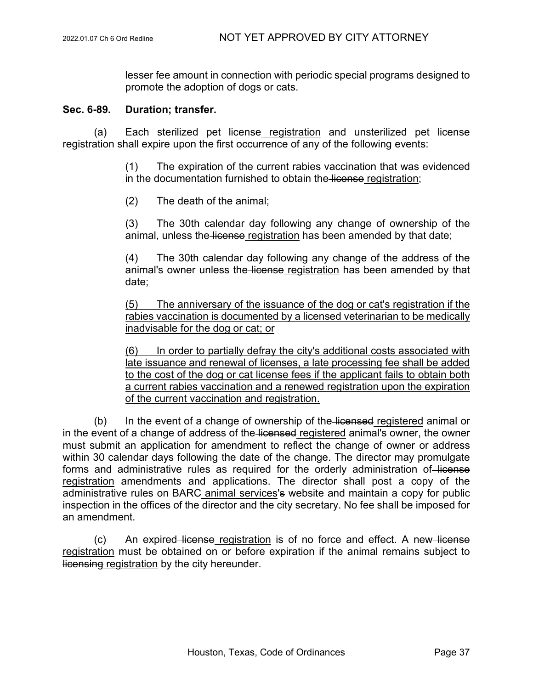lesser fee amount in connection with periodic special programs designed to promote the adoption of dogs or cats.

#### **Sec. 6-89. Duration; transfer.**

(a) Each sterilized pet–license registration and unsterilized pet–license registration shall expire upon the first occurrence of any of the following events:

> (1) The expiration of the current rabies vaccination that was evidenced in the documentation furnished to obtain the license registration;

(2) The death of the animal;

(3) The 30th calendar day following any change of ownership of the animal, unless the license registration has been amended by that date;

(4) The 30th calendar day following any change of the address of the animal's owner unless the license registration has been amended by that date;

(5) The anniversary of the issuance of the dog or cat's registration if the rabies vaccination is documented by a licensed veterinarian to be medically inadvisable for the dog or cat; or

(6) In order to partially defray the city's additional costs associated with late issuance and renewal of licenses, a late processing fee shall be added to the cost of the dog or cat license fees if the applicant fails to obtain both a current rabies vaccination and a renewed registration upon the expiration of the current vaccination and registration.

(b) In the event of a change of ownership of the licensed registered animal or in the event of a change of address of the licensed registered animal's owner, the owner must submit an application for amendment to reflect the change of owner or address within 30 calendar days following the date of the change. The director may promulgate forms and administrative rules as required for the orderly administration of license registration amendments and applications. The director shall post a copy of the administrative rules on BARC animal services's website and maintain a copy for public inspection in the offices of the director and the city secretary. No fee shall be imposed for an amendment.

(c) An expired–license registration is of no force and effect. A new–license registration must be obtained on or before expiration if the animal remains subject to licensing registration by the city hereunder.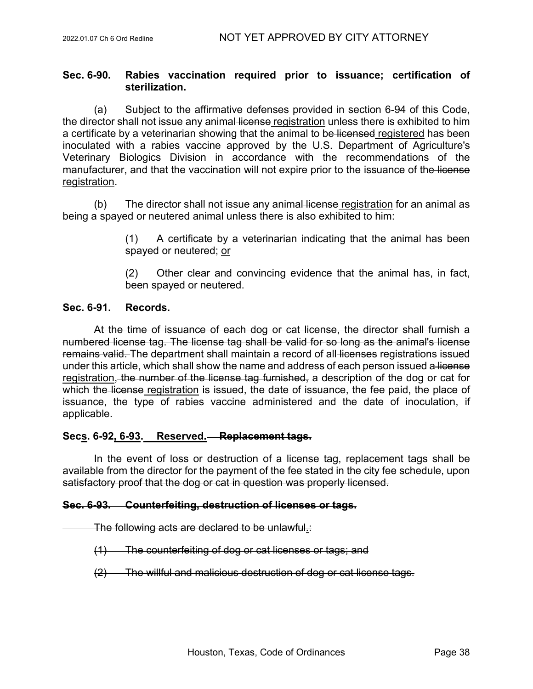# **Sec. 6-90. Rabies vaccination required prior to issuance; certification of sterilization.**

(a) Subject to the affirmative defenses provided in section 6-94 of this Code, the director shall not issue any animal license registration unless there is exhibited to him a certificate by a veterinarian showing that the animal to be licensed registered has been inoculated with a rabies vaccine approved by the U.S. Department of Agriculture's Veterinary Biologics Division in accordance with the recommendations of the manufacturer, and that the vaccination will not expire prior to the issuance of the license registration.

 $(b)$  The director shall not issue any animal-license registration for an animal as being a spayed or neutered animal unless there is also exhibited to him:

> (1) A certificate by a veterinarian indicating that the animal has been spayed or neutered; or

> (2) Other clear and convincing evidence that the animal has, in fact, been spayed or neutered.

# **Sec. 6-91. Records.**

At the time of issuance of each dog or cat license, the director shall furnish a numbered license tag. The license tag shall be valid for so long as the animal's license remains valid. The department shall maintain a record of all licenses registrations issued under this article, which shall show the name and address of each person issued a license registration, the number of the license tag furnished, a description of the dog or cat for which the license registration is issued, the date of issuance, the fee paid, the place of issuance, the type of rabies vaccine administered and the date of inoculation, if applicable.

# **Secs. 6-92, 6-93. Reserved. Replacement tags.**

In the event of loss or destruction of a license tag, replacement tags shall be available from the director for the payment of the fee stated in the city fee schedule, upon satisfactory proof that the dog or cat in question was properly licensed.

### **Sec. 6-93. Counterfeiting, destruction of licenses or tags.**

The following acts are declared to be unlawful.:

- (1) The counterfeiting of dog or cat licenses or tags; and
- (2) The willful and malicious destruction of dog or cat license tags.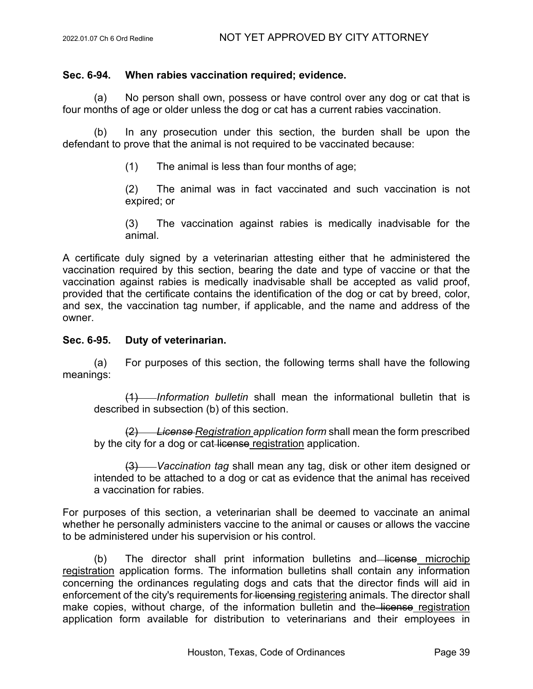## **Sec. 6-94. When rabies vaccination required; evidence.**

(a) No person shall own, possess or have control over any dog or cat that is four months of age or older unless the dog or cat has a current rabies vaccination.

(b) In any prosecution under this section, the burden shall be upon the defendant to prove that the animal is not required to be vaccinated because:

(1) The animal is less than four months of age;

(2) The animal was in fact vaccinated and such vaccination is not expired; or

(3) The vaccination against rabies is medically inadvisable for the animal.

A certificate duly signed by a veterinarian attesting either that he administered the vaccination required by this section, bearing the date and type of vaccine or that the vaccination against rabies is medically inadvisable shall be accepted as valid proof, provided that the certificate contains the identification of the dog or cat by breed, color, and sex, the vaccination tag number, if applicable, and the name and address of the owner.

### **Sec. 6-95. Duty of veterinarian.**

(a) For purposes of this section, the following terms shall have the following meanings:

(1) *Information bulletin* shall mean the informational bulletin that is described in subsection (b) of this section.

(2) *License Registration application form* shall mean the form prescribed by the city for a dog or cat-license registration application.

(3) *Vaccination tag* shall mean any tag, disk or other item designed or intended to be attached to a dog or cat as evidence that the animal has received a vaccination for rabies.

For purposes of this section, a veterinarian shall be deemed to vaccinate an animal whether he personally administers vaccine to the animal or causes or allows the vaccine to be administered under his supervision or his control.

(b) The director shall print information bulletins and license microchip registration application forms. The information bulletins shall contain any information concerning the ordinances regulating dogs and cats that the director finds will aid in enforcement of the city's requirements for licensing registering animals. The director shall make copies, without charge, of the information bulletin and the license registration application form available for distribution to veterinarians and their employees in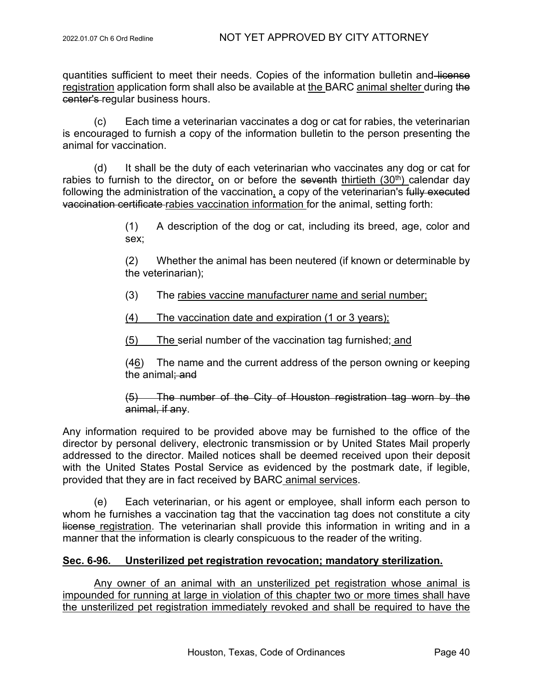quantities sufficient to meet their needs. Copies of the information bulletin and license registration application form shall also be available at the BARC animal shelter during the center's regular business hours.

(c) Each time a veterinarian vaccinates a dog or cat for rabies, the veterinarian is encouraged to furnish a copy of the information bulletin to the person presenting the animal for vaccination.

(d) It shall be the duty of each veterinarian who vaccinates any dog or cat for rabies to furnish to the director, on or before the seventh thirtieth  $(30<sup>th</sup>)$  calendar day following the administration of the vaccination, a copy of the veterinarian's fully executed vaccination certificate rabies vaccination information for the animal, setting forth:

> (1) A description of the dog or cat, including its breed, age, color and sex;

> (2) Whether the animal has been neutered (if known or determinable by the veterinarian);

(3) The rabies vaccine manufacturer name and serial number;

(4) The vaccination date and expiration (1 or 3 years);

(5) The serial number of the vaccination tag furnished; and

(46) The name and the current address of the person owning or keeping the animal: and

(5) The number of the City of Houston registration tag worn by the animal, if any.

Any information required to be provided above may be furnished to the office of the director by personal delivery, electronic transmission or by United States Mail properly addressed to the director. Mailed notices shall be deemed received upon their deposit with the United States Postal Service as evidenced by the postmark date, if legible, provided that they are in fact received by BARC animal services.

(e) Each veterinarian, or his agent or employee, shall inform each person to whom he furnishes a vaccination tag that the vaccination tag does not constitute a city license registration. The veterinarian shall provide this information in writing and in a manner that the information is clearly conspicuous to the reader of the writing.

# **Sec. 6-96. Unsterilized pet registration revocation; mandatory sterilization.**

Any owner of an animal with an unsterilized pet registration whose animal is impounded for running at large in violation of this chapter two or more times shall have the unsterilized pet registration immediately revoked and shall be required to have the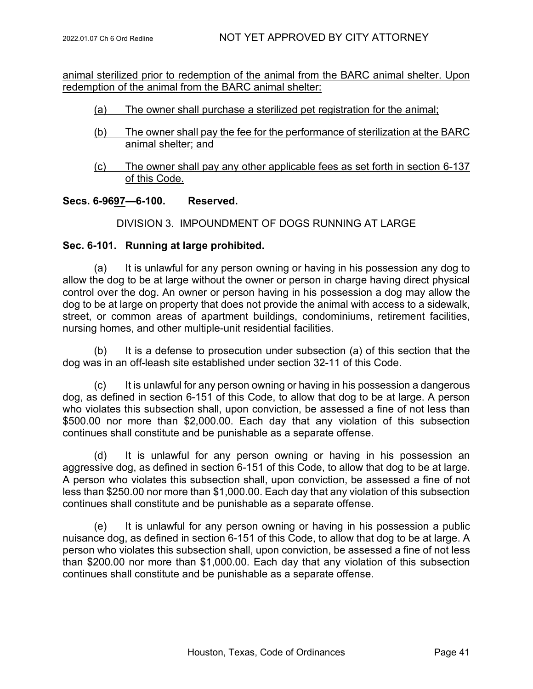animal sterilized prior to redemption of the animal from the BARC animal shelter. Upon redemption of the animal from the BARC animal shelter:

- (a) The owner shall purchase a sterilized pet registration for the animal;
- (b) The owner shall pay the fee for the performance of sterilization at the BARC animal shelter; and
- (c) The owner shall pay any other applicable fees as set forth in section 6-137 of this Code.

# **Secs. 6-9697—6-100. Reserved.**

### DIVISION 3. IMPOUNDMENT OF DOGS RUNNING AT LARGE

### **Sec. 6-101. Running at large prohibited.**

(a) It is unlawful for any person owning or having in his possession any dog to allow the dog to be at large without the owner or person in charge having direct physical control over the dog. An owner or person having in his possession a dog may allow the dog to be at large on property that does not provide the animal with access to a sidewalk, street, or common areas of apartment buildings, condominiums, retirement facilities, nursing homes, and other multiple-unit residential facilities.

(b) It is a defense to prosecution under subsection (a) of this section that the dog was in an off-leash site established under section 32-11 of this Code.

(c) It is unlawful for any person owning or having in his possession a dangerous dog, as defined in section 6-151 of this Code, to allow that dog to be at large. A person who violates this subsection shall, upon conviction, be assessed a fine of not less than \$500.00 nor more than \$2,000.00. Each day that any violation of this subsection continues shall constitute and be punishable as a separate offense.

(d) It is unlawful for any person owning or having in his possession an aggressive dog, as defined in section 6-151 of this Code, to allow that dog to be at large. A person who violates this subsection shall, upon conviction, be assessed a fine of not less than \$250.00 nor more than \$1,000.00. Each day that any violation of this subsection continues shall constitute and be punishable as a separate offense.

(e) It is unlawful for any person owning or having in his possession a public nuisance dog, as defined in section 6-151 of this Code, to allow that dog to be at large. A person who violates this subsection shall, upon conviction, be assessed a fine of not less than \$200.00 nor more than \$1,000.00. Each day that any violation of this subsection continues shall constitute and be punishable as a separate offense.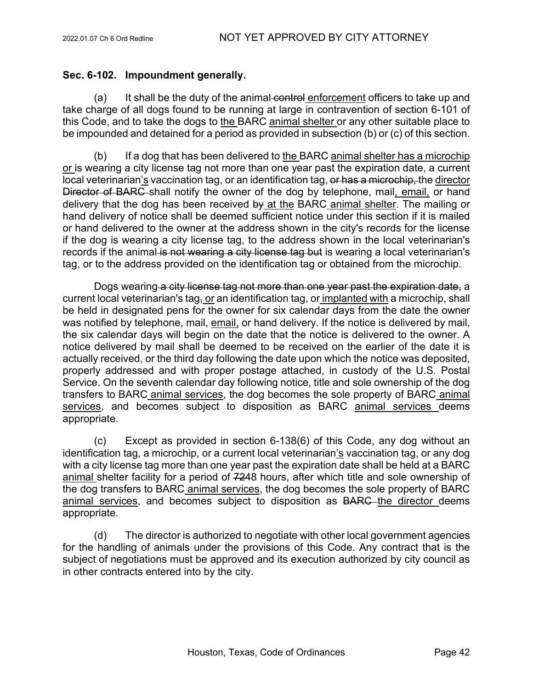# **Sec. 6-102. Impoundment generally.**

(a) It shall be the duty of the animal control enforcement officers to take up and take charge of all dogs found to be running at large in contravention of section 6-101 of this Code, and to take the dogs to the BARC animal shelter or any other suitable place to be impounded and detained for a period as provided in subsection (b) or (c) of this section.

(b) If a dog that has been delivered to the BARC animal shelter has a microchip or is wearing a city license tag not more than one year past the expiration date, a current local veterinarian's vaccination tag, or an identification tag, or has a microchip, the director Director of BARC shall notify the owner of the dog by telephone, mail, email, or hand delivery that the dog has been received by at the BARC animal shelter. The mailing or hand delivery of notice shall be deemed sufficient notice under this section if it is mailed or hand delivered to the owner at the address shown in the city's records for the license if the dog is wearing a city license tag, to the address shown in the local veterinarian's records if the animal is not wearing a city license tag but is wearing a local veterinarian's tag, or to the address provided on the identification tag or obtained from the microchip.

Dogs wearing a city license tag not more than one year past the expiration date, a current local veterinarian's tag, or an identification tag, or implanted with a microchip, shall be held in designated pens for the owner for six calendar days from the date the owner was notified by telephone, mail, email, or hand delivery. If the notice is delivered by mail, the six calendar days will begin on the date that the notice is delivered to the owner. A notice delivered by mail shall be deemed to be received on the earlier of the date it is actually received, or the third day following the date upon which the notice was deposited, properly addressed and with proper postage attached, in custody of the U.S. Postal Service. On the seventh calendar day following notice, title and sole ownership of the dog transfers to BARC animal services, the dog becomes the sole property of BARC animal services, and becomes subject to disposition as BARC animal services deems appropriate.

(c) Except as provided in section 6-138(6) of this Code, any dog without an identification tag, a microchip, or a current local veterinarian's vaccination tag, or any dog with a city license tag more than one year past the expiration date shall be held at a BARC animal shelter facility for a period of 7248 hours, after which title and sole ownership of the dog transfers to BARC animal services, the dog becomes the sole property of BARC animal services, and becomes subject to disposition as BARC the director deems appropriate.

(d) The director is authorized to negotiate with other local government agencies for the handling of animals under the provisions of this Code. Any contract that is the subject of negotiations must be approved and its execution authorized by city council as in other contracts entered into by the city.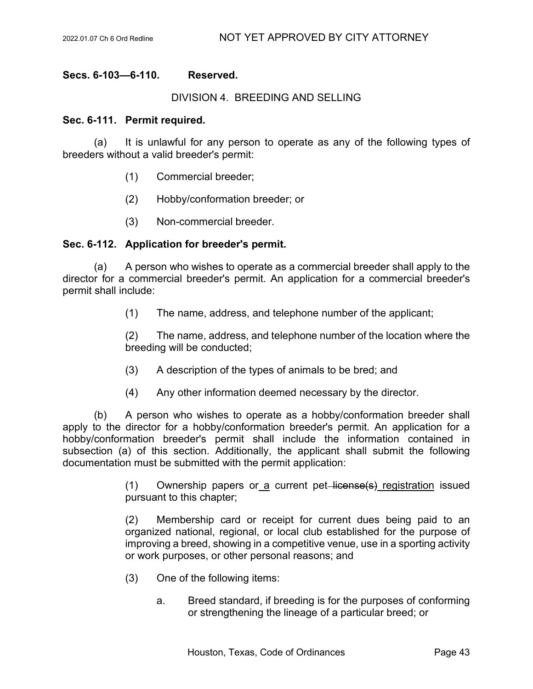# **Secs. 6-103—6-110. Reserved.**

#### DIVISION 4. BREEDING AND SELLING

#### **Sec. 6-111. Permit required.**

(a) It is unlawful for any person to operate as any of the following types of breeders without a valid breeder's permit:

- (1) Commercial breeder;
- (2) Hobby/conformation breeder; or
- (3) Non-commercial breeder.

# **Sec. 6-112. Application for breeder's permit.**

(a) A person who wishes to operate as a commercial breeder shall apply to the director for a commercial breeder's permit. An application for a commercial breeder's permit shall include:

(1) The name, address, and telephone number of the applicant;

(2) The name, address, and telephone number of the location where the breeding will be conducted;

- (3) A description of the types of animals to be bred; and
- (4) Any other information deemed necessary by the director.

(b) A person who wishes to operate as a hobby/conformation breeder shall apply to the director for a hobby/conformation breeder's permit. An application for a hobby/conformation breeder's permit shall include the information contained in subsection (a) of this section. Additionally, the applicant shall submit the following documentation must be submitted with the permit application:

> $(1)$  Ownership papers or a current pet-license(s) registration issued pursuant to this chapter;

> (2) Membership card or receipt for current dues being paid to an organized national, regional, or local club established for the purpose of improving a breed, showing in a competitive venue, use in a sporting activity or work purposes, or other personal reasons; and

- (3) One of the following items:
	- a. Breed standard, if breeding is for the purposes of conforming or strengthening the lineage of a particular breed; or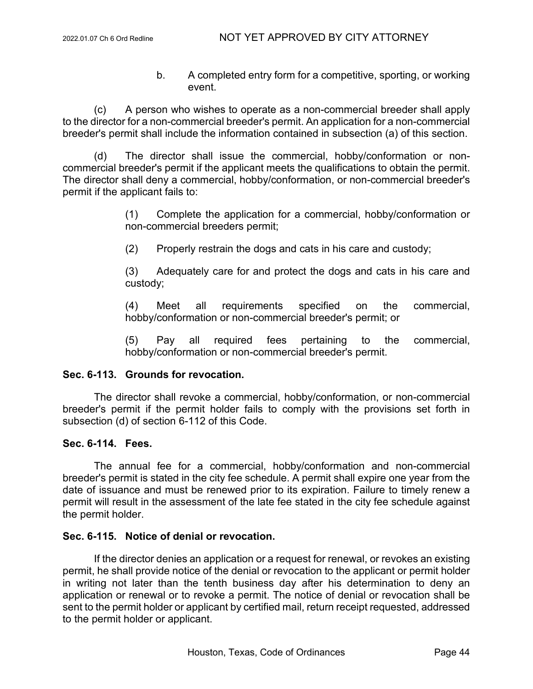b. A completed entry form for a competitive, sporting, or working event.

(c) A person who wishes to operate as a non-commercial breeder shall apply to the director for a non-commercial breeder's permit. An application for a non-commercial breeder's permit shall include the information contained in subsection (a) of this section.

(d) The director shall issue the commercial, hobby/conformation or noncommercial breeder's permit if the applicant meets the qualifications to obtain the permit. The director shall deny a commercial, hobby/conformation, or non-commercial breeder's permit if the applicant fails to:

> (1) Complete the application for a commercial, hobby/conformation or non-commercial breeders permit;

(2) Properly restrain the dogs and cats in his care and custody;

(3) Adequately care for and protect the dogs and cats in his care and custody;

(4) Meet all requirements specified on the commercial, hobby/conformation or non-commercial breeder's permit; or

(5) Pay all required fees pertaining to the commercial, hobby/conformation or non-commercial breeder's permit.

### **Sec. 6-113. Grounds for revocation.**

The director shall revoke a commercial, hobby/conformation, or non-commercial breeder's permit if the permit holder fails to comply with the provisions set forth in subsection (d) of section 6-112 of this Code.

### **Sec. 6-114. Fees.**

The annual fee for a commercial, hobby/conformation and non-commercial breeder's permit is stated in the city fee schedule. A permit shall expire one year from the date of issuance and must be renewed prior to its expiration. Failure to timely renew a permit will result in the assessment of the late fee stated in the city fee schedule against the permit holder.

# **Sec. 6-115. Notice of denial or revocation.**

If the director denies an application or a request for renewal, or revokes an existing permit, he shall provide notice of the denial or revocation to the applicant or permit holder in writing not later than the tenth business day after his determination to deny an application or renewal or to revoke a permit. The notice of denial or revocation shall be sent to the permit holder or applicant by certified mail, return receipt requested, addressed to the permit holder or applicant.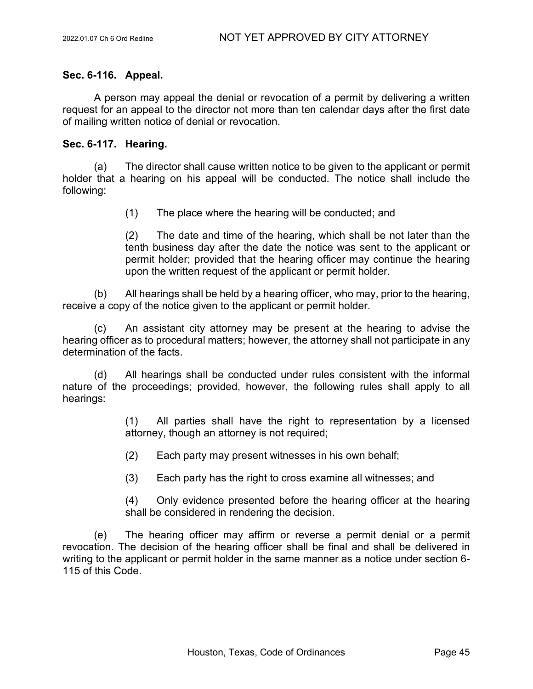# **Sec. 6-116. Appeal.**

A person may appeal the denial or revocation of a permit by delivering a written request for an appeal to the director not more than ten calendar days after the first date of mailing written notice of denial or revocation.

# **Sec. 6-117. Hearing.**

(a) The director shall cause written notice to be given to the applicant or permit holder that a hearing on his appeal will be conducted. The notice shall include the following:

(1) The place where the hearing will be conducted; and

(2) The date and time of the hearing, which shall be not later than the tenth business day after the date the notice was sent to the applicant or permit holder; provided that the hearing officer may continue the hearing upon the written request of the applicant or permit holder.

(b) All hearings shall be held by a hearing officer, who may, prior to the hearing, receive a copy of the notice given to the applicant or permit holder.

(c) An assistant city attorney may be present at the hearing to advise the hearing officer as to procedural matters; however, the attorney shall not participate in any determination of the facts.

(d) All hearings shall be conducted under rules consistent with the informal nature of the proceedings; provided, however, the following rules shall apply to all hearings:

> (1) All parties shall have the right to representation by a licensed attorney, though an attorney is not required;

(2) Each party may present witnesses in his own behalf;

(3) Each party has the right to cross examine all witnesses; and

(4) Only evidence presented before the hearing officer at the hearing shall be considered in rendering the decision.

(e) The hearing officer may affirm or reverse a permit denial or a permit revocation. The decision of the hearing officer shall be final and shall be delivered in writing to the applicant or permit holder in the same manner as a notice under section 6- 115 of this Code.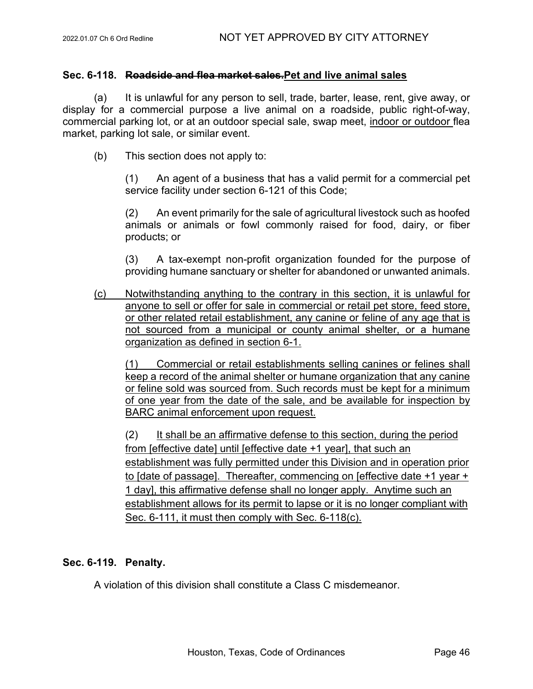## **Sec. 6-118. Roadside and flea market sales.Pet and live animal sales**

(a) It is unlawful for any person to sell, trade, barter, lease, rent, give away, or display for a commercial purpose a live animal on a roadside, public right-of-way, commercial parking lot, or at an outdoor special sale, swap meet, indoor or outdoor flea market, parking lot sale, or similar event.

(b) This section does not apply to:

(1) An agent of a business that has a valid permit for a commercial pet service facility under section 6-121 of this Code;

(2) An event primarily for the sale of agricultural livestock such as hoofed animals or animals or fowl commonly raised for food, dairy, or fiber products; or

(3) A tax-exempt non-profit organization founded for the purpose of providing humane sanctuary or shelter for abandoned or unwanted animals.

(c) Notwithstanding anything to the contrary in this section, it is unlawful for anyone to sell or offer for sale in commercial or retail pet store, feed store, or other related retail establishment, any canine or feline of any age that is not sourced from a municipal or county animal shelter, or a humane organization as defined in section 6-1.

(1) Commercial or retail establishments selling canines or felines shall keep a record of the animal shelter or humane organization that any canine or feline sold was sourced from. Such records must be kept for a minimum of one year from the date of the sale, and be available for inspection by BARC animal enforcement upon request.

(2) It shall be an affirmative defense to this section, during the period from [effective date] until [effective date +1 year], that such an establishment was fully permitted under this Division and in operation prior to [date of passage]. Thereafter, commencing on [effective date +1 year + 1 day], this affirmative defense shall no longer apply. Anytime such an establishment allows for its permit to lapse or it is no longer compliant with Sec. 6-111, it must then comply with Sec. 6-118(c).

# **Sec. 6-119. Penalty.**

A violation of this division shall constitute a Class C misdemeanor.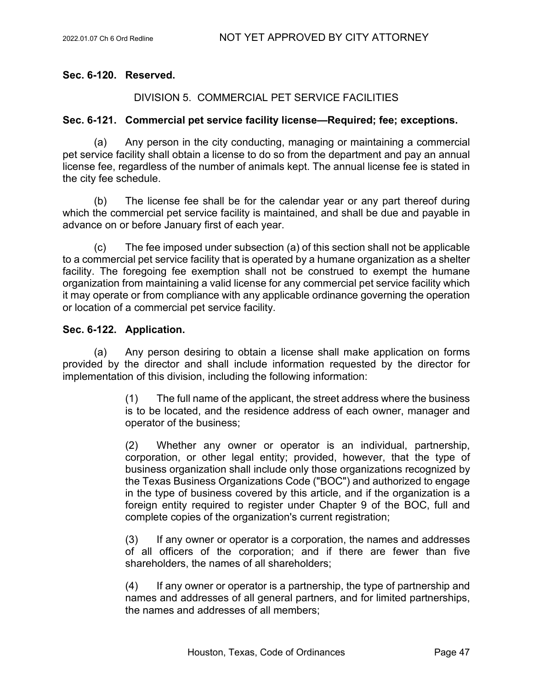## **Sec. 6-120. Reserved.**

# DIVISION 5. COMMERCIAL PET SERVICE FACILITIES

### **Sec. 6-121. Commercial pet service facility license—Required; fee; exceptions.**

(a) Any person in the city conducting, managing or maintaining a commercial pet service facility shall obtain a license to do so from the department and pay an annual license fee, regardless of the number of animals kept. The annual license fee is stated in the city fee schedule.

(b) The license fee shall be for the calendar year or any part thereof during which the commercial pet service facility is maintained, and shall be due and payable in advance on or before January first of each year.

(c) The fee imposed under subsection (a) of this section shall not be applicable to a commercial pet service facility that is operated by a humane organization as a shelter facility. The foregoing fee exemption shall not be construed to exempt the humane organization from maintaining a valid license for any commercial pet service facility which it may operate or from compliance with any applicable ordinance governing the operation or location of a commercial pet service facility.

### **Sec. 6-122. Application.**

(a) Any person desiring to obtain a license shall make application on forms provided by the director and shall include information requested by the director for implementation of this division, including the following information:

> (1) The full name of the applicant, the street address where the business is to be located, and the residence address of each owner, manager and operator of the business;

> (2) Whether any owner or operator is an individual, partnership, corporation, or other legal entity; provided, however, that the type of business organization shall include only those organizations recognized by the Texas Business Organizations Code ("BOC") and authorized to engage in the type of business covered by this article, and if the organization is a foreign entity required to register under Chapter 9 of the BOC, full and complete copies of the organization's current registration;

> (3) If any owner or operator is a corporation, the names and addresses of all officers of the corporation; and if there are fewer than five shareholders, the names of all shareholders;

> (4) If any owner or operator is a partnership, the type of partnership and names and addresses of all general partners, and for limited partnerships, the names and addresses of all members;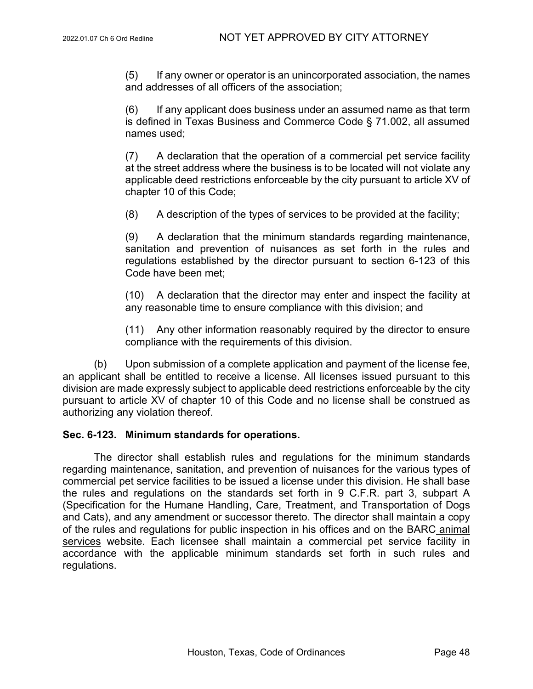(5) If any owner or operator is an unincorporated association, the names and addresses of all officers of the association;

(6) If any applicant does business under an assumed name as that term is defined in Texas Business and Commerce Code § 71.002, all assumed names used;

(7) A declaration that the operation of a commercial pet service facility at the street address where the business is to be located will not violate any applicable deed restrictions enforceable by the city pursuant to article XV of chapter 10 of this Code;

(8) A description of the types of services to be provided at the facility;

(9) A declaration that the minimum standards regarding maintenance, sanitation and prevention of nuisances as set forth in the rules and regulations established by the director pursuant to section 6-123 of this Code have been met;

(10) A declaration that the director may enter and inspect the facility at any reasonable time to ensure compliance with this division; and

(11) Any other information reasonably required by the director to ensure compliance with the requirements of this division.

(b) Upon submission of a complete application and payment of the license fee, an applicant shall be entitled to receive a license. All licenses issued pursuant to this division are made expressly subject to applicable deed restrictions enforceable by the city pursuant to article XV of chapter 10 of this Code and no license shall be construed as authorizing any violation thereof.

#### **Sec. 6-123. Minimum standards for operations.**

The director shall establish rules and regulations for the minimum standards regarding maintenance, sanitation, and prevention of nuisances for the various types of commercial pet service facilities to be issued a license under this division. He shall base the rules and regulations on the standards set forth in 9 C.F.R. part 3, subpart A (Specification for the Humane Handling, Care, Treatment, and Transportation of Dogs and Cats), and any amendment or successor thereto. The director shall maintain a copy of the rules and regulations for public inspection in his offices and on the BARC animal services website. Each licensee shall maintain a commercial pet service facility in accordance with the applicable minimum standards set forth in such rules and regulations.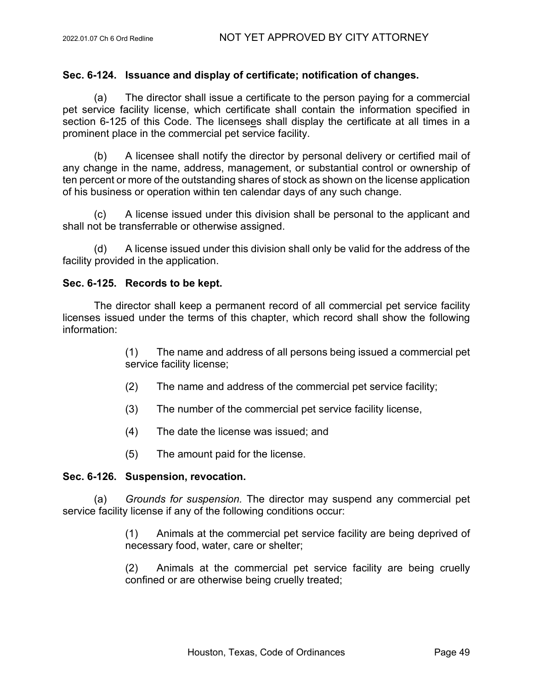# **Sec. 6-124. Issuance and display of certificate; notification of changes.**

(a) The director shall issue a certificate to the person paying for a commercial pet service facility license, which certificate shall contain the information specified in section 6-125 of this Code. The licensees shall display the certificate at all times in a prominent place in the commercial pet service facility.

(b) A licensee shall notify the director by personal delivery or certified mail of any change in the name, address, management, or substantial control or ownership of ten percent or more of the outstanding shares of stock as shown on the license application of his business or operation within ten calendar days of any such change.

(c) A license issued under this division shall be personal to the applicant and shall not be transferrable or otherwise assigned.

(d) A license issued under this division shall only be valid for the address of the facility provided in the application.

### **Sec. 6-125. Records to be kept.**

The director shall keep a permanent record of all commercial pet service facility licenses issued under the terms of this chapter, which record shall show the following information:

> (1) The name and address of all persons being issued a commercial pet service facility license;

- (2) The name and address of the commercial pet service facility;
- (3) The number of the commercial pet service facility license,
- (4) The date the license was issued; and
- (5) The amount paid for the license.

### **Sec. 6-126. Suspension, revocation.**

(a) *Grounds for suspension.* The director may suspend any commercial pet service facility license if any of the following conditions occur:

> (1) Animals at the commercial pet service facility are being deprived of necessary food, water, care or shelter;

> (2) Animals at the commercial pet service facility are being cruelly confined or are otherwise being cruelly treated;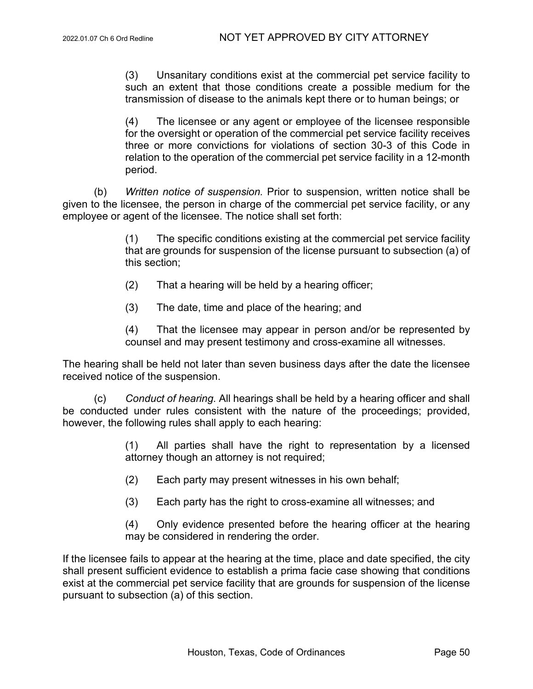(3) Unsanitary conditions exist at the commercial pet service facility to such an extent that those conditions create a possible medium for the transmission of disease to the animals kept there or to human beings; or

(4) The licensee or any agent or employee of the licensee responsible for the oversight or operation of the commercial pet service facility receives three or more convictions for violations of section 30-3 of this Code in relation to the operation of the commercial pet service facility in a 12-month period.

(b) *Written notice of suspension.* Prior to suspension, written notice shall be given to the licensee, the person in charge of the commercial pet service facility, or any employee or agent of the licensee. The notice shall set forth:

> (1) The specific conditions existing at the commercial pet service facility that are grounds for suspension of the license pursuant to subsection (a) of this section;

- (2) That a hearing will be held by a hearing officer;
- (3) The date, time and place of the hearing; and

(4) That the licensee may appear in person and/or be represented by counsel and may present testimony and cross-examine all witnesses.

The hearing shall be held not later than seven business days after the date the licensee received notice of the suspension.

(c) *Conduct of hearing.* All hearings shall be held by a hearing officer and shall be conducted under rules consistent with the nature of the proceedings; provided, however, the following rules shall apply to each hearing:

> (1) All parties shall have the right to representation by a licensed attorney though an attorney is not required;

- (2) Each party may present witnesses in his own behalf;
- (3) Each party has the right to cross-examine all witnesses; and

(4) Only evidence presented before the hearing officer at the hearing may be considered in rendering the order.

If the licensee fails to appear at the hearing at the time, place and date specified, the city shall present sufficient evidence to establish a prima facie case showing that conditions exist at the commercial pet service facility that are grounds for suspension of the license pursuant to subsection (a) of this section.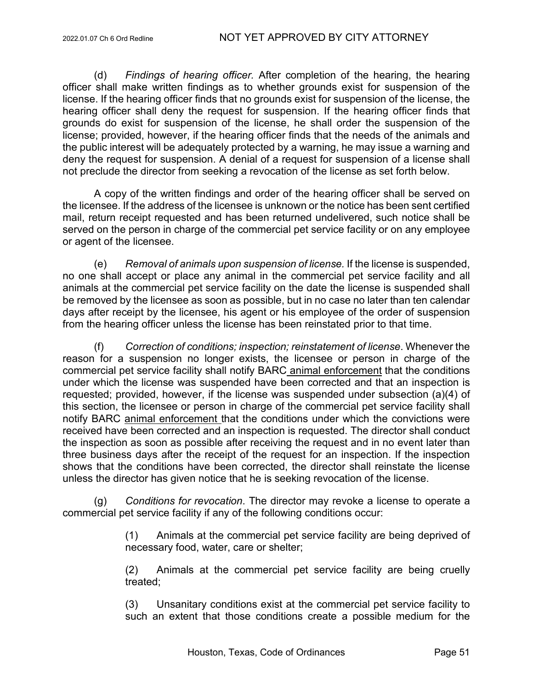(d) *Findings of hearing officer.* After completion of the hearing, the hearing officer shall make written findings as to whether grounds exist for suspension of the license. If the hearing officer finds that no grounds exist for suspension of the license, the hearing officer shall deny the request for suspension. If the hearing officer finds that grounds do exist for suspension of the license, he shall order the suspension of the license; provided, however, if the hearing officer finds that the needs of the animals and the public interest will be adequately protected by a warning, he may issue a warning and deny the request for suspension. A denial of a request for suspension of a license shall not preclude the director from seeking a revocation of the license as set forth below.

A copy of the written findings and order of the hearing officer shall be served on the licensee. If the address of the licensee is unknown or the notice has been sent certified mail, return receipt requested and has been returned undelivered, such notice shall be served on the person in charge of the commercial pet service facility or on any employee or agent of the licensee.

(e) *Removal of animals upon suspension of license.* If the license is suspended, no one shall accept or place any animal in the commercial pet service facility and all animals at the commercial pet service facility on the date the license is suspended shall be removed by the licensee as soon as possible, but in no case no later than ten calendar days after receipt by the licensee, his agent or his employee of the order of suspension from the hearing officer unless the license has been reinstated prior to that time.

(f) *Correction of conditions; inspection; reinstatement of license*. Whenever the reason for a suspension no longer exists, the licensee or person in charge of the commercial pet service facility shall notify BARC animal enforcement that the conditions under which the license was suspended have been corrected and that an inspection is requested; provided, however, if the license was suspended under subsection (a)(4) of this section, the licensee or person in charge of the commercial pet service facility shall notify BARC animal enforcement that the conditions under which the convictions were received have been corrected and an inspection is requested. The director shall conduct the inspection as soon as possible after receiving the request and in no event later than three business days after the receipt of the request for an inspection. If the inspection shows that the conditions have been corrected, the director shall reinstate the license unless the director has given notice that he is seeking revocation of the license.

(g) *Conditions for revocation*. The director may revoke a license to operate a commercial pet service facility if any of the following conditions occur:

> (1) Animals at the commercial pet service facility are being deprived of necessary food, water, care or shelter;

> (2) Animals at the commercial pet service facility are being cruelly treated;

> (3) Unsanitary conditions exist at the commercial pet service facility to such an extent that those conditions create a possible medium for the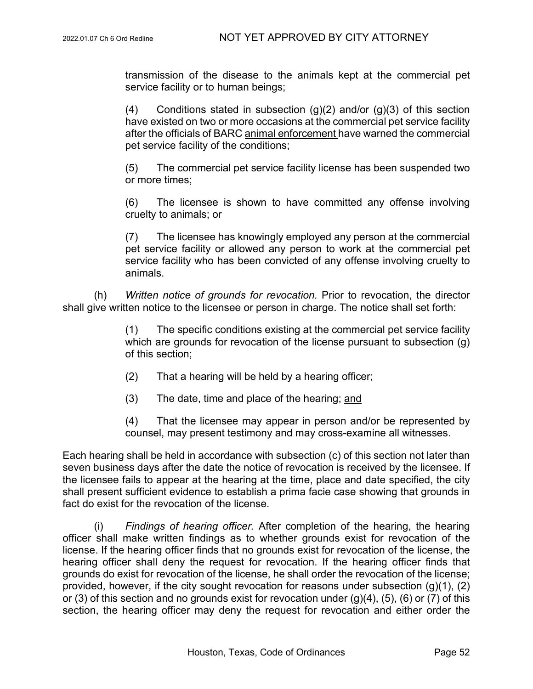transmission of the disease to the animals kept at the commercial pet service facility or to human beings;

(4) Conditions stated in subsection  $(g)(2)$  and/or  $(g)(3)$  of this section have existed on two or more occasions at the commercial pet service facility after the officials of BARC animal enforcement have warned the commercial pet service facility of the conditions;

(5) The commercial pet service facility license has been suspended two or more times;

(6) The licensee is shown to have committed any offense involving cruelty to animals; or

(7) The licensee has knowingly employed any person at the commercial pet service facility or allowed any person to work at the commercial pet service facility who has been convicted of any offense involving cruelty to animals.

(h) *Written notice of grounds for revocation.* Prior to revocation, the director shall give written notice to the licensee or person in charge. The notice shall set forth:

> (1) The specific conditions existing at the commercial pet service facility which are grounds for revocation of the license pursuant to subsection (g) of this section;

- (2) That a hearing will be held by a hearing officer;
- (3) The date, time and place of the hearing; and

(4) That the licensee may appear in person and/or be represented by counsel, may present testimony and may cross-examine all witnesses.

Each hearing shall be held in accordance with subsection (c) of this section not later than seven business days after the date the notice of revocation is received by the licensee. If the licensee fails to appear at the hearing at the time, place and date specified, the city shall present sufficient evidence to establish a prima facie case showing that grounds in fact do exist for the revocation of the license.

(i) *Findings of hearing officer.* After completion of the hearing, the hearing officer shall make written findings as to whether grounds exist for revocation of the license. If the hearing officer finds that no grounds exist for revocation of the license, the hearing officer shall deny the request for revocation. If the hearing officer finds that grounds do exist for revocation of the license, he shall order the revocation of the license; provided, however, if the city sought revocation for reasons under subsection (g)(1), (2) or (3) of this section and no grounds exist for revocation under  $(g)(4)$ ,  $(5)$ ,  $(6)$  or  $(7)$  of this section, the hearing officer may deny the request for revocation and either order the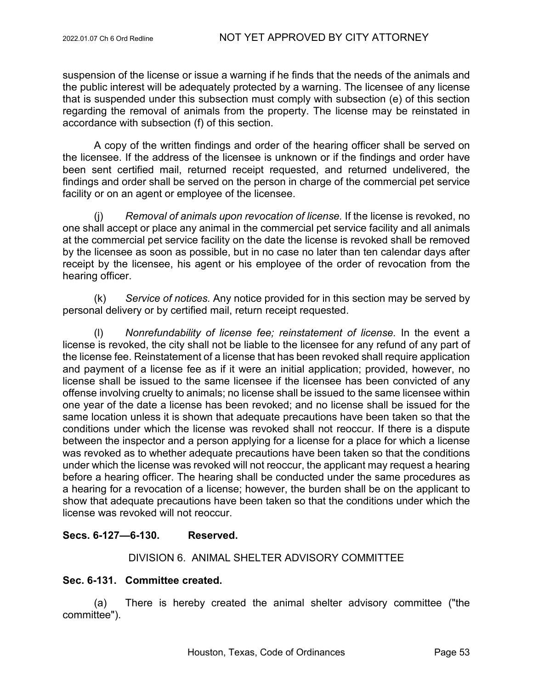suspension of the license or issue a warning if he finds that the needs of the animals and the public interest will be adequately protected by a warning. The licensee of any license that is suspended under this subsection must comply with subsection (e) of this section regarding the removal of animals from the property. The license may be reinstated in accordance with subsection (f) of this section.

A copy of the written findings and order of the hearing officer shall be served on the licensee. If the address of the licensee is unknown or if the findings and order have been sent certified mail, returned receipt requested, and returned undelivered, the findings and order shall be served on the person in charge of the commercial pet service facility or on an agent or employee of the licensee.

(j) *Removal of animals upon revocation of license.* If the license is revoked, no one shall accept or place any animal in the commercial pet service facility and all animals at the commercial pet service facility on the date the license is revoked shall be removed by the licensee as soon as possible, but in no case no later than ten calendar days after receipt by the licensee, his agent or his employee of the order of revocation from the hearing officer.

(k) *Service of notices.* Any notice provided for in this section may be served by personal delivery or by certified mail, return receipt requested.

(l) *Nonrefundability of license fee; reinstatement of license.* In the event a license is revoked, the city shall not be liable to the licensee for any refund of any part of the license fee. Reinstatement of a license that has been revoked shall require application and payment of a license fee as if it were an initial application; provided, however, no license shall be issued to the same licensee if the licensee has been convicted of any offense involving cruelty to animals; no license shall be issued to the same licensee within one year of the date a license has been revoked; and no license shall be issued for the same location unless it is shown that adequate precautions have been taken so that the conditions under which the license was revoked shall not reoccur. If there is a dispute between the inspector and a person applying for a license for a place for which a license was revoked as to whether adequate precautions have been taken so that the conditions under which the license was revoked will not reoccur, the applicant may request a hearing before a hearing officer. The hearing shall be conducted under the same procedures as a hearing for a revocation of a license; however, the burden shall be on the applicant to show that adequate precautions have been taken so that the conditions under which the license was revoked will not reoccur.

# **Secs. 6-127—6-130. Reserved.**

### DIVISION 6. ANIMAL SHELTER ADVISORY COMMITTEE

### **Sec. 6-131. Committee created.**

(a) There is hereby created the animal shelter advisory committee ("the committee").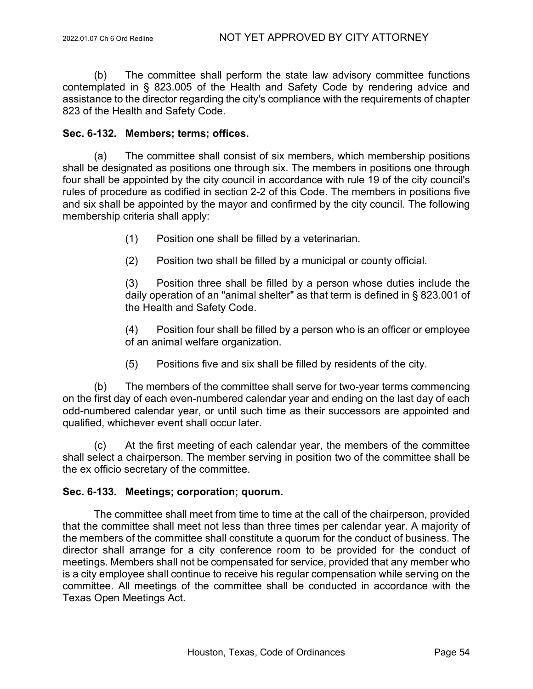(b) The committee shall perform the state law advisory committee functions contemplated in § 823.005 of the Health and Safety Code by rendering advice and assistance to the director regarding the city's compliance with the requirements of chapter 823 of the Health and Safety Code.

### **Sec. 6-132. Members; terms; offices.**

(a) The committee shall consist of six members, which membership positions shall be designated as positions one through six. The members in positions one through four shall be appointed by the city council in accordance with rule 19 of the city council's rules of procedure as codified in section 2-2 of this Code. The members in positions five and six shall be appointed by the mayor and confirmed by the city council. The following membership criteria shall apply:

- (1) Position one shall be filled by a veterinarian.
- (2) Position two shall be filled by a municipal or county official.

(3) Position three shall be filled by a person whose duties include the daily operation of an "animal shelter" as that term is defined in § 823.001 of the Health and Safety Code.

(4) Position four shall be filled by a person who is an officer or employee of an animal welfare organization.

(5) Positions five and six shall be filled by residents of the city.

(b) The members of the committee shall serve for two-year terms commencing on the first day of each even-numbered calendar year and ending on the last day of each odd-numbered calendar year, or until such time as their successors are appointed and qualified, whichever event shall occur later.

(c) At the first meeting of each calendar year, the members of the committee shall select a chairperson. The member serving in position two of the committee shall be the ex officio secretary of the committee.

### **Sec. 6-133. Meetings; corporation; quorum.**

The committee shall meet from time to time at the call of the chairperson, provided that the committee shall meet not less than three times per calendar year. A majority of the members of the committee shall constitute a quorum for the conduct of business. The director shall arrange for a city conference room to be provided for the conduct of meetings. Members shall not be compensated for service, provided that any member who is a city employee shall continue to receive his regular compensation while serving on the committee. All meetings of the committee shall be conducted in accordance with the Texas Open Meetings Act.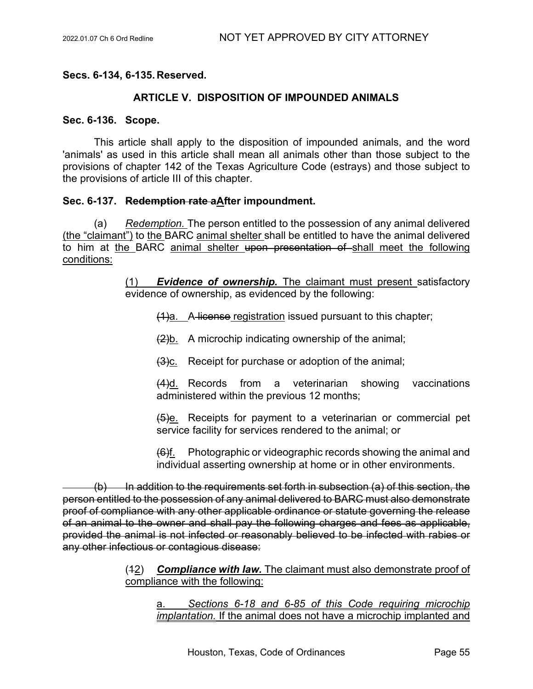**Secs. 6-134, 6-135. Reserved.**

# **ARTICLE V. DISPOSITION OF IMPOUNDED ANIMALS**

### **Sec. 6-136. Scope.**

This article shall apply to the disposition of impounded animals, and the word 'animals' as used in this article shall mean all animals other than those subject to the provisions of chapter 142 of the Texas Agriculture Code (estrays) and those subject to the provisions of article III of this chapter.

# **Sec. 6-137. Redemption rate aAfter impoundment.**

(a) *Redemption.* The person entitled to the possession of any animal delivered (the "claimant") to the BARC animal shelter shall be entitled to have the animal delivered to him at the BARC animal shelter upon presentation of shall meet the following conditions:

> (1) *Evidence of ownership.* The claimant must present satisfactory evidence of ownership, as evidenced by the following:

(1)a. A license registration issued pursuant to this chapter;

 $\frac{2}{b}$ . A microchip indicating ownership of the animal;

 $(3)$ c. Receipt for purchase or adoption of the animal;

(4)d. Records from a veterinarian showing vaccinations administered within the previous 12 months;

(5)e. Receipts for payment to a veterinarian or commercial pet service facility for services rendered to the animal; or

(6)f. Photographic or videographic records showing the animal and individual asserting ownership at home or in other environments.

 $(b)$  In addition to the requirements set forth in subsection (a) of this section, the person entitled to the possession of any animal delivered to BARC must also demonstrate proof of compliance with any other applicable ordinance or statute governing the release of an animal to the owner and shall pay the following charges and fees as applicable, provided the animal is not infected or reasonably believed to be infected with rabies or any other infectious or contagious disease:

> (12) *Compliance with law.* The claimant must also demonstrate proof of compliance with the following:

a. *Sections 6-18 and 6-85 of this Code requiring microchip implantation.* If the animal does not have a microchip implanted and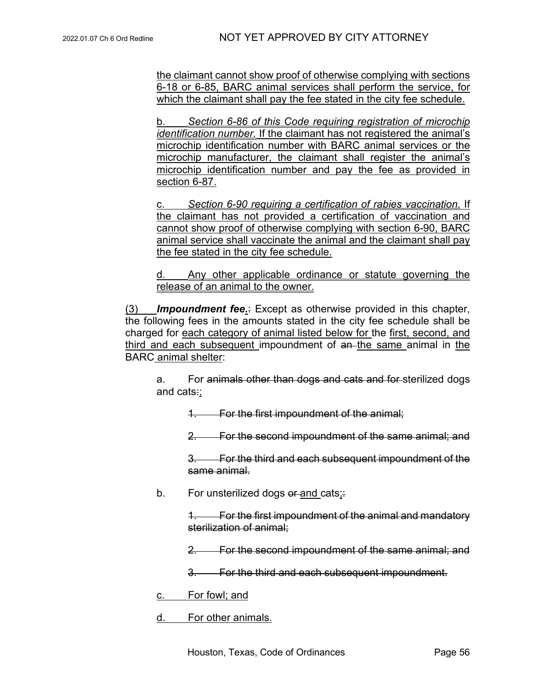the claimant cannot show proof of otherwise complying with sections 6-18 or 6-85, BARC animal services shall perform the service, for which the claimant shall pay the fee stated in the city fee schedule.

b. *Section 6-86 of this Code requiring registration of microchip identification number.* If the claimant has not registered the animal's microchip identification number with BARC animal services or the microchip manufacturer, the claimant shall register the animal's microchip identification number and pay the fee as provided in section 6-87.

c. *Section 6-90 requiring a certification of rabies vaccination.* If the claimant has not provided a certification of vaccination and cannot show proof of otherwise complying with section 6-90, BARC animal service shall vaccinate the animal and the claimant shall pay the fee stated in the city fee schedule.

d. Any other applicable ordinance or statute governing the release of an animal to the owner.

(3) *Impoundment fee***.**: Except as otherwise provided in this chapter, the following fees in the amounts stated in the city fee schedule shall be charged for each category of animal listed below for the first, second, and third and each subsequent impoundment of an the same animal in the BARC animal shelter:

a. For animals other than dogs and cats and for sterilized dogs and cats:;

1. For the first impoundment of the animal;

2. For the second impoundment of the same animal; and

3. For the third and each subsequent impoundment of the same animal.

b. For unsterilized dogs or and cats;

1. For the first impoundment of the animal and mandatory sterilization of animal;

2. For the second impoundment of the same animal; and

3. For the third and each subsequent impoundment.

c. For fowl; and

d. For other animals.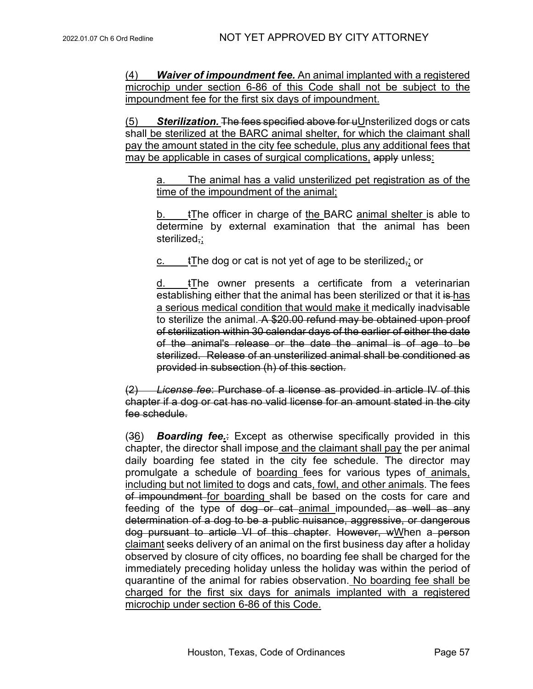(4) *Waiver of impoundment fee.* An animal implanted with a registered microchip under section 6-86 of this Code shall not be subject to the impoundment fee for the first six days of impoundment.

(5) *Sterilization.* The fees specified above for uUnsterilized dogs or cats shall be sterilized at the BARC animal shelter, for which the claimant shall pay the amount stated in the city fee schedule, plus any additional fees that may be applicable in cases of surgical complications, apply unless:

a. The animal has a valid unsterilized pet registration as of the time of the impoundment of the animal;

b. tThe officer in charge of the BARC animal shelter is able to determine by external examination that the animal has been sterilized,;

c.  $t$ The dog or cat is not yet of age to be sterilized,; or

d. tThe owner presents a certificate from a veterinarian establishing either that the animal has been sterilized or that it is has a serious medical condition that would make it medically inadvisable to sterilize the animal. A \$20.00 refund may be obtained upon proof of sterilization within 30 calendar days of the earlier of either the date of the animal's release or the date the animal is of age to be sterilized. Release of an unsterilized animal shall be conditioned as provided in subsection (h) of this section.

(2) *License fee*: Purchase of a license as provided in article IV of this chapter if a dog or cat has no valid license for an amount stated in the city fee schedule.

(36) *Boarding fee.*: Except as otherwise specifically provided in this chapter, the director shall impose and the claimant shall pay the per animal daily boarding fee stated in the city fee schedule. The director may promulgate a schedule of boarding fees for various types of animals, including but not limited to dogs and cats, fowl, and other animals. The fees of impoundment for boarding shall be based on the costs for care and feeding of the type of <del>dog or cat a</del>nimal impounded, as well as any determination of a dog to be a public nuisance, aggressive, or dangerous dog pursuant to article VI of this chapter. However, wWhen a person claimant seeks delivery of an animal on the first business day after a holiday observed by closure of city offices, no boarding fee shall be charged for the immediately preceding holiday unless the holiday was within the period of quarantine of the animal for rabies observation. No boarding fee shall be charged for the first six days for animals implanted with a registered microchip under section 6-86 of this Code.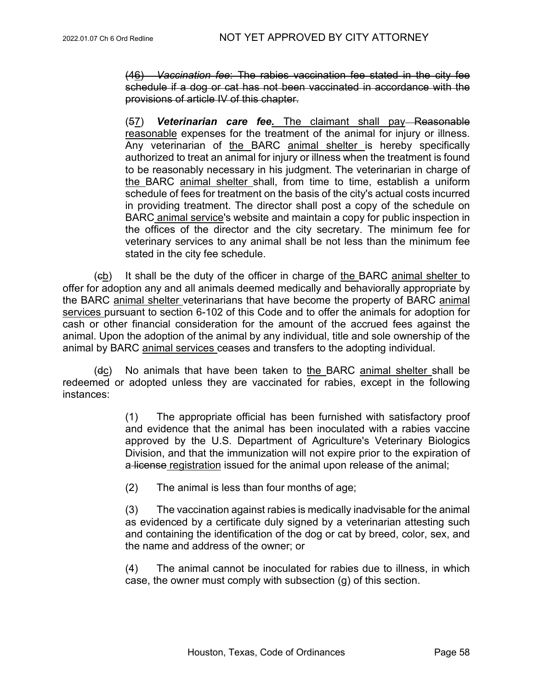(46) *Vaccination fee*: The rabies vaccination fee stated in the city fee schedule if a dog or cat has not been vaccinated in accordance with the provisions of article IV of this chapter.

(57) *Veterinarian care fee.* The claimant shall pay Reasonable reasonable expenses for the treatment of the animal for injury or illness. Any veterinarian of the BARC animal shelter is hereby specifically authorized to treat an animal for injury or illness when the treatment is found to be reasonably necessary in his judgment. The veterinarian in charge of the BARC animal shelter shall, from time to time, establish a uniform schedule of fees for treatment on the basis of the city's actual costs incurred in providing treatment. The director shall post a copy of the schedule on BARC animal service's website and maintain a copy for public inspection in the offices of the director and the city secretary. The minimum fee for veterinary services to any animal shall be not less than the minimum fee stated in the city fee schedule.

(cb) It shall be the duty of the officer in charge of the BARC animal shelter to offer for adoption any and all animals deemed medically and behaviorally appropriate by the BARC animal shelter veterinarians that have become the property of BARC animal services pursuant to section 6-102 of this Code and to offer the animals for adoption for cash or other financial consideration for the amount of the accrued fees against the animal. Upon the adoption of the animal by any individual, title and sole ownership of the animal by BARC animal services ceases and transfers to the adopting individual.

(dc) No animals that have been taken to the BARC animal shelter shall be redeemed or adopted unless they are vaccinated for rabies, except in the following instances:

> (1) The appropriate official has been furnished with satisfactory proof and evidence that the animal has been inoculated with a rabies vaccine approved by the U.S. Department of Agriculture's Veterinary Biologics Division, and that the immunization will not expire prior to the expiration of a license registration issued for the animal upon release of the animal;

(2) The animal is less than four months of age;

(3) The vaccination against rabies is medically inadvisable for the animal as evidenced by a certificate duly signed by a veterinarian attesting such and containing the identification of the dog or cat by breed, color, sex, and the name and address of the owner; or

(4) The animal cannot be inoculated for rabies due to illness, in which case, the owner must comply with subsection (g) of this section.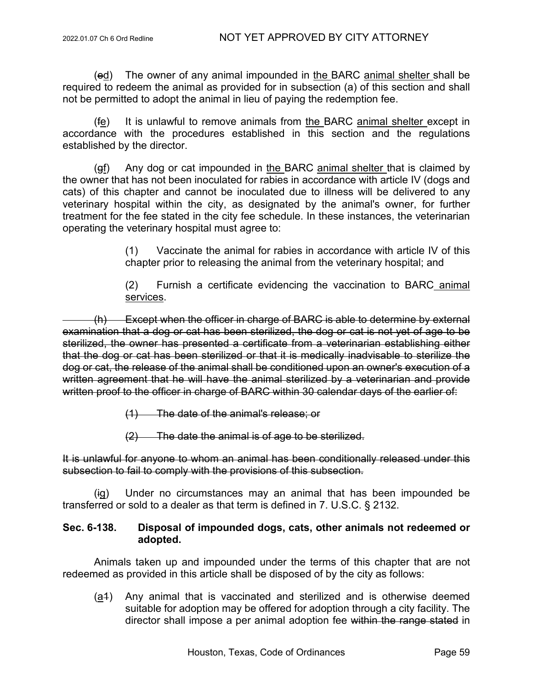(ed) The owner of any animal impounded in the BARC animal shelter shall be required to redeem the animal as provided for in subsection (a) of this section and shall not be permitted to adopt the animal in lieu of paying the redemption fee.

(fe) It is unlawful to remove animals from the BARC animal shelter except in accordance with the procedures established in this section and the regulations established by the director.

(gf) Any dog or cat impounded in the BARC animal shelter that is claimed by the owner that has not been inoculated for rabies in accordance with article IV (dogs and cats) of this chapter and cannot be inoculated due to illness will be delivered to any veterinary hospital within the city, as designated by the animal's owner, for further treatment for the fee stated in the city fee schedule. In these instances, the veterinarian operating the veterinary hospital must agree to:

> (1) Vaccinate the animal for rabies in accordance with article IV of this chapter prior to releasing the animal from the veterinary hospital; and

> (2) Furnish a certificate evidencing the vaccination to BARC animal services.

(h) Except when the officer in charge of BARC is able to determine by external examination that a dog or cat has been sterilized, the dog or cat is not yet of age to be sterilized, the owner has presented a certificate from a veterinarian establishing either that the dog or cat has been sterilized or that it is medically inadvisable to sterilize the dog or cat, the release of the animal shall be conditioned upon an owner's execution of a written agreement that he will have the animal sterilized by a veterinarian and provide written proof to the officer in charge of BARC within 30 calendar days of the earlier of:

- (1) The date of the animal's release; or
- (2) The date the animal is of age to be sterilized.

### It is unlawful for anyone to whom an animal has been conditionally released under this subsection to fail to comply with the provisions of this subsection.

Under no circumstances may an animal that has been impounded be transferred or sold to a dealer as that term is defined in 7. U.S.C. § 2132.

# **Sec. 6-138. Disposal of impounded dogs, cats, other animals not redeemed or adopted.**

Animals taken up and impounded under the terms of this chapter that are not redeemed as provided in this article shall be disposed of by the city as follows:

(a1) Any animal that is vaccinated and sterilized and is otherwise deemed suitable for adoption may be offered for adoption through a city facility. The director shall impose a per animal adoption fee within the range stated in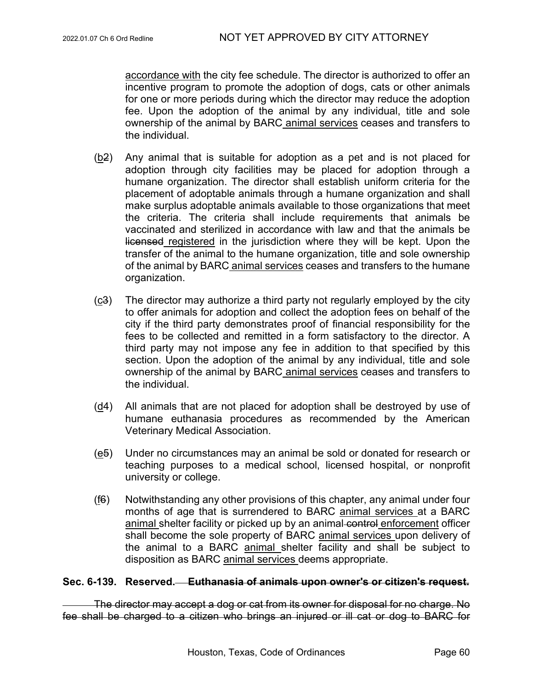accordance with the city fee schedule. The director is authorized to offer an incentive program to promote the adoption of dogs, cats or other animals for one or more periods during which the director may reduce the adoption fee. Upon the adoption of the animal by any individual, title and sole ownership of the animal by BARC animal services ceases and transfers to the individual.

- $(b2)$  Any animal that is suitable for adoption as a pet and is not placed for adoption through city facilities may be placed for adoption through a humane organization. The director shall establish uniform criteria for the placement of adoptable animals through a humane organization and shall make surplus adoptable animals available to those organizations that meet the criteria. The criteria shall include requirements that animals be vaccinated and sterilized in accordance with law and that the animals be licensed registered in the jurisdiction where they will be kept. Upon the transfer of the animal to the humane organization, title and sole ownership of the animal by BARC animal services ceases and transfers to the humane organization.
- (c3) The director may authorize a third party not regularly employed by the city to offer animals for adoption and collect the adoption fees on behalf of the city if the third party demonstrates proof of financial responsibility for the fees to be collected and remitted in a form satisfactory to the director. A third party may not impose any fee in addition to that specified by this section. Upon the adoption of the animal by any individual, title and sole ownership of the animal by BARC animal services ceases and transfers to the individual.
- (d4) All animals that are not placed for adoption shall be destroyed by use of humane euthanasia procedures as recommended by the American Veterinary Medical Association.
- $(e5)$  Under no circumstances may an animal be sold or donated for research or teaching purposes to a medical school, licensed hospital, or nonprofit university or college.
- (f6) Notwithstanding any other provisions of this chapter, any animal under four months of age that is surrendered to BARC animal services at a BARC animal shelter facility or picked up by an animal control enforcement officer shall become the sole property of BARC animal services upon delivery of the animal to a BARC animal shelter facility and shall be subject to disposition as BARC animal services deems appropriate.

#### **Sec. 6-139. Reserved. Euthanasia of animals upon owner's or citizen's request.**

The director may accept a dog or cat from its owner for disposal for no charge. No fee shall be charged to a citizen who brings an injured or ill cat or dog to BARC for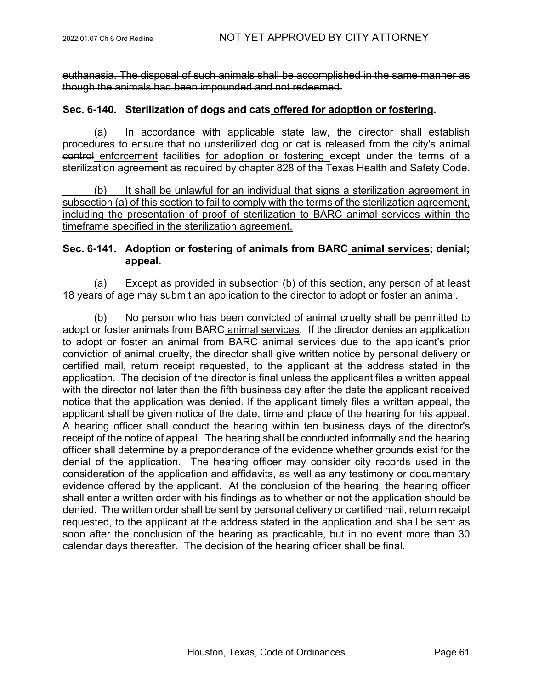euthanasia. The disposal of such animals shall be accomplished in the same manner as though the animals had been impounded and not redeemed.

### **Sec. 6-140. Sterilization of dogs and cats offered for adoption or fostering.**

(a) In accordance with applicable state law, the director shall establish procedures to ensure that no unsterilized dog or cat is released from the city's animal control enforcement facilities for adoption or fostering except under the terms of a sterilization agreement as required by chapter 828 of the Texas Health and Safety Code.

(b) It shall be unlawful for an individual that signs a sterilization agreement in subsection (a) of this section to fail to comply with the terms of the sterilization agreement, including the presentation of proof of sterilization to BARC animal services within the timeframe specified in the sterilization agreement.

# **Sec. 6-141. Adoption or fostering of animals from BARC animal services; denial; appeal.**

(a) Except as provided in subsection (b) of this section, any person of at least 18 years of age may submit an application to the director to adopt or foster an animal.

(b) No person who has been convicted of animal cruelty shall be permitted to adopt or foster animals from BARC animal services. If the director denies an application to adopt or foster an animal from BARC animal services due to the applicant's prior conviction of animal cruelty, the director shall give written notice by personal delivery or certified mail, return receipt requested, to the applicant at the address stated in the application. The decision of the director is final unless the applicant files a written appeal with the director not later than the fifth business day after the date the applicant received notice that the application was denied. If the applicant timely files a written appeal, the applicant shall be given notice of the date, time and place of the hearing for his appeal. A hearing officer shall conduct the hearing within ten business days of the director's receipt of the notice of appeal. The hearing shall be conducted informally and the hearing officer shall determine by a preponderance of the evidence whether grounds exist for the denial of the application. The hearing officer may consider city records used in the consideration of the application and affidavits, as well as any testimony or documentary evidence offered by the applicant. At the conclusion of the hearing, the hearing officer shall enter a written order with his findings as to whether or not the application should be denied. The written order shall be sent by personal delivery or certified mail, return receipt requested, to the applicant at the address stated in the application and shall be sent as soon after the conclusion of the hearing as practicable, but in no event more than 30 calendar days thereafter. The decision of the hearing officer shall be final.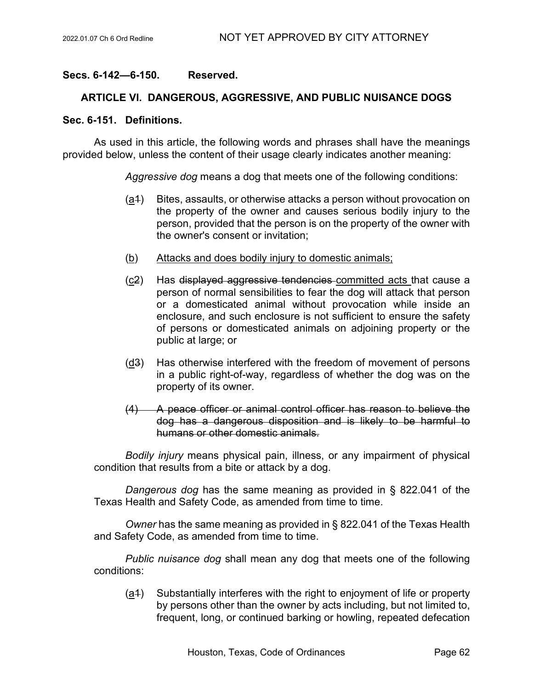# **Secs. 6-142—6-150. Reserved.**

# **ARTICLE VI. DANGEROUS, AGGRESSIVE, AND PUBLIC NUISANCE DOGS**

#### **Sec. 6-151. Definitions.**

As used in this article, the following words and phrases shall have the meanings provided below, unless the content of their usage clearly indicates another meaning:

*Aggressive dog* means a dog that meets one of the following conditions:

- (a1) Bites, assaults, or otherwise attacks a person without provocation on the property of the owner and causes serious bodily injury to the person, provided that the person is on the property of the owner with the owner's consent or invitation;
- (b) Attacks and does bodily injury to domestic animals;
- (c2) Has displayed aggressive tendencies committed acts that cause a person of normal sensibilities to fear the dog will attack that person or a domesticated animal without provocation while inside an enclosure, and such enclosure is not sufficient to ensure the safety of persons or domesticated animals on adjoining property or the public at large; or
- (d3) Has otherwise interfered with the freedom of movement of persons in a public right-of-way, regardless of whether the dog was on the property of its owner.
- (4) A peace officer or animal control officer has reason to believe the dog has a dangerous disposition and is likely to be harmful to humans or other domestic animals.

*Bodily injury* means physical pain, illness, or any impairment of physical condition that results from a bite or attack by a dog.

*Dangerous dog* has the same meaning as provided in § 822.041 of the Texas Health and Safety Code, as amended from time to time.

*Owner* has the same meaning as provided in § 822.041 of the Texas Health and Safety Code, as amended from time to time.

*Public nuisance dog* shall mean any dog that meets one of the following conditions:

(a1) Substantially interferes with the right to enjoyment of life or property by persons other than the owner by acts including, but not limited to, frequent, long, or continued barking or howling, repeated defecation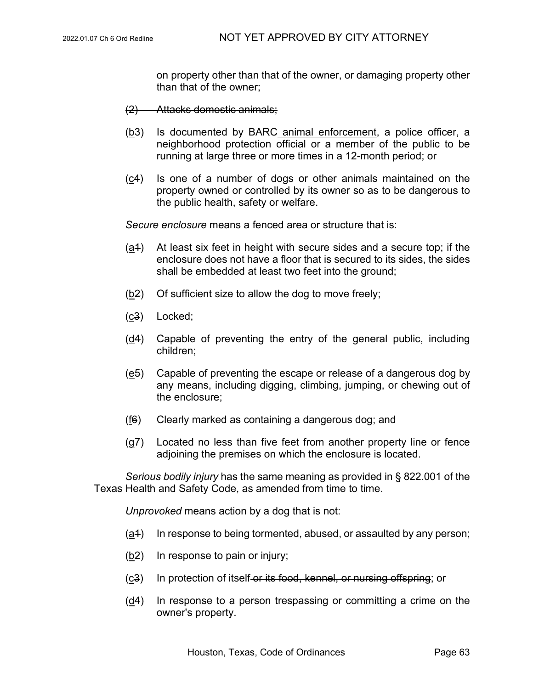on property other than that of the owner, or damaging property other than that of the owner;

- (2) Attacks domestic animals;
- $(b3)$  Is documented by BARC animal enforcement, a police officer, a neighborhood protection official or a member of the public to be running at large three or more times in a 12-month period; or
- (c4) Is one of a number of dogs or other animals maintained on the property owned or controlled by its owner so as to be dangerous to the public health, safety or welfare.

*Secure enclosure* means a fenced area or structure that is:

- $(a<sup>4</sup>)$  At least six feet in height with secure sides and a secure top; if the enclosure does not have a floor that is secured to its sides, the sides shall be embedded at least two feet into the ground;
- $(b2)$  Of sufficient size to allow the dog to move freely;
- (c3) Locked;
- $(d4)$  Capable of preventing the entry of the general public, including children;
- (e5) Capable of preventing the escape or release of a dangerous dog by any means, including digging, climbing, jumping, or chewing out of the enclosure;
- $(f6)$  Clearly marked as containing a dangerous dog; and
- (g7) Located no less than five feet from another property line or fence adjoining the premises on which the enclosure is located.

*Serious bodily injury* has the same meaning as provided in § 822.001 of the Texas Health and Safety Code, as amended from time to time.

*Unprovoked* means action by a dog that is not:

- $(a<sup>4</sup>)$  In response to being tormented, abused, or assaulted by any person;
- (b2) In response to pain or injury;
- (c3) In protection of itself or its food, kennel, or nursing offspring; or
- (d4) In response to a person trespassing or committing a crime on the owner's property.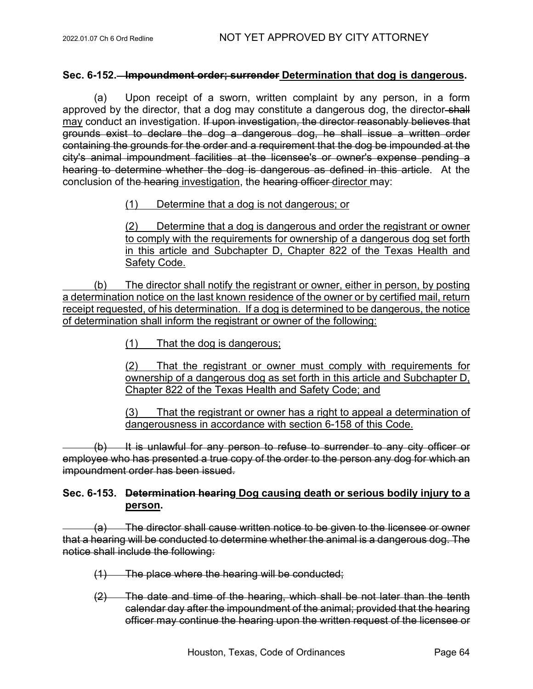### **Sec. 6-152. Impoundment order; surrender Determination that dog is dangerous.**

(a) Upon receipt of a sworn, written complaint by any person, in a form approved by the director, that a dog may constitute a dangerous dog, the director-shall may conduct an investigation. If upon investigation, the director reasonably believes that grounds exist to declare the dog a dangerous dog, he shall issue a written order containing the grounds for the order and a requirement that the dog be impounded at the city's animal impoundment facilities at the licensee's or owner's expense pending a hearing to determine whether the dog is dangerous as defined in this article. At the conclusion of the hearing investigation, the hearing officer director may:

#### (1) Determine that a dog is not dangerous; or

(2) Determine that a dog is dangerous and order the registrant or owner to comply with the requirements for ownership of a dangerous dog set forth in this article and Subchapter D, Chapter 822 of the Texas Health and Safety Code.

(b) The director shall notify the registrant or owner, either in person, by posting a determination notice on the last known residence of the owner or by certified mail, return receipt requested, of his determination. If a dog is determined to be dangerous, the notice of determination shall inform the registrant or owner of the following:

(1) That the dog is dangerous;

(2) That the registrant or owner must comply with requirements for ownership of a dangerous dog as set forth in this article and Subchapter D, Chapter 822 of the Texas Health and Safety Code; and

(3) That the registrant or owner has a right to appeal a determination of dangerousness in accordance with section 6-158 of this Code.

(b) It is unlawful for any person to refuse to surrender to any city officer or employee who has presented a true copy of the order to the person any dog for which an impoundment order has been issued.

# **Sec. 6-153. Determination hearing Dog causing death or serious bodily injury to a person.**

(a) The director shall cause written notice to be given to the licensee or owner that a hearing will be conducted to determine whether the animal is a dangerous dog. The notice shall include the following:

- (1) The place where the hearing will be conducted;
- (2) The date and time of the hearing, which shall be not later than the tenth calendar day after the impoundment of the animal; provided that the hearing officer may continue the hearing upon the written request of the licensee or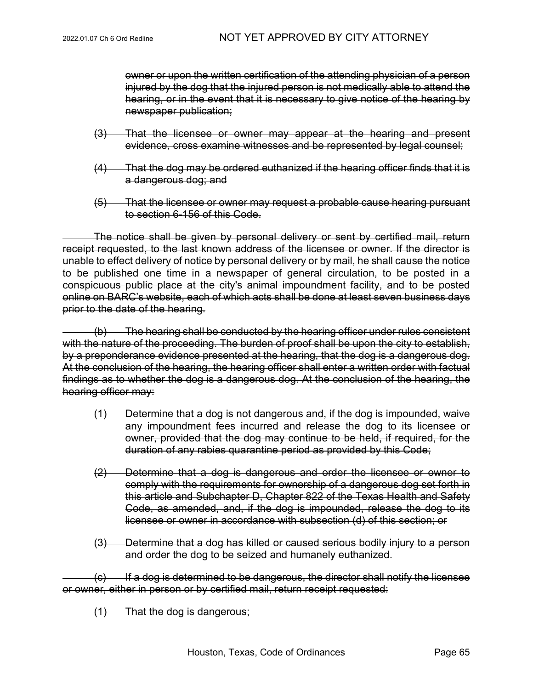owner or upon the written certification of the attending physician of a person injured by the dog that the injured person is not medically able to attend the hearing, or in the event that it is necessary to give notice of the hearing by newspaper publication;

- (3) That the licensee or owner may appear at the hearing and present evidence, cross examine witnesses and be represented by legal counsel;
- (4) That the dog may be ordered euthanized if the hearing officer finds that it is a dangerous dog; and
- (5) That the licensee or owner may request a probable cause hearing pursuant to section 6-156 of this Code.

The notice shall be given by personal delivery or sent by certified mail, return receipt requested, to the last known address of the licensee or owner. If the director is unable to effect delivery of notice by personal delivery or by mail, he shall cause the notice to be published one time in a newspaper of general circulation, to be posted in a conspicuous public place at the city's animal impoundment facility, and to be posted online on BARC's website, each of which acts shall be done at least seven business days prior to the date of the hearing.

 $(b)$  The hearing shall be conducted by the hearing officer under rules consistent with the nature of the proceeding. The burden of proof shall be upon the city to establish, by a preponderance evidence presented at the hearing, that the dog is a dangerous dog. At the conclusion of the hearing, the hearing officer shall enter a written order with factual findings as to whether the dog is a dangerous dog. At the conclusion of the hearing, the hearing officer may:

- (1) Determine that a dog is not dangerous and, if the dog is impounded, waive any impoundment fees incurred and release the dog to its licensee or owner, provided that the dog may continue to be held, if required, for the duration of any rabies quarantine period as provided by this Code;
- (2) Determine that a dog is dangerous and order the licensee or owner to comply with the requirements for ownership of a dangerous dog set forth in this article and Subchapter D, Chapter 822 of the Texas Health and Safety Code, as amended, and, if the dog is impounded, release the dog to its licensee or owner in accordance with subsection (d) of this section; or
- (3) Determine that a dog has killed or caused serious bodily injury to a person and order the dog to be seized and humanely euthanized.

(c) If a dog is determined to be dangerous, the director shall notify the licensee or owner, either in person or by certified mail, return receipt requested:

(1) That the dog is dangerous;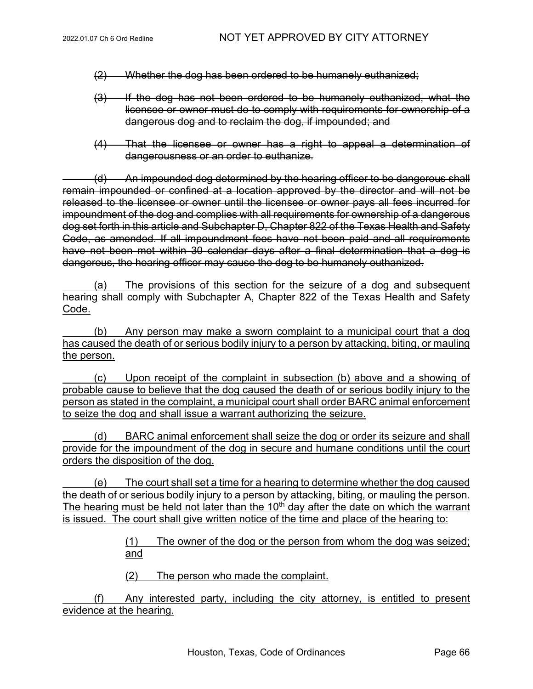- (2) Whether the dog has been ordered to be humanely euthanized;
- (3) If the dog has not been ordered to be humanely euthanized, what the licensee or owner must do to comply with requirements for ownership of a dangerous dog and to reclaim the dog, if impounded; and
- (4) That the licensee or owner has a right to appeal a determination of dangerousness or an order to euthanize.

(d) An impounded dog determined by the hearing officer to be dangerous shall remain impounded or confined at a location approved by the director and will not be released to the licensee or owner until the licensee or owner pays all fees incurred for impoundment of the dog and complies with all requirements for ownership of a dangerous dog set forth in this article and Subchapter D, Chapter 822 of the Texas Health and Safety Code, as amended. If all impoundment fees have not been paid and all requirements have not been met within 30 calendar days after a final determination that a dog is dangerous, the hearing officer may cause the dog to be humanely euthanized.

(a) The provisions of this section for the seizure of a dog and subsequent hearing shall comply with Subchapter A, Chapter 822 of the Texas Health and Safety Code.

(b) Any person may make a sworn complaint to a municipal court that a dog has caused the death of or serious bodily injury to a person by attacking, biting, or mauling the person.

(c) Upon receipt of the complaint in subsection (b) above and a showing of probable cause to believe that the dog caused the death of or serious bodily injury to the person as stated in the complaint, a municipal court shall order BARC animal enforcement to seize the dog and shall issue a warrant authorizing the seizure.

(d) BARC animal enforcement shall seize the dog or order its seizure and shall provide for the impoundment of the dog in secure and humane conditions until the court orders the disposition of the dog.

(e) The court shall set a time for a hearing to determine whether the dog caused the death of or serious bodily injury to a person by attacking, biting, or mauling the person. The hearing must be held not later than the  $10<sup>th</sup>$  day after the date on which the warrant is issued. The court shall give written notice of the time and place of the hearing to:

> (1) The owner of the dog or the person from whom the dog was seized; and

(2) The person who made the complaint.

(f) Any interested party, including the city attorney, is entitled to present evidence at the hearing.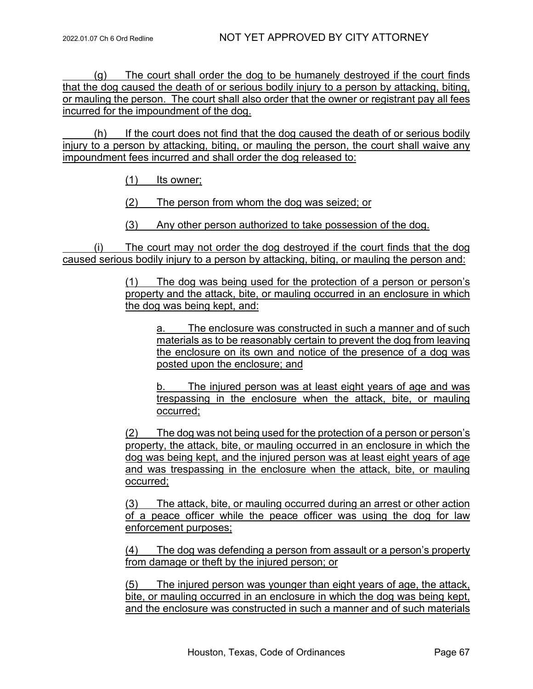(g) The court shall order the dog to be humanely destroyed if the court finds that the dog caused the death of or serious bodily injury to a person by attacking, biting, or mauling the person. The court shall also order that the owner or registrant pay all fees incurred for the impoundment of the dog.

(h) If the court does not find that the dog caused the death of or serious bodily injury to a person by attacking, biting, or mauling the person, the court shall waive any impoundment fees incurred and shall order the dog released to:

(1) Its owner;

(2) The person from whom the dog was seized; or

(3) Any other person authorized to take possession of the dog.

(i) The court may not order the dog destroyed if the court finds that the dog caused serious bodily injury to a person by attacking, biting, or mauling the person and:

> (1) The dog was being used for the protection of a person or person's property and the attack, bite, or mauling occurred in an enclosure in which the dog was being kept, and:

a. The enclosure was constructed in such a manner and of such materials as to be reasonably certain to prevent the dog from leaving the enclosure on its own and notice of the presence of a dog was posted upon the enclosure; and

b. The injured person was at least eight years of age and was trespassing in the enclosure when the attack, bite, or mauling occurred;

(2) The dog was not being used for the protection of a person or person's property, the attack, bite, or mauling occurred in an enclosure in which the dog was being kept, and the injured person was at least eight years of age and was trespassing in the enclosure when the attack, bite, or mauling occurred;

(3) The attack, bite, or mauling occurred during an arrest or other action of a peace officer while the peace officer was using the dog for law enforcement purposes;

(4) The dog was defending a person from assault or a person's property from damage or theft by the injured person; or

(5) The injured person was younger than eight years of age, the attack, bite, or mauling occurred in an enclosure in which the dog was being kept, and the enclosure was constructed in such a manner and of such materials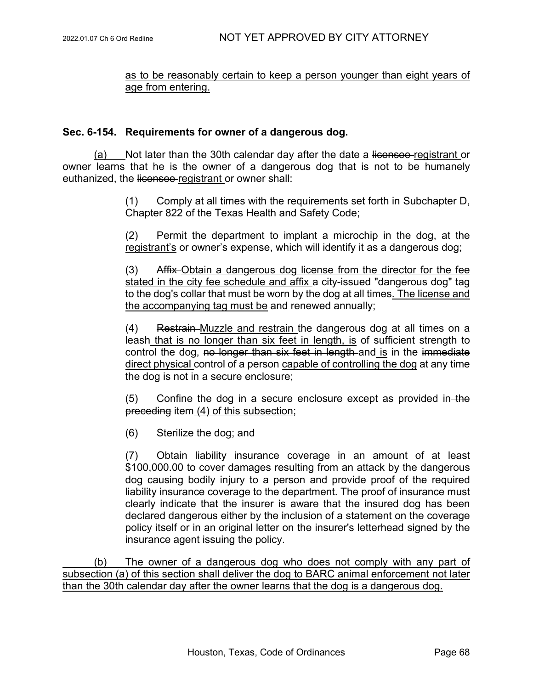# as to be reasonably certain to keep a person younger than eight years of age from entering.

# **Sec. 6-154. Requirements for owner of a dangerous dog.**

(a) Not later than the 30th calendar day after the date a licensee registrant or owner learns that he is the owner of a dangerous dog that is not to be humanely euthanized, the licensee registrant or owner shall:

> (1) Comply at all times with the requirements set forth in Subchapter D, Chapter 822 of the Texas Health and Safety Code;

> (2) Permit the department to implant a microchip in the dog, at the registrant's or owner's expense, which will identify it as a dangerous dog;

> (3) Affix Obtain a dangerous dog license from the director for the fee stated in the city fee schedule and affix a city-issued "dangerous dog" tag to the dog's collar that must be worn by the dog at all times. The license and the accompanying tag must be and renewed annually;

> (4) Restrain Muzzle and restrain the dangerous dog at all times on a leash that is no longer than six feet in length, is of sufficient strength to control the dog, no longer than six feet in length and is in the immediate direct physical control of a person capable of controlling the dog at any time the dog is not in a secure enclosure;

> $(5)$  Confine the dog in a secure enclosure except as provided in the preceding item (4) of this subsection;

(6) Sterilize the dog; and

(7) Obtain liability insurance coverage in an amount of at least \$100,000.00 to cover damages resulting from an attack by the dangerous dog causing bodily injury to a person and provide proof of the required liability insurance coverage to the department. The proof of insurance must clearly indicate that the insurer is aware that the insured dog has been declared dangerous either by the inclusion of a statement on the coverage policy itself or in an original letter on the insurer's letterhead signed by the insurance agent issuing the policy.

(b) The owner of a dangerous dog who does not comply with any part of subsection (a) of this section shall deliver the dog to BARC animal enforcement not later than the 30th calendar day after the owner learns that the dog is a dangerous dog.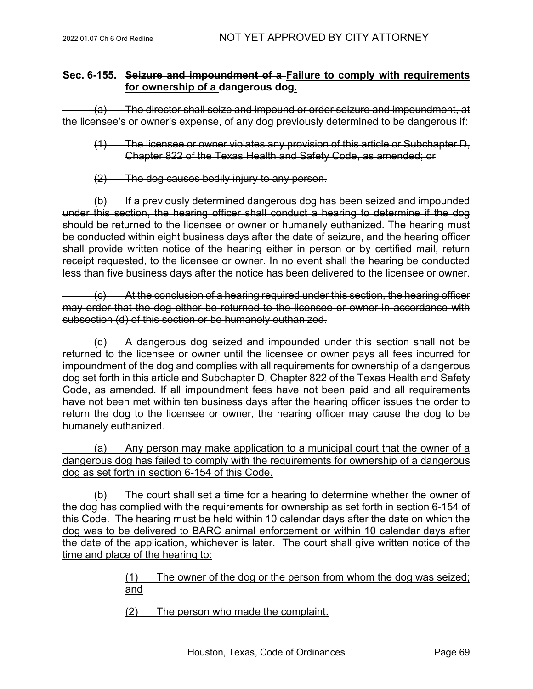# **Sec. 6-155. Seizure and impoundment of a Failure to comply with requirements for ownership of a dangerous dog.**

(a) The director shall seize and impound or order seizure and impoundment, at the licensee's or owner's expense, of any dog previously determined to be dangerous if:

- (1) The licensee or owner violates any provision of this article or Subchapter D, Chapter 822 of the Texas Health and Safety Code, as amended; or
- (2) The dog causes bodily injury to any person.

(b) If a previously determined dangerous dog has been seized and impounded under this section, the hearing officer shall conduct a hearing to determine if the dog should be returned to the licensee or owner or humanely euthanized. The hearing must be conducted within eight business days after the date of seizure, and the hearing officer shall provide written notice of the hearing either in person or by certified mail, return receipt requested, to the licensee or owner. In no event shall the hearing be conducted less than five business days after the notice has been delivered to the licensee or owner.

(c) At the conclusion of a hearing required under this section, the hearing officer may order that the dog either be returned to the licensee or owner in accordance with subsection (d) of this section or be humanely euthanized.

(d) A dangerous dog seized and impounded under this section shall not be returned to the licensee or owner until the licensee or owner pays all fees incurred for impoundment of the dog and complies with all requirements for ownership of a dangerous dog set forth in this article and Subchapter D, Chapter 822 of the Texas Health and Safety Code, as amended. If all impoundment fees have not been paid and all requirements have not been met within ten business days after the hearing officer issues the order to return the dog to the licensee or owner, the hearing officer may cause the dog to be humanely euthanized.

(a) Any person may make application to a municipal court that the owner of a dangerous dog has failed to comply with the requirements for ownership of a dangerous dog as set forth in section 6-154 of this Code.

(b) The court shall set a time for a hearing to determine whether the owner of the dog has complied with the requirements for ownership as set forth in section 6-154 of this Code. The hearing must be held within 10 calendar days after the date on which the dog was to be delivered to BARC animal enforcement or within 10 calendar days after the date of the application, whichever is later. The court shall give written notice of the time and place of the hearing to:

> (1) The owner of the dog or the person from whom the dog was seized; and

(2) The person who made the complaint.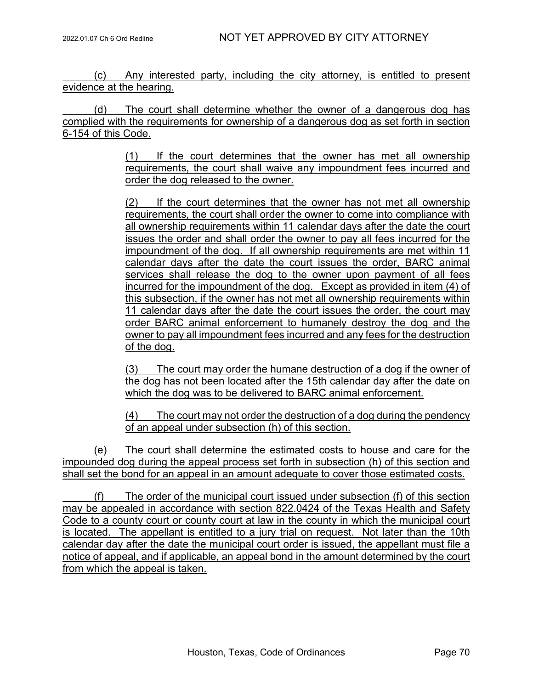(c) Any interested party, including the city attorney, is entitled to present evidence at the hearing.

(d) The court shall determine whether the owner of a dangerous dog has complied with the requirements for ownership of a dangerous dog as set forth in section 6-154 of this Code.

> (1) If the court determines that the owner has met all ownership requirements, the court shall waive any impoundment fees incurred and order the dog released to the owner.

> (2) If the court determines that the owner has not met all ownership requirements, the court shall order the owner to come into compliance with all ownership requirements within 11 calendar days after the date the court issues the order and shall order the owner to pay all fees incurred for the impoundment of the dog. If all ownership requirements are met within 11 calendar days after the date the court issues the order, BARC animal services shall release the dog to the owner upon payment of all fees incurred for the impoundment of the dog. Except as provided in item (4) of this subsection, if the owner has not met all ownership requirements within 11 calendar days after the date the court issues the order, the court may order BARC animal enforcement to humanely destroy the dog and the owner to pay all impoundment fees incurred and any fees for the destruction of the dog.

> (3) The court may order the humane destruction of a dog if the owner of the dog has not been located after the 15th calendar day after the date on which the dog was to be delivered to BARC animal enforcement.

> (4) The court may not order the destruction of a dog during the pendency of an appeal under subsection (h) of this section.

(e) The court shall determine the estimated costs to house and care for the impounded dog during the appeal process set forth in subsection (h) of this section and shall set the bond for an appeal in an amount adequate to cover those estimated costs.

(f) The order of the municipal court issued under subsection (f) of this section may be appealed in accordance with section 822.0424 of the Texas Health and Safety Code to a county court or county court at law in the county in which the municipal court is located. The appellant is entitled to a jury trial on request. Not later than the 10th calendar day after the date the municipal court order is issued, the appellant must file a notice of appeal, and if applicable, an appeal bond in the amount determined by the court from which the appeal is taken.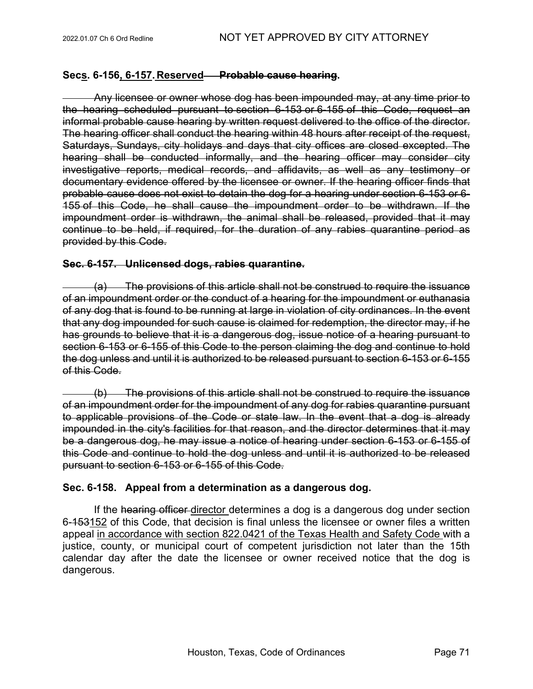# **Secs. 6-156, 6-157. Reserved Probable cause hearing.**

Any licensee or owner whose dog has been impounded may, at any time prior to the hearing scheduled pursuant to section 6-153 or 6-155 of this Code, request an informal probable cause hearing by written request delivered to the office of the director. The hearing officer shall conduct the hearing within 48 hours after receipt of the request, Saturdays, Sundays, city holidays and days that city offices are closed excepted. The hearing shall be conducted informally, and the hearing officer may consider city investigative reports, medical records, and affidavits, as well as any testimony or documentary evidence offered by the licensee or owner. If the hearing officer finds that probable cause does not exist to detain the dog for a hearing under section 6-153 or [6-](https://www.municode.com/library/) [155](https://www.municode.com/library/) of this Code, he shall cause the impoundment order to be withdrawn. If the impoundment order is withdrawn, the animal shall be released, provided that it may continue to be held, if required, for the duration of any rabies quarantine period as provided by this Code.

# **Sec. 6-157. Unlicensed dogs, rabies quarantine.**

(a) The provisions of this article shall not be construed to require the issuance of an impoundment order or the conduct of a hearing for the impoundment or euthanasia of any dog that is found to be running at large in violation of city ordinances. In the event that any dog impounded for such cause is claimed for redemption, the director may, if he has grounds to believe that it is a dangerous dog, issue notice of a hearing pursuant to section 6-153 or 6-155 of this Code to the person claiming the dog and continue to hold the dog unless and until it is authorized to be released pursuant to section 6-153 or 6-155 of this Code.

(b) The provisions of this article shall not be construed to require the issuance of an impoundment order for the impoundment of any dog for rabies quarantine pursuant to applicable provisions of the Code or state law. In the event that a dog is already impounded in the city's facilities for that reason, and the director determines that it may be a dangerous dog, he may issue a notice of hearing under section 6-153 or 6-155 of this Code and continue to hold the dog unless and until it is authorized to be released pursuant to section 6-153 or 6-155 of this Code.

# **Sec. 6-158. Appeal from a determination as a dangerous dog.**

If the hearing officer director determines a dog is a dangerous dog under section 6-153152 of this Code, that decision is final unless the licensee or owner files a written appeal in accordance with section 822.0421 of the Texas Health and Safety Code with a justice, county, or municipal court of competent jurisdiction not later than the 15th calendar day after the date the licensee or owner received notice that the dog is dangerous.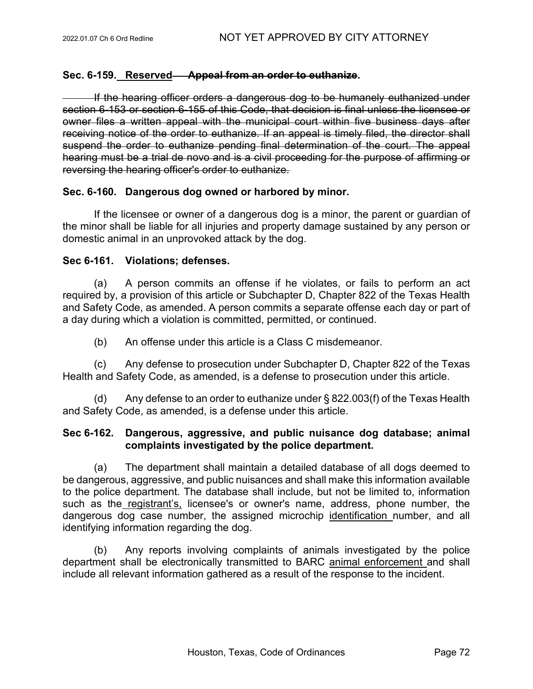# **Sec. 6-159. Reserved Appeal from an order to euthanize.**

If the hearing officer orders a dangerous dog to be humanely euthanized under section 6-153 or section 6-155 of this Code, that decision is final unless the licensee or owner files a written appeal with the municipal court within five business days after receiving notice of the order to euthanize. If an appeal is timely filed, the director shall suspend the order to euthanize pending final determination of the court. The appeal hearing must be a trial de novo and is a civil proceeding for the purpose of affirming or reversing the hearing officer's order to euthanize.

# **Sec. 6-160. Dangerous dog owned or harbored by minor.**

If the licensee or owner of a dangerous dog is a minor, the parent or guardian of the minor shall be liable for all injuries and property damage sustained by any person or domestic animal in an unprovoked attack by the dog.

# **Sec 6-161. Violations; defenses.**

(a) A person commits an offense if he violates, or fails to perform an act required by, a provision of this article or Subchapter D, Chapter 822 of the Texas Health and Safety Code, as amended. A person commits a separate offense each day or part of a day during which a violation is committed, permitted, or continued.

(b) An offense under this article is a Class C misdemeanor.

(c) Any defense to prosecution under Subchapter D, Chapter 822 of the Texas Health and Safety Code, as amended, is a defense to prosecution under this article.

(d) Any defense to an order to euthanize under § 822.003(f) of the Texas Health and Safety Code, as amended, is a defense under this article.

# **Sec 6-162. Dangerous, aggressive, and public nuisance dog database; animal complaints investigated by the police department.**

(a) The department shall maintain a detailed database of all dogs deemed to be dangerous, aggressive, and public nuisances and shall make this information available to the police department. The database shall include, but not be limited to, information such as the registrant's, licensee's or owner's name, address, phone number, the dangerous dog case number, the assigned microchip identification number, and all identifying information regarding the dog.

(b) Any reports involving complaints of animals investigated by the police department shall be electronically transmitted to BARC animal enforcement and shall include all relevant information gathered as a result of the response to the incident.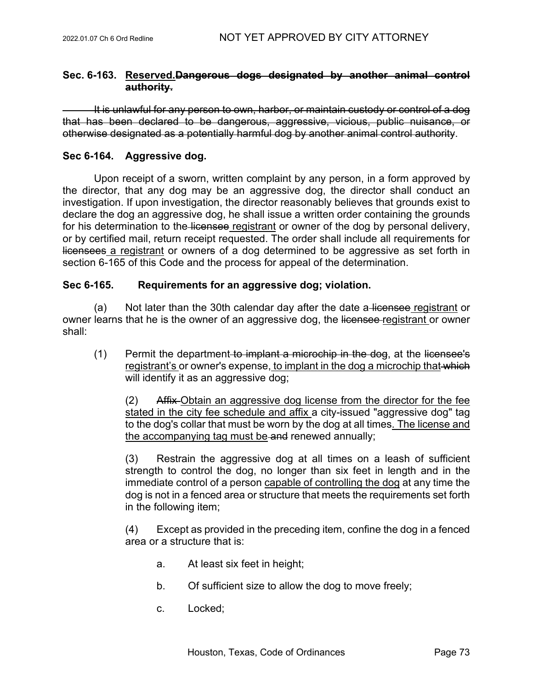# **Sec. 6-163. Reserved.Dangerous dogs designated by another animal control authority.**

It is unlawful for any person to own, harbor, or maintain custody or control of a dog that has been declared to be dangerous, aggressive, vicious, public nuisance, or otherwise designated as a potentially harmful dog by another animal control authority.

# **Sec 6-164. Aggressive dog.**

Upon receipt of a sworn, written complaint by any person, in a form approved by the director, that any dog may be an aggressive dog, the director shall conduct an investigation. If upon investigation, the director reasonably believes that grounds exist to declare the dog an aggressive dog, he shall issue a written order containing the grounds for his determination to the licensee registrant or owner of the dog by personal delivery, or by certified mail, return receipt requested. The order shall include all requirements for licensees a registrant or owners of a dog determined to be aggressive as set forth in section 6-165 of this Code and the process for appeal of the determination.

# **Sec 6-165. Requirements for an aggressive dog; violation.**

(a) Not later than the 30th calendar day after the date a licensee registrant or owner learns that he is the owner of an aggressive dog, the licensee registrant or owner shall:

 $(1)$  Permit the department to implant a microchip in the dog, at the licensee's registrant's or owner's expense, to implant in the dog a microchip that which will identify it as an aggressive dog;

(2) Affix Obtain an aggressive dog license from the director for the fee stated in the city fee schedule and affix a city-issued "aggressive dog" tag to the dog's collar that must be worn by the dog at all times. The license and the accompanying tag must be and renewed annually;

(3) Restrain the aggressive dog at all times on a leash of sufficient strength to control the dog, no longer than six feet in length and in the immediate control of a person capable of controlling the dog at any time the dog is not in a fenced area or structure that meets the requirements set forth in the following item;

(4) Except as provided in the preceding item, confine the dog in a fenced area or a structure that is:

- a. At least six feet in height;
- b. Of sufficient size to allow the dog to move freely;
- c. Locked;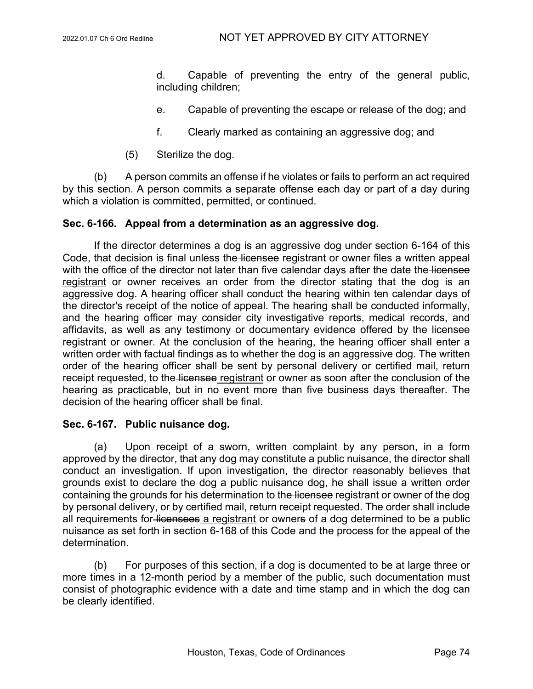d. Capable of preventing the entry of the general public, including children;

- e. Capable of preventing the escape or release of the dog; and
- f. Clearly marked as containing an aggressive dog; and
- (5) Sterilize the dog.

(b) A person commits an offense if he violates or fails to perform an act required by this section. A person commits a separate offense each day or part of a day during which a violation is committed, permitted, or continued.

### **Sec. 6-166. Appeal from a determination as an aggressive dog.**

If the director determines a dog is an aggressive dog under section 6-164 of this Code, that decision is final unless the licensee registrant or owner files a written appeal with the office of the director not later than five calendar days after the date the licensee registrant or owner receives an order from the director stating that the dog is an aggressive dog. A hearing officer shall conduct the hearing within ten calendar days of the director's receipt of the notice of appeal. The hearing shall be conducted informally, and the hearing officer may consider city investigative reports, medical records, and affidavits, as well as any testimony or documentary evidence offered by the licensee registrant or owner. At the conclusion of the hearing, the hearing officer shall enter a written order with factual findings as to whether the dog is an aggressive dog. The written order of the hearing officer shall be sent by personal delivery or certified mail, return receipt requested, to the licensee registrant or owner as soon after the conclusion of the hearing as practicable, but in no event more than five business days thereafter. The decision of the hearing officer shall be final.

#### **Sec. 6-167. Public nuisance dog.**

(a) Upon receipt of a sworn, written complaint by any person, in a form approved by the director, that any dog may constitute a public nuisance, the director shall conduct an investigation. If upon investigation, the director reasonably believes that grounds exist to declare the dog a public nuisance dog, he shall issue a written order containing the grounds for his determination to the licensee registrant or owner of the dog by personal delivery, or by certified mail, return receipt requested. The order shall include all requirements for licensees a registrant or owners of a dog determined to be a public nuisance as set forth in section 6-168 of this Code and the process for the appeal of the determination.

(b) For purposes of this section, if a dog is documented to be at large three or more times in a 12-month period by a member of the public, such documentation must consist of photographic evidence with a date and time stamp and in which the dog can be clearly identified.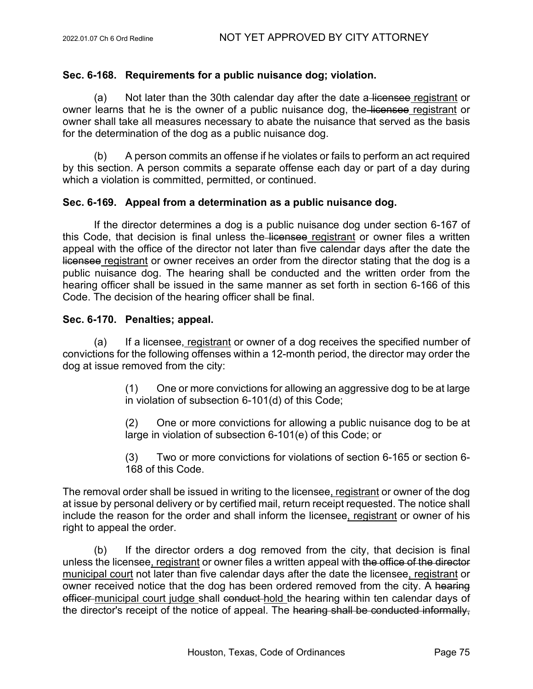# **Sec. 6-168. Requirements for a public nuisance dog; violation.**

(a) Not later than the 30th calendar day after the date a licensee registrant or owner learns that he is the owner of a public nuisance dog, the licensee registrant or owner shall take all measures necessary to abate the nuisance that served as the basis for the determination of the dog as a public nuisance dog.

(b) A person commits an offense if he violates or fails to perform an act required by this section. A person commits a separate offense each day or part of a day during which a violation is committed, permitted, or continued.

## **Sec. 6-169. Appeal from a determination as a public nuisance dog.**

If the director determines a dog is a public nuisance dog under section 6-167 of this Code, that decision is final unless the licensee registrant or owner files a written appeal with the office of the director not later than five calendar days after the date the licensee registrant or owner receives an order from the director stating that the dog is a public nuisance dog. The hearing shall be conducted and the written order from the hearing officer shall be issued in the same manner as set forth in section 6-166 of this Code. The decision of the hearing officer shall be final.

# **Sec. 6-170. Penalties; appeal.**

(a) If a licensee, registrant or owner of a dog receives the specified number of convictions for the following offenses within a 12-month period, the director may order the dog at issue removed from the city:

> (1) One or more convictions for allowing an aggressive dog to be at large in violation of subsection 6-101(d) of this Code;

> (2) One or more convictions for allowing a public nuisance dog to be at large in violation of subsection 6-101(e) of this Code; or

> (3) Two or more convictions for violations of section 6-165 or section 6- 168 of this Code.

The removal order shall be issued in writing to the licensee, registrant or owner of the dog at issue by personal delivery or by certified mail, return receipt requested. The notice shall include the reason for the order and shall inform the licensee, registrant or owner of his right to appeal the order.

(b) If the director orders a dog removed from the city, that decision is final unless the licensee, registrant or owner files a written appeal with the office of the director municipal court not later than five calendar days after the date the licensee, registrant or owner received notice that the dog has been ordered removed from the city. A hearing officer municipal court judge shall conduct hold the hearing within ten calendar days of the director's receipt of the notice of appeal. The hearing shall be conducted informally,